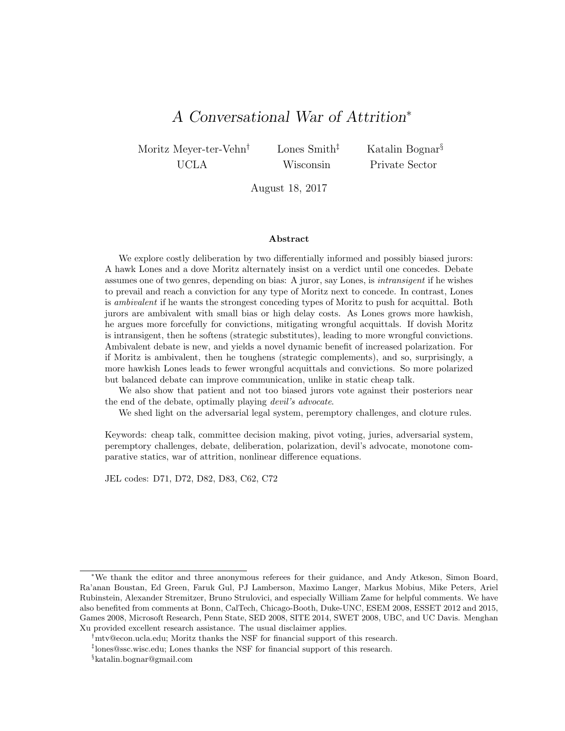# A Conversational War of Attrition<sup>∗</sup>

Moritz Meyer-ter-Vehn† UCLA

Lones Smith‡ Wisconsin

Katalin Bognar§ Private Sector

August 18, 2017

#### Abstract

We explore costly deliberation by two differentially informed and possibly biased jurors: A hawk Lones and a dove Moritz alternately insist on a verdict until one concedes. Debate assumes one of two genres, depending on bias: A juror, say Lones, is intransigent if he wishes to prevail and reach a conviction for any type of Moritz next to concede. In contrast, Lones is ambivalent if he wants the strongest conceding types of Moritz to push for acquittal. Both jurors are ambivalent with small bias or high delay costs. As Lones grows more hawkish, he argues more forcefully for convictions, mitigating wrongful acquittals. If dovish Moritz is intransigent, then he softens (strategic substitutes), leading to more wrongful convictions. Ambivalent debate is new, and yields a novel dynamic benefit of increased polarization. For if Moritz is ambivalent, then he toughens (strategic complements), and so, surprisingly, a more hawkish Lones leads to fewer wrongful acquittals and convictions. So more polarized but balanced debate can improve communication, unlike in static cheap talk.

We also show that patient and not too biased jurors vote against their posteriors near the end of the debate, optimally playing devil's advocate.

We shed light on the adversarial legal system, peremptory challenges, and cloture rules.

Keywords: cheap talk, committee decision making, pivot voting, juries, adversarial system, peremptory challenges, debate, deliberation, polarization, devil's advocate, monotone comparative statics, war of attrition, nonlinear difference equations.

JEL codes: D71, D72, D82, D83, C62, C72

<sup>∗</sup>We thank the editor and three anonymous referees for their guidance, and Andy Atkeson, Simon Board, Ra'anan Boustan, Ed Green, Faruk Gul, PJ Lamberson, Maximo Langer, Markus Mobius, Mike Peters, Ariel Rubinstein, Alexander Stremitzer, Bruno Strulovici, and especially William Zame for helpful comments. We have also benefited from comments at Bonn, CalTech, Chicago-Booth, Duke-UNC, ESEM 2008, ESSET 2012 and 2015, Games 2008, Microsoft Research, Penn State, SED 2008, SITE 2014, SWET 2008, UBC, and UC Davis. Menghan Xu provided excellent research assistance. The usual disclaimer applies.

<sup>&</sup>lt;sup>†</sup>mtv@econ.ucla.edu; Moritz thanks the NSF for financial support of this research.

<sup>‡</sup> lones@ssc.wisc.edu; Lones thanks the NSF for financial support of this research.

<sup>§</sup> katalin.bognar@gmail.com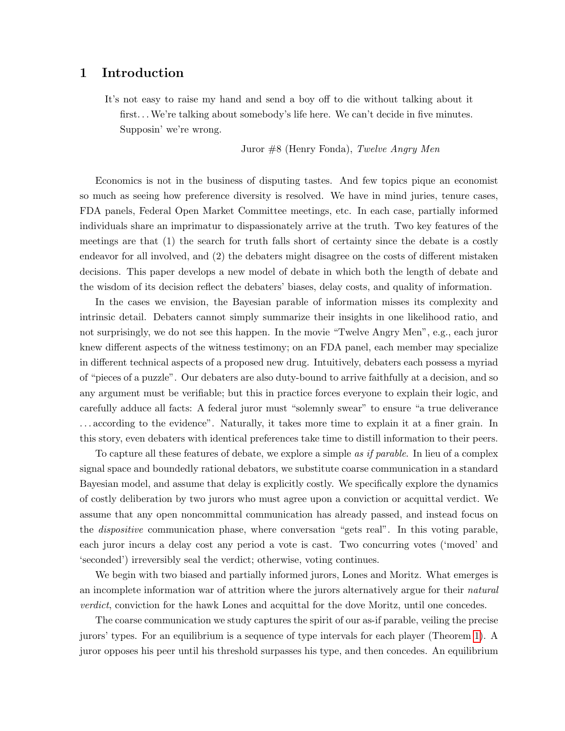### 1 Introduction

It's not easy to raise my hand and send a boy off to die without talking about it first... We're talking about somebody's life here. We can't decide in five minutes. Supposin' we're wrong.

Juror #8 (Henry Fonda), Twelve Angry Men

Economics is not in the business of disputing tastes. And few topics pique an economist so much as seeing how preference diversity is resolved. We have in mind juries, tenure cases, FDA panels, Federal Open Market Committee meetings, etc. In each case, partially informed individuals share an imprimatur to dispassionately arrive at the truth. Two key features of the meetings are that (1) the search for truth falls short of certainty since the debate is a costly endeavor for all involved, and (2) the debaters might disagree on the costs of different mistaken decisions. This paper develops a new model of debate in which both the length of debate and the wisdom of its decision reflect the debaters' biases, delay costs, and quality of information.

In the cases we envision, the Bayesian parable of information misses its complexity and intrinsic detail. Debaters cannot simply summarize their insights in one likelihood ratio, and not surprisingly, we do not see this happen. In the movie "Twelve Angry Men", e.g., each juror knew different aspects of the witness testimony; on an FDA panel, each member may specialize in different technical aspects of a proposed new drug. Intuitively, debaters each possess a myriad of "pieces of a puzzle". Our debaters are also duty-bound to arrive faithfully at a decision, and so any argument must be verifiable; but this in practice forces everyone to explain their logic, and carefully adduce all facts: A federal juror must "solemnly swear" to ensure "a true deliverance . . . according to the evidence". Naturally, it takes more time to explain it at a finer grain. In this story, even debaters with identical preferences take time to distill information to their peers.

To capture all these features of debate, we explore a simple as if parable. In lieu of a complex signal space and boundedly rational debators, we substitute coarse communication in a standard Bayesian model, and assume that delay is explicitly costly. We specifically explore the dynamics of costly deliberation by two jurors who must agree upon a conviction or acquittal verdict. We assume that any open noncommittal communication has already passed, and instead focus on the dispositive communication phase, where conversation "gets real". In this voting parable, each juror incurs a delay cost any period a vote is cast. Two concurring votes ('moved' and 'seconded') irreversibly seal the verdict; otherwise, voting continues.

We begin with two biased and partially informed jurors, Lones and Moritz. What emerges is an incomplete information war of attrition where the jurors alternatively argue for their natural verdict, conviction for the hawk Lones and acquittal for the dove Moritz, until one concedes.

The coarse communication we study captures the spirit of our as-if parable, veiling the precise jurors' types. For an equilibrium is a sequence of type intervals for each player (Theorem [1\)](#page-9-0). A juror opposes his peer until his threshold surpasses his type, and then concedes. An equilibrium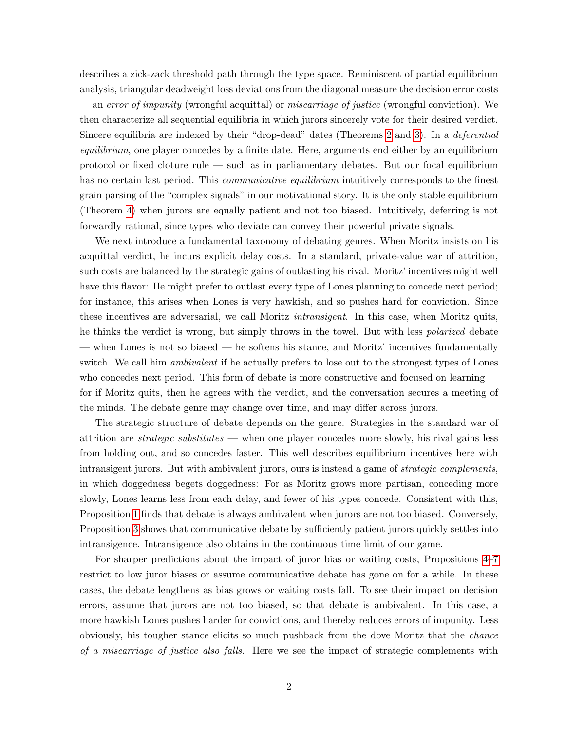describes a zick-zack threshold path through the type space. Reminiscent of partial equilibrium analysis, triangular deadweight loss deviations from the diagonal measure the decision error costs — an error of impunity (wrongful acquittal) or miscarriage of justice (wrongful conviction). We then characterize all sequential equilibria in which jurors sincerely vote for their desired verdict. Sincere equilibria are indexed by their "drop-dead" dates (Theorems [2](#page-10-0) and [3\)](#page-10-1). In a *deferential* equilibrium, one player concedes by a finite date. Here, arguments end either by an equilibrium protocol or fixed cloture rule — such as in parliamentary debates. But our focal equilibrium has no certain last period. This *communicative equilibrium* intuitively corresponds to the finest grain parsing of the "complex signals" in our motivational story. It is the only stable equilibrium (Theorem [4\)](#page-11-0) when jurors are equally patient and not too biased. Intuitively, deferring is not forwardly rational, since types who deviate can convey their powerful private signals.

We next introduce a fundamental taxonomy of debating genres. When Moritz insists on his acquittal verdict, he incurs explicit delay costs. In a standard, private-value war of attrition, such costs are balanced by the strategic gains of outlasting his rival. Moritz' incentives might well have this flavor: He might prefer to outlast every type of Lones planning to concede next period; for instance, this arises when Lones is very hawkish, and so pushes hard for conviction. Since these incentives are adversarial, we call Moritz intransigent. In this case, when Moritz quits, he thinks the verdict is wrong, but simply throws in the towel. But with less polarized debate — when Lones is not so biased — he softens his stance, and Moritz' incentives fundamentally switch. We call him *ambivalent* if he actually prefers to lose out to the strongest types of Lones who concedes next period. This form of debate is more constructive and focused on learning for if Moritz quits, then he agrees with the verdict, and the conversation secures a meeting of the minds. The debate genre may change over time, and may differ across jurors.

The strategic structure of debate depends on the genre. Strategies in the standard war of attrition are strategic substitutes — when one player concedes more slowly, his rival gains less from holding out, and so concedes faster. This well describes equilibrium incentives here with intransigent jurors. But with ambivalent jurors, ours is instead a game of strategic complements, in which doggedness begets doggedness: For as Moritz grows more partisan, conceding more slowly, Lones learns less from each delay, and fewer of his types concede. Consistent with this, Proposition [1](#page-19-0) finds that debate is always ambivalent when jurors are not too biased. Conversely, Proposition [3](#page-20-0) shows that communicative debate by sufficiently patient jurors quickly settles into intransigence. Intransigence also obtains in the continuous time limit of our game.

For sharper predictions about the impact of juror bias or waiting costs, Propositions [4–](#page-23-0)[7](#page-27-0) restrict to low juror biases or assume communicative debate has gone on for a while. In these cases, the debate lengthens as bias grows or waiting costs fall. To see their impact on decision errors, assume that jurors are not too biased, so that debate is ambivalent. In this case, a more hawkish Lones pushes harder for convictions, and thereby reduces errors of impunity. Less obviously, his tougher stance elicits so much pushback from the dove Moritz that the chance of a miscarriage of justice also falls. Here we see the impact of strategic complements with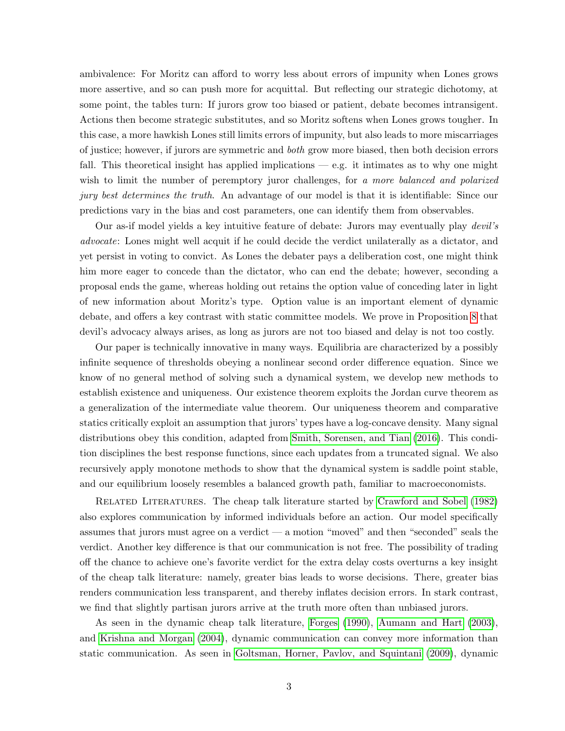ambivalence: For Moritz can afford to worry less about errors of impunity when Lones grows more assertive, and so can push more for acquittal. But reflecting our strategic dichotomy, at some point, the tables turn: If jurors grow too biased or patient, debate becomes intransigent. Actions then become strategic substitutes, and so Moritz softens when Lones grows tougher. In this case, a more hawkish Lones still limits errors of impunity, but also leads to more miscarriages of justice; however, if jurors are symmetric and both grow more biased, then both decision errors fall. This theoretical insight has applied implications — e.g. it intimates as to why one might wish to limit the number of peremptory juror challenges, for a more balanced and polarized jury best determines the truth. An advantage of our model is that it is identifiable: Since our predictions vary in the bias and cost parameters, one can identify them from observables.

Our as-if model yields a key intuitive feature of debate: Jurors may eventually play devil's advocate: Lones might well acquit if he could decide the verdict unilaterally as a dictator, and yet persist in voting to convict. As Lones the debater pays a deliberation cost, one might think him more eager to concede than the dictator, who can end the debate; however, seconding a proposal ends the game, whereas holding out retains the option value of conceding later in light of new information about Moritz's type. Option value is an important element of dynamic debate, and offers a key contrast with static committee models. We prove in Proposition [8](#page-28-0) that devil's advocacy always arises, as long as jurors are not too biased and delay is not too costly.

Our paper is technically innovative in many ways. Equilibria are characterized by a possibly infinite sequence of thresholds obeying a nonlinear second order difference equation. Since we know of no general method of solving such a dynamical system, we develop new methods to establish existence and uniqueness. Our existence theorem exploits the Jordan curve theorem as a generalization of the intermediate value theorem. Our uniqueness theorem and comparative statics critically exploit an assumption that jurors' types have a log-concave density. Many signal distributions obey this condition, adapted from [Smith, Sorensen, and Tian \(2016\)](#page-48-0). This condition disciplines the best response functions, since each updates from a truncated signal. We also recursively apply monotone methods to show that the dynamical system is saddle point stable, and our equilibrium loosely resembles a balanced growth path, familiar to macroeconomists.

Related Literatures. The cheap talk literature started by [Crawford and Sobel \(1982\)](#page-47-0) also explores communication by informed individuals before an action. Our model specifically assumes that jurors must agree on a verdict — a motion "moved" and then "seconded" seals the verdict. Another key difference is that our communication is not free. The possibility of trading off the chance to achieve one's favorite verdict for the extra delay costs overturns a key insight of the cheap talk literature: namely, greater bias leads to worse decisions. There, greater bias renders communication less transparent, and thereby inflates decision errors. In stark contrast, we find that slightly partisan jurors arrive at the truth more often than unbiased jurors.

As seen in the dynamic cheap talk literature, [Forges \(1990\)](#page-47-1), [Aumann and Hart \(2003\)](#page-47-2), and [Krishna and Morgan \(2004\)](#page-48-1), dynamic communication can convey more information than static communication. As seen in [Goltsman, Horner, Pavlov, and Squintani \(2009\)](#page-48-2), dynamic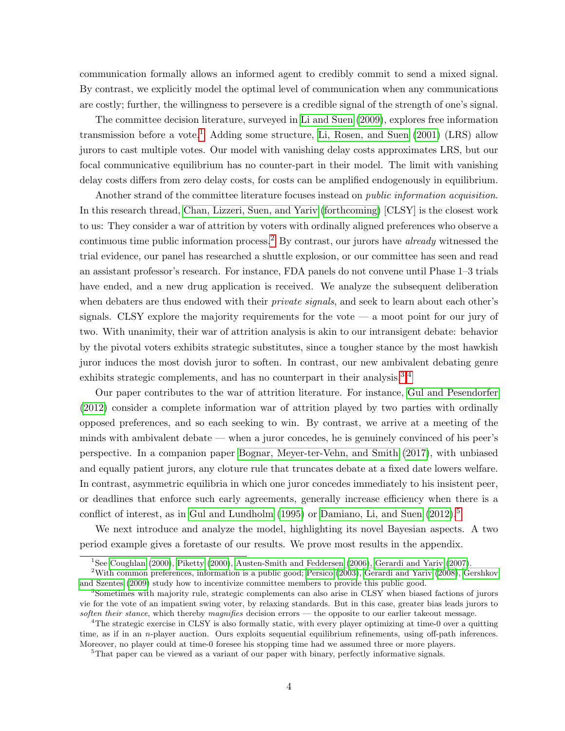communication formally allows an informed agent to credibly commit to send a mixed signal. By contrast, we explicitly model the optimal level of communication when any communications are costly; further, the willingness to persevere is a credible signal of the strength of one's signal.

The committee decision literature, surveyed in [Li and Suen \(2009\)](#page-48-3), explores free information transmission before a vote.<sup>[1](#page-4-0)</sup> Adding some structure, Li, Rosen, and Suen  $(2001)$  (LRS) allow jurors to cast multiple votes. Our model with vanishing delay costs approximates LRS, but our focal communicative equilibrium has no counter-part in their model. The limit with vanishing delay costs differs from zero delay costs, for costs can be amplified endogenously in equilibrium.

Another strand of the committee literature focuses instead on *public information acquisition*. In this research thread, [Chan, Lizzeri, Suen, and Yariv \(forthcoming\)](#page-47-3) [CLSY] is the closest work to us: They consider a war of attrition by voters with ordinally aligned preferences who observe a continuous time public information process.<sup>[2](#page-4-1)</sup> By contrast, our jurors have *already* witnessed the trial evidence, our panel has researched a shuttle explosion, or our committee has seen and read an assistant professor's research. For instance, FDA panels do not convene until Phase 1–3 trials have ended, and a new drug application is received. We analyze the subsequent deliberation when debaters are thus endowed with their *private signals*, and seek to learn about each other's signals. CLSY explore the majority requirements for the vote  $-$  a moot point for our jury of two. With unanimity, their war of attrition analysis is akin to our intransigent debate: behavior by the pivotal voters exhibits strategic substitutes, since a tougher stance by the most hawkish juror induces the most dovish juror to soften. In contrast, our new ambivalent debating genre exhibits strategic complements, and has no counterpart in their analysis.<sup>[3](#page-4-2),[4](#page-4-3)</sup>

Our paper contributes to the war of attrition literature. For instance, [Gul and Pesendorfer](#page-48-5) [\(2012\)](#page-48-5) consider a complete information war of attrition played by two parties with ordinally opposed preferences, and so each seeking to win. By contrast, we arrive at a meeting of the minds with ambivalent debate — when a juror concedes, he is genuinely convinced of his peer's perspective. In a companion paper [Bognar, Meyer-ter-Vehn, and Smith \(2017\)](#page-47-4), with unbiased and equally patient jurors, any cloture rule that truncates debate at a fixed date lowers welfare. In contrast, asymmetric equilibria in which one juror concedes immediately to his insistent peer, or deadlines that enforce such early agreements, generally increase efficiency when there is a conflict of interest, as in [Gul and Lundholm \(1995\)](#page-48-6) or Damiano, Li, and Suen  $(2012).<sup>5</sup>$  $(2012).<sup>5</sup>$  $(2012).<sup>5</sup>$ 

We next introduce and analyze the model, highlighting its novel Bayesian aspects. A two period example gives a foretaste of our results. We prove most results in the appendix.

<span id="page-4-1"></span><span id="page-4-0"></span><sup>1</sup>See [Coughlan](#page-47-6) [\(2000\)](#page-47-6), [Piketty](#page-48-7) [\(2000\)](#page-48-7), [Austen-Smith and Feddersen](#page-47-7) [\(2006\)](#page-47-7), [Gerardi and Yariv](#page-48-8) [\(2007\)](#page-48-8).

<sup>2</sup>With common preferences, information is a public good; [Persico](#page-48-9) [\(2003\)](#page-48-9), [Gerardi and Yariv](#page-48-10) [\(2008\)](#page-48-10), [Gershkov](#page-48-11) [and Szentes](#page-48-11) [\(2009\)](#page-48-11) study how to incentivize committee members to provide this public good.

<span id="page-4-2"></span><sup>3</sup>Sometimes with majority rule, strategic complements can also arise in CLSY when biased factions of jurors vie for the vote of an impatient swing voter, by relaxing standards. But in this case, greater bias leads jurors to soften their stance, which thereby magnifies decision errors — the opposite to our earlier takeout message.

<span id="page-4-3"></span><sup>&</sup>lt;sup>4</sup>The strategic exercise in CLSY is also formally static, with every player optimizing at time-0 over a quitting time, as if in an n-player auction. Ours exploits sequential equilibrium refinements, using off-path inferences. Moreover, no player could at time-0 foresee his stopping time had we assumed three or more players.

<span id="page-4-4"></span><sup>&</sup>lt;sup>5</sup>That paper can be viewed as a variant of our paper with binary, perfectly informative signals.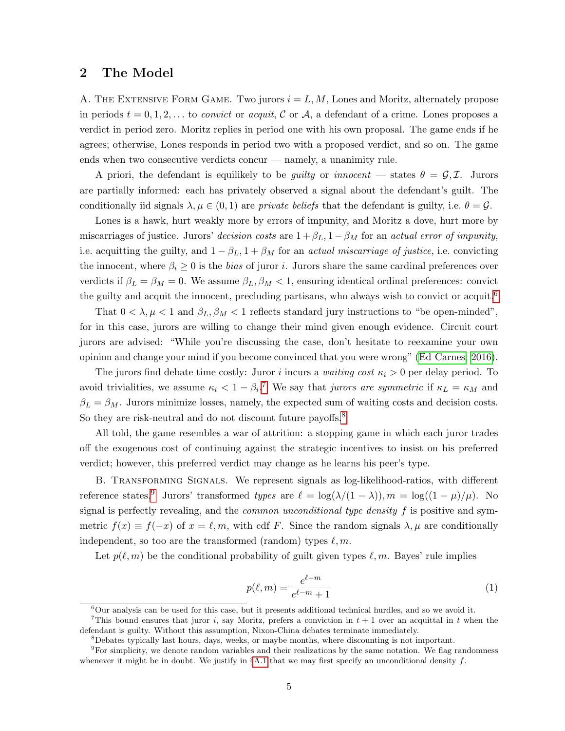### 2 The Model

A. THE EXTENSIVE FORM GAME. Two jurors  $i = L, M$ , Lones and Moritz, alternately propose in periods  $t = 0, 1, 2, \ldots$  to *convict* or *acquit,* C or A, a defendant of a crime. Lones proposes a verdict in period zero. Moritz replies in period one with his own proposal. The game ends if he agrees; otherwise, Lones responds in period two with a proposed verdict, and so on. The game ends when two consecutive verdicts concur — namely, a unanimity rule.

A priori, the defendant is equilikely to be *guilty* or innocent — states  $\theta = \mathcal{G}, \mathcal{I}$ . Jurors are partially informed: each has privately observed a signal about the defendant's guilt. The conditionally iid signals  $\lambda, \mu \in (0, 1)$  are private beliefs that the defendant is guilty, i.e.  $\theta = \mathcal{G}$ .

Lones is a hawk, hurt weakly more by errors of impunity, and Moritz a dove, hurt more by miscarriages of justice. Jurors' decision costs are  $1 + \beta_L$ ,  $1 - \beta_M$  for an actual error of impunity, i.e. acquitting the guilty, and  $1 - \beta_L$ ,  $1 + \beta_M$  for an *actual miscarriage of justice*, i.e. convicting the innocent, where  $\beta_i \geq 0$  is the bias of juror i. Jurors share the same cardinal preferences over verdicts if  $\beta_L = \beta_M = 0$ . We assume  $\beta_L, \beta_M < 1$ , ensuring identical ordinal preferences: convict the guilty and acquit the innocent, precluding partisans, who always wish to convict or acquit.<sup>[6](#page-5-0)</sup>

That  $0 < \lambda, \mu < 1$  and  $\beta_L, \beta_M < 1$  reflects standard jury instructions to "be open-minded", for in this case, jurors are willing to change their mind given enough evidence. Circuit court jurors are advised: "While you're discussing the case, don't hesitate to reexamine your own opinion and change your mind if you become convinced that you were wrong" [\(Ed Carnes, 2016\)](#page-47-8).

The jurors find debate time costly: Juror *i* incurs a *waiting cost*  $\kappa_i > 0$  per delay period. To avoid trivialities, we assume  $\kappa_i < 1 - \beta_i$ .<sup>[7](#page-5-1)</sup> We say that jurors are symmetric if  $\kappa_L = \kappa_M$  and  $\beta_L = \beta_M$ . Jurors minimize losses, namely, the expected sum of waiting costs and decision costs. So they are risk-neutral and do not discount future payoffs.<sup>[8](#page-5-2)</sup>

All told, the game resembles a war of attrition: a stopping game in which each juror trades off the exogenous cost of continuing against the strategic incentives to insist on his preferred verdict; however, this preferred verdict may change as he learns his peer's type.

B. Transforming Signals. We represent signals as log-likelihood-ratios, with different reference states.<sup>[9](#page-5-3)</sup> Jurors' transformed types are  $\ell = \log(\lambda/(1 - \lambda)), m = \log((1 - \mu)/\mu)$ . No signal is perfectly revealing, and the *common unconditional type density*  $f$  is positive and symmetric  $f(x) \equiv f(-x)$  of  $x = \ell, m$ , with cdf F. Since the random signals  $\lambda, \mu$  are conditionally independent, so too are the transformed (random) types  $\ell, m$ .

Let  $p(\ell, m)$  be the conditional probability of guilt given types  $\ell, m$ . Bayes' rule implies

<span id="page-5-4"></span>
$$
p(\ell, m) = \frac{e^{\ell - m}}{e^{\ell - m} + 1} \tag{1}
$$

<span id="page-5-1"></span><span id="page-5-0"></span> ${}^{6}$ Our analysis can be used for this case, but it presents additional technical hurdles, and so we avoid it.

<sup>&</sup>lt;sup>7</sup>This bound ensures that juror *i*, say Moritz, prefers a conviction in  $t + 1$  over an acquittal in t when the defendant is guilty. Without this assumption, Nixon-China debates terminate immediately.

<span id="page-5-3"></span><span id="page-5-2"></span><sup>8</sup>Debates typically last hours, days, weeks, or maybe months, where discounting is not important.

<sup>9</sup>For simplicity, we denote random variables and their realizations by the same notation. We flag randomness whenever it might be in doubt. We justify in  $\S$ [A.1](#page-30-0) that we may first specify an unconditional density f.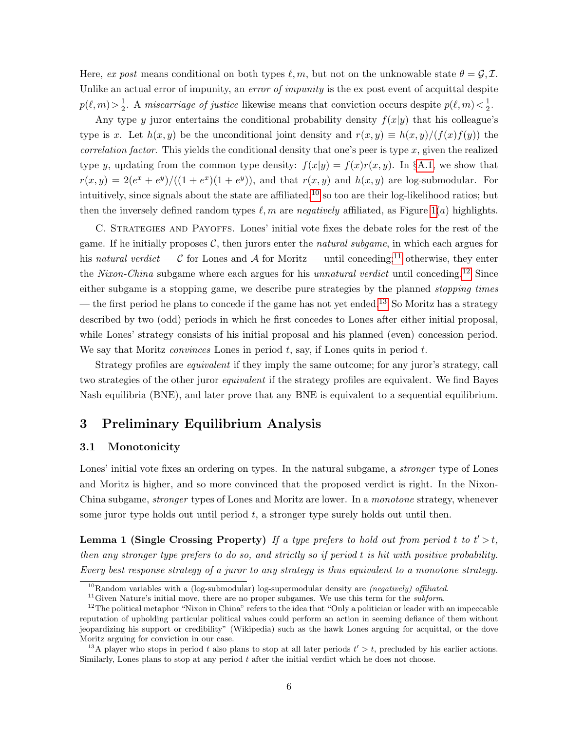Here, ex post means conditional on both types  $\ell, m$ , but not on the unknowable state  $\theta = \mathcal{G}, \mathcal{I}.$ Unlike an actual error of impunity, an *error of impunity* is the ex post event of acquittal despite  $p(\ell, m) > \frac{1}{2}$  $\frac{1}{2}$ . A *miscarriage of justice* likewise means that conviction occurs despite  $p(\ell, m) < \frac{1}{2}$  $\frac{1}{2}$ .

Any type y juror entertains the conditional probability density  $f(x|y)$  that his colleague's type is x. Let  $h(x, y)$  be the unconditional joint density and  $r(x, y) \equiv h(x, y)/(f(x)f(y))$  the *correlation factor.* This yields the conditional density that one's peer is type  $x$ , given the realized type y, updating from the common type density:  $f(x|y) = f(x)r(x, y)$ . In §[A.1,](#page-30-0) we show that  $r(x,y) = 2(e^x + e^y) / ((1 + e^x)(1 + e^y))$ , and that  $r(x,y)$  and  $h(x,y)$  are log-submodular. For intuitively, since signals about the state are affiliated, $10$  so too are their log-likelihood ratios; but then the inversely defined random types  $\ell, m$  are negatively affiliated, as Figure [1\(](#page-8-0)a) highlights.

C. Strategies and Payoffs. Lones' initial vote fixes the debate roles for the rest of the game. If he initially proposes  $C$ , then jurors enter the *natural subgame*, in which each argues for his natural verdict — C for Lones and A for Moritz — until conceding;<sup>[11](#page-6-1)</sup> otherwise, they enter the Nixon-China subgame where each argues for his unnatural verdict until conceding.<sup>[12](#page-6-2)</sup> Since either subgame is a stopping game, we describe pure strategies by the planned stopping times — the first period he plans to concede if the game has not yet ended.<sup>[13](#page-6-3)</sup> So Moritz has a strategy described by two (odd) periods in which he first concedes to Lones after either initial proposal, while Lones' strategy consists of his initial proposal and his planned (even) concession period. We say that Moritz *convinces* Lones in period  $t$ , say, if Lones quits in period  $t$ .

Strategy profiles are *equivalent* if they imply the same outcome; for any juror's strategy, call two strategies of the other juror equivalent if the strategy profiles are equivalent. We find Bayes Nash equilibria (BNE), and later prove that any BNE is equivalent to a sequential equilibrium.

## 3 Preliminary Equilibrium Analysis

### 3.1 Monotonicity

Lones' initial vote fixes an ordering on types. In the natural subgame, a *stronger* type of Lones and Moritz is higher, and so more convinced that the proposed verdict is right. In the Nixon-China subgame, stronger types of Lones and Moritz are lower. In a monotone strategy, whenever some juror type holds out until period  $t$ , a stronger type surely holds out until then.

<span id="page-6-4"></span>**Lemma 1 (Single Crossing Property)** If a type prefers to hold out from period t to  $t' > t$ , then any stronger type prefers to do so, and strictly so if period t is hit with positive probability. Every best response strategy of a juror to any strategy is thus equivalent to a monotone strategy.

<span id="page-6-0"></span><sup>&</sup>lt;sup>10</sup>Random variables with a (log-submodular) log-supermodular density are *(negatively) affiliated.* 

<span id="page-6-2"></span><span id="page-6-1"></span> $11$ Given Nature's initial move, there are no proper subgames. We use this term for the *subform*.

 $12$ The political metaphor "Nixon in China" refers to the idea that "Only a politician or leader with an impeccable reputation of upholding particular political values could perform an action in seeming defiance of them without jeopardizing his support or credibility" (Wikipedia) such as the hawk Lones arguing for acquittal, or the dove Moritz arguing for conviction in our case.

<span id="page-6-3"></span><sup>&</sup>lt;sup>13</sup>A player who stops in period t also plans to stop at all later periods  $t' > t$ , precluded by his earlier actions. Similarly, Lones plans to stop at any period t after the initial verdict which he does not choose.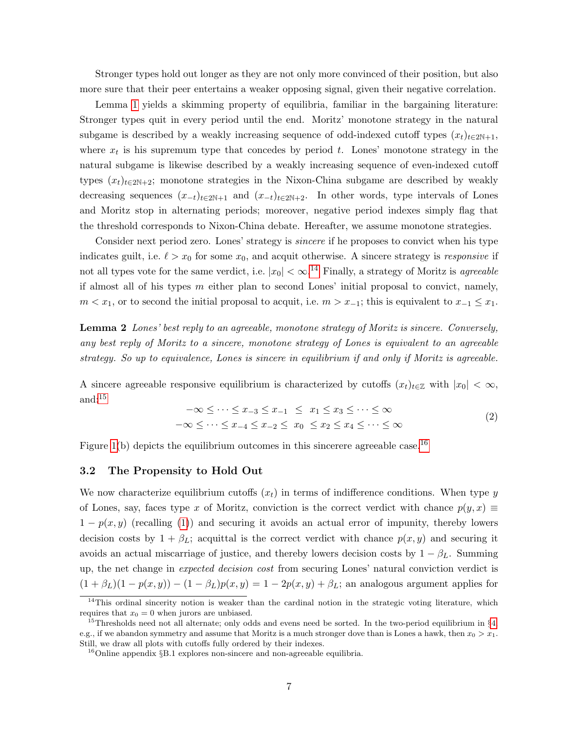Stronger types hold out longer as they are not only more convinced of their position, but also more sure that their peer entertains a weaker opposing signal, given their negative correlation.

Lemma [1](#page-6-4) yields a skimming property of equilibria, familiar in the bargaining literature: Stronger types quit in every period until the end. Moritz' monotone strategy in the natural subgame is described by a weakly increasing sequence of odd-indexed cutoff types  $(x_t)_{t\in 2\mathbb{N}+1}$ , where  $x_t$  is his supremum type that concedes by period t. Lones' monotone strategy in the natural subgame is likewise described by a weakly increasing sequence of even-indexed cutoff types  $(x_t)_{t\in2\mathbb{N}+2}$ ; monotone strategies in the Nixon-China subgame are described by weakly decreasing sequences  $(x_{-t})_{t\in 2\mathbb{N}+1}$  and  $(x_{-t})_{t\in 2\mathbb{N}+2}$ . In other words, type intervals of Lones and Moritz stop in alternating periods; moreover, negative period indexes simply flag that the threshold corresponds to Nixon-China debate. Hereafter, we assume monotone strategies.

Consider next period zero. Lones' strategy is *sincere* if he proposes to convict when his type indicates guilt, i.e.  $\ell > x_0$  for some  $x_0$ , and acquit otherwise. A sincere strategy is *responsive* if not all types vote for the same verdict, i.e.  $|x_0| < \infty$ .<sup>[14](#page-7-0)</sup> Finally, a strategy of Moritz is *agreeable* if almost all of his types  $m$  either plan to second Lones' initial proposal to convict, namely,  $m < x_1$ , or to second the initial proposal to acquit, i.e.  $m > x_{-1}$ ; this is equivalent to  $x_{-1} \leq x_1$ .

<span id="page-7-4"></span>Lemma 2 Lones' best reply to an agreeable, monotone strategy of Moritz is sincere. Conversely, any best reply of Moritz to a sincere, monotone strategy of Lones is equivalent to an agreeable strategy. So up to equivalence, Lones is sincere in equilibrium if and only if Moritz is agreeable.

A sincere agreeable responsive equilibrium is characterized by cutoffs  $(x_t)_{t\in\mathbb{Z}}$  with  $|x_0| < \infty$ , and:[15](#page-7-1)

<span id="page-7-3"></span>
$$
-\infty \leq \dots \leq x_{-3} \leq x_{-1} \leq x_1 \leq x_3 \leq \dots \leq \infty
$$
  

$$
-\infty \leq \dots \leq x_{-4} \leq x_{-2} \leq x_0 \leq x_2 \leq x_4 \leq \dots \leq \infty
$$
 (2)

Figure  $1(b)$  depicts the equilibrium outcomes in this sincerere agreeable case.<sup>[16](#page-7-2)</sup>

### 3.2 The Propensity to Hold Out

We now characterize equilibrium cutoffs  $(x_t)$  in terms of indifference conditions. When type y of Lones, say, faces type x of Moritz, conviction is the correct verdict with chance  $p(y, x) \equiv$  $1 - p(x, y)$  (recalling [\(1\)](#page-5-4)) and securing it avoids an actual error of impunity, thereby lowers decision costs by  $1 + \beta_L$ ; acquittal is the correct verdict with chance  $p(x, y)$  and securing it avoids an actual miscarriage of justice, and thereby lowers decision costs by  $1 - \beta_L$ . Summing up, the net change in expected decision cost from securing Lones' natural conviction verdict is  $(1 + \beta_L)(1 - p(x, y)) - (1 - \beta_L)p(x, y) = 1 - 2p(x, y) + \beta_L$ ; an analogous argument applies for

<span id="page-7-0"></span><sup>&</sup>lt;sup>14</sup>This ordinal sincerity notion is weaker than the cardinal notion in the strategic voting literature, which requires that  $x_0 = 0$  when jurors are unbiased.

<span id="page-7-1"></span><sup>&</sup>lt;sup>15</sup>Thresholds need not all alternate; only odds and evens need be sorted. In the two-period equilibrium in  $\S 4$ , e.g., if we abandon symmetry and assume that Moritz is a much stronger dove than is Lones a hawk, then  $x_0 > x_1$ . Still, we draw all plots with cutoffs fully ordered by their indexes.

<span id="page-7-2"></span> $^{16}$ Online appendix §B.1 explores non-sincere and non-agreeable equilibria.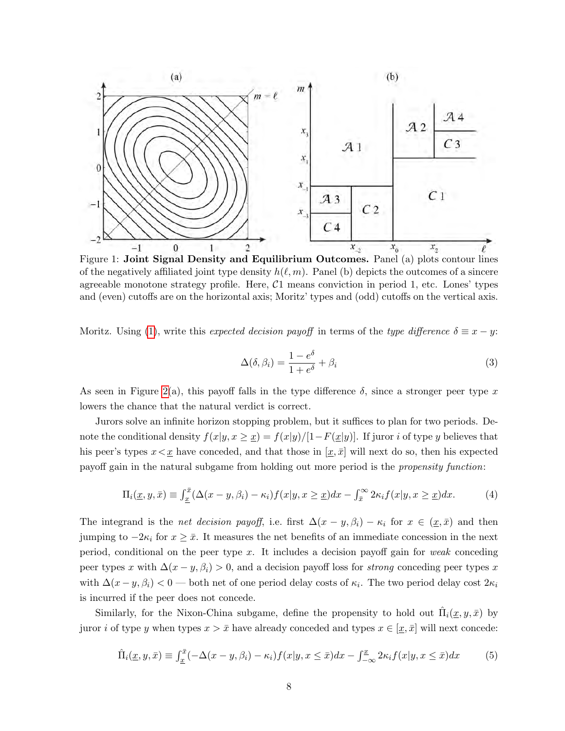

<span id="page-8-0"></span>Figure 1: Joint Signal Density and Equilibrium Outcomes. Panel (a) plots contour lines of the negatively affiliated joint type density  $h(\ell, m)$ . Panel (b) depicts the outcomes of a sincere agreeable monotone strategy profile. Here,  $C1$  means conviction in period 1, etc. Lones' types and (even) cutoffs are on the horizontal axis; Moritz' types and (odd) cutoffs on the vertical axis.

Moritz. Using [\(1\)](#page-5-4), write this expected decision payoff in terms of the type difference  $\delta \equiv x - y$ :

$$
\Delta(\delta, \beta_i) = \frac{1 - e^{\delta}}{1 + e^{\delta}} + \beta_i
$$
\n(3)

As seen in Figure [2\(](#page-13-1)a), this payoff falls in the type difference  $\delta$ , since a stronger peer type x lowers the chance that the natural verdict is correct.

Jurors solve an infinite horizon stopping problem, but it suffices to plan for two periods. Denote the conditional density  $f(x|y, x \geq \underline{x}) = f(x|y)/[1-F(\underline{x}|y)]$ . If juror *i* of type *y* believes that his peer's types  $x \leq \underline{x}$  have conceded, and that those in  $[\underline{x}, \overline{x}]$  will next do so, then his expected payoff gain in the natural subgame from holding out more period is the propensity function:

<span id="page-8-1"></span>
$$
\Pi_i(\underline{x}, y, \bar{x}) \equiv \int_{\underline{x}}^{\bar{x}} (\Delta(x - y, \beta_i) - \kappa_i) f(x | y, x \ge \underline{x}) dx - \int_{\bar{x}}^{\infty} 2\kappa_i f(x | y, x \ge \underline{x}) dx. \tag{4}
$$

The integrand is the *net decision payoff*, i.e. first  $\Delta(x - y, \beta_i) - \kappa_i$  for  $x \in (\underline{x}, \overline{x})$  and then jumping to  $-2\kappa_i$  for  $x \geq \bar{x}$ . It measures the net benefits of an immediate concession in the next period, conditional on the peer type  $x$ . It includes a decision payoff gain for *weak* conceding peer types x with  $\Delta(x - y, \beta_i) > 0$ , and a decision payoff loss for *strong* conceding peer types x with  $\Delta(x-y,\beta_i) < 0$  — both net of one period delay costs of  $\kappa_i$ . The two period delay cost  $2\kappa_i$ is incurred if the peer does not concede.

Similarly, for the Nixon-China subgame, define the propensity to hold out  $\hat{\Pi}_i(\underline{x}, y, \bar{x})$  by juror *i* of type y when types  $x > \bar{x}$  have already conceded and types  $x \in [\underline{x}, \bar{x}]$  will next concede:

<span id="page-8-2"></span>
$$
\hat{\Pi}_i(\underline{x}, y, \bar{x}) \equiv \int_{\underline{x}}^{\bar{x}} (-\Delta(x - y, \beta_i) - \kappa_i) f(x | y, x \le \bar{x}) dx - \int_{-\infty}^{\underline{x}} 2\kappa_i f(x | y, x \le \bar{x}) dx \tag{5}
$$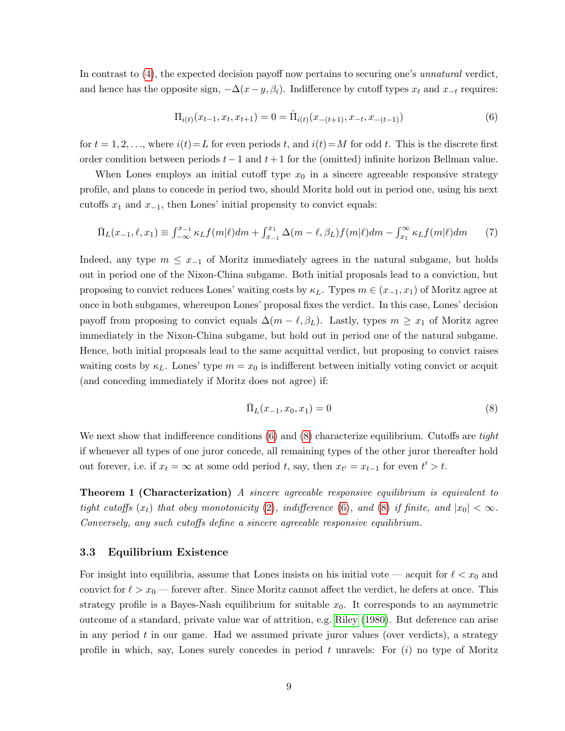In contrast to  $(4)$ , the expected decision payoff now pertains to securing one's unnatural verdict, and hence has the opposite sign,  $-\Delta(x-y, \beta_i)$ . Indifference by cutoff types  $x_t$  and  $x_{-t}$  requires:

<span id="page-9-1"></span>
$$
\Pi_{i(t)}(x_{t-1}, x_t, x_{t+1}) = 0 = \hat{\Pi}_{i(t)}(x_{-(t+1)}, x_{-t}, x_{-(t-1)})
$$
\n(6)

for  $t = 1, 2, \ldots$ , where  $i(t) = L$  for even periods t, and  $i(t) = M$  for odd t. This is the discrete first order condition between periods  $t-1$  and  $t+1$  for the (omitted) infinite horizon Bellman value.

When Lones employs an initial cutoff type  $x_0$  in a sincere agreeable responsive strategy profile, and plans to concede in period two, should Moritz hold out in period one, using his next cutoffs  $x_1$  and  $x_{-1}$ , then Lones' initial propensity to convict equals:

<span id="page-9-3"></span>
$$
\bar{\Pi}_L(x_{-1},\ell,x_1) \equiv \int_{-\infty}^{x_{-1}} \kappa_L f(m|\ell) dm + \int_{x_{-1}}^{x_1} \Delta(m-\ell,\beta_L) f(m|\ell) dm - \int_{x_1}^{\infty} \kappa_L f(m|\ell) dm \tag{7}
$$

Indeed, any type  $m \leq x_{-1}$  of Moritz immediately agrees in the natural subgame, but holds out in period one of the Nixon-China subgame. Both initial proposals lead to a conviction, but proposing to convict reduces Lones' waiting costs by  $\kappa_L$ . Types  $m \in (x_{-1}, x_1)$  of Moritz agree at once in both subgames, whereupon Lones' proposal fixes the verdict. In this case, Lones' decision payoff from proposing to convict equals  $\Delta(m - \ell, \beta_L)$ . Lastly, types  $m \geq x_1$  of Moritz agree immediately in the Nixon-China subgame, but hold out in period one of the natural subgame. Hence, both initial proposals lead to the same acquittal verdict, but proposing to convict raises waiting costs by  $\kappa_L$ . Lones' type  $m = x_0$  is indifferent between initially voting convict or acquit (and conceding immediately if Moritz does not agree) if:

<span id="page-9-2"></span>
$$
\bar{\Pi}_L(x_{-1}, x_0, x_1) = 0 \tag{8}
$$

We next show that indifference conditions  $(6)$  and  $(8)$  characterize equilibrium. Cutoffs are tight if whenever all types of one juror concede, all remaining types of the other juror thereafter hold out forever, i.e. if  $x_t = \infty$  at some odd period t, say, then  $x_{t'} = x_{t-1}$  for even  $t' > t$ .

<span id="page-9-0"></span>**Theorem 1 (Characterization)** A sincere agreeable responsive equilibrium is equivalent to tight cutoffs  $(x_t)$  that obey monotonicity [\(2\)](#page-7-3), indifference [\(6\)](#page-9-1), and [\(8\)](#page-9-2) if finite, and  $|x_0| < \infty$ . Conversely, any such cutoffs define a sincere agreeable responsive equilibrium.

### 3.3 Equilibrium Existence

For insight into equilibria, assume that Lones insists on his initial vote — acquit for  $\ell < x_0$  and convict for  $\ell > x_0$  — forever after. Since Moritz cannot affect the verdict, he defers at once. This strategy profile is a Bayes-Nash equilibrium for suitable  $x_0$ . It corresponds to an asymmetric outcome of a standard, private value war of attrition, e.g. [Riley \(1980\)](#page-48-12). But deference can arise in any period  $t$  in our game. Had we assumed private juror values (over verdicts), a strategy profile in which, say, Lones surely concedes in period  $t$  unravels: For  $(i)$  no type of Moritz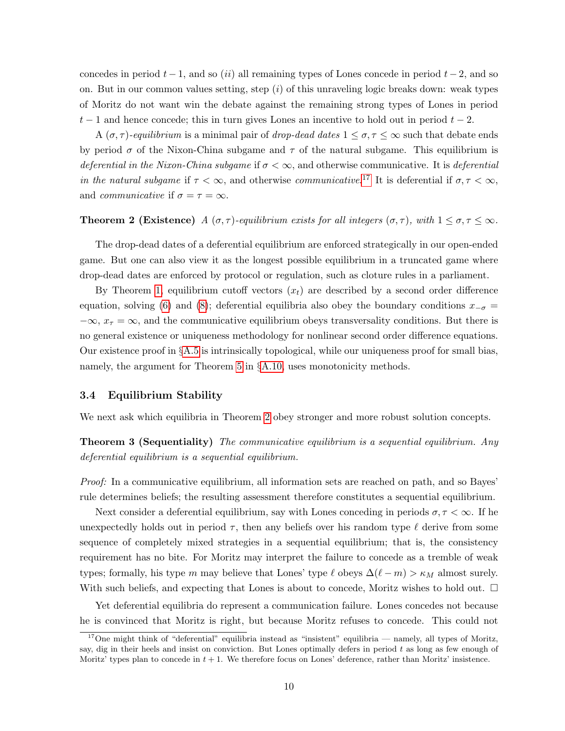concedes in period  $t - 1$ , and so (ii) all remaining types of Lones concede in period  $t - 2$ , and so on. But in our common values setting, step (i) of this unraveling logic breaks down: weak types of Moritz do not want win the debate against the remaining strong types of Lones in period  $t-1$  and hence concede; this in turn gives Lones an incentive to hold out in period  $t-2$ .

A  $(\sigma, \tau)$ -equilibrium is a minimal pair of *drop-dead dates*  $1 \leq \sigma, \tau \leq \infty$  such that debate ends by period  $\sigma$  of the Nixon-China subgame and  $\tau$  of the natural subgame. This equilibrium is deferential in the Nixon-China subgame if  $\sigma < \infty$ , and otherwise communicative. It is deferential in the natural subgame if  $\tau < \infty$ , and otherwise communicative.<sup>[17](#page-10-2)</sup> It is deferential if  $\sigma, \tau < \infty$ , and *communicative* if  $\sigma = \tau = \infty$ .

### <span id="page-10-0"></span>**Theorem 2 (Existence)** A  $(\sigma, \tau)$ -equilibrium exists for all integers  $(\sigma, \tau)$ , with  $1 \leq \sigma, \tau \leq \infty$ .

The drop-dead dates of a deferential equilibrium are enforced strategically in our open-ended game. But one can also view it as the longest possible equilibrium in a truncated game where drop-dead dates are enforced by protocol or regulation, such as cloture rules in a parliament.

By Theorem [1,](#page-9-0) equilibrium cutoff vectors  $(x_t)$  are described by a second order difference equation, solving [\(6\)](#page-9-1) and [\(8\)](#page-9-2); deferential equilibria also obey the boundary conditions  $x_{-\sigma}$  =  $-\infty$ ,  $x_{\tau} = \infty$ , and the communicative equilibrium obeys transversality conditions. But there is no general existence or uniqueness methodology for nonlinear second order difference equations. Our existence proof in §[A.5](#page-38-0) is intrinsically topological, while our uniqueness proof for small bias, namely, the argument for Theorem [5](#page-22-0) in §[A.10,](#page-44-0) uses monotonicity methods.

### 3.4 Equilibrium Stability

<span id="page-10-1"></span>We next ask which equilibria in Theorem [2](#page-10-0) obey stronger and more robust solution concepts.

**Theorem 3 (Sequentiality)** The communicative equilibrium is a sequential equilibrium. Any deferential equilibrium is a sequential equilibrium.

Proof: In a communicative equilibrium, all information sets are reached on path, and so Bayes' rule determines beliefs; the resulting assessment therefore constitutes a sequential equilibrium.

Next consider a deferential equilibrium, say with Lones conceding in periods  $\sigma, \tau < \infty$ . If he unexpectedly holds out in period  $\tau$ , then any beliefs over his random type  $\ell$  derive from some sequence of completely mixed strategies in a sequential equilibrium; that is, the consistency requirement has no bite. For Moritz may interpret the failure to concede as a tremble of weak types; formally, his type m may believe that Lones' type  $\ell$  obeys  $\Delta(\ell - m) > \kappa_M$  almost surely. With such beliefs, and expecting that Lones is about to concede, Moritz wishes to hold out.  $\Box$ 

Yet deferential equilibria do represent a communication failure. Lones concedes not because he is convinced that Moritz is right, but because Moritz refuses to concede. This could not

<span id="page-10-2"></span><sup>&</sup>lt;sup>17</sup>One might think of "deferential" equilibria instead as "insistent" equilibria — namely, all types of Moritz, say, dig in their heels and insist on conviction. But Lones optimally defers in period  $t$  as long as few enough of Moritz' types plan to concede in  $t + 1$ . We therefore focus on Lones' deference, rather than Moritz' insistence.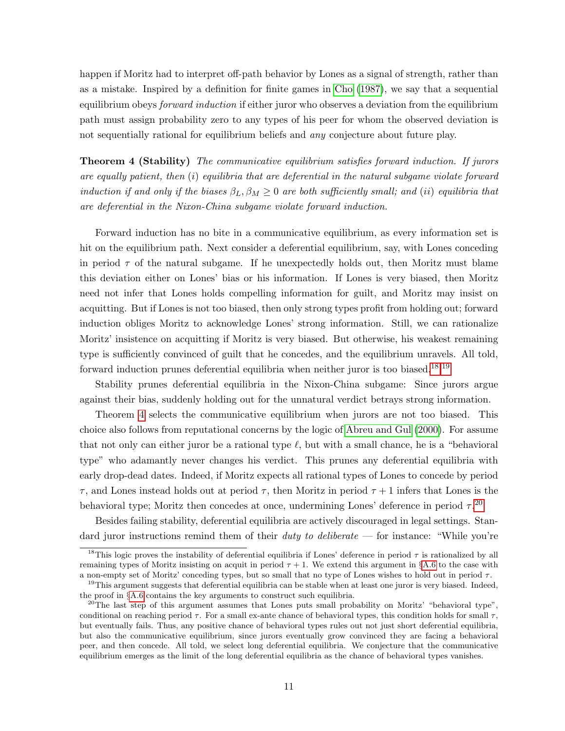happen if Moritz had to interpret off-path behavior by Lones as a signal of strength, rather than as a mistake. Inspired by a definition for finite games in [Cho \(1987\)](#page-47-9), we say that a sequential equilibrium obeys forward induction if either juror who observes a deviation from the equilibrium path must assign probability zero to any types of his peer for whom the observed deviation is not sequentially rational for equilibrium beliefs and any conjecture about future play.

<span id="page-11-0"></span>Theorem 4 (Stability) The communicative equilibrium satisfies forward induction. If jurors are equally patient, then (i) equilibria that are deferential in the natural subgame violate forward induction if and only if the biases  $\beta_L, \beta_M \geq 0$  are both sufficiently small; and (ii) equilibria that are deferential in the Nixon-China subgame violate forward induction.

Forward induction has no bite in a communicative equilibrium, as every information set is hit on the equilibrium path. Next consider a deferential equilibrium, say, with Lones conceding in period  $\tau$  of the natural subgame. If he unexpectedly holds out, then Moritz must blame this deviation either on Lones' bias or his information. If Lones is very biased, then Moritz need not infer that Lones holds compelling information for guilt, and Moritz may insist on acquitting. But if Lones is not too biased, then only strong types profit from holding out; forward induction obliges Moritz to acknowledge Lones' strong information. Still, we can rationalize Moritz' insistence on acquitting if Moritz is very biased. But otherwise, his weakest remaining type is sufficiently convinced of guilt that he concedes, and the equilibrium unravels. All told, forward induction prunes deferential equilibria when neither juror is too biased.<sup>[18](#page-11-1),[19](#page-11-2)</sup>

Stability prunes deferential equilibria in the Nixon-China subgame: Since jurors argue against their bias, suddenly holding out for the unnatural verdict betrays strong information.

Theorem [4](#page-11-0) selects the communicative equilibrium when jurors are not too biased. This choice also follows from reputational concerns by the logic of [Abreu and Gul \(2000\)](#page-47-10). For assume that not only can either juror be a rational type  $\ell$ , but with a small chance, he is a "behavioral" type" who adamantly never changes his verdict. This prunes any deferential equilibria with early drop-dead dates. Indeed, if Moritz expects all rational types of Lones to concede by period  $\tau$ , and Lones instead holds out at period  $\tau$ , then Moritz in period  $\tau + 1$  infers that Lones is the behavioral type; Moritz then concedes at once, undermining Lones' deference in period  $\tau$ .<sup>[20](#page-11-3)</sup>

Besides failing stability, deferential equilibria are actively discouraged in legal settings. Standard juror instructions remind them of their *duty to deliberate* — for instance: "While you're

<span id="page-11-1"></span><sup>&</sup>lt;sup>18</sup>This logic proves the instability of deferential equilibria if Lones' deference in period  $\tau$  is rationalized by all remaining types of Moritz insisting on acquit in period  $\tau + 1$ . We extend this argument in §[A.6](#page-41-0) to the case with a non-empty set of Moritz' conceding types, but so small that no type of Lones wishes to hold out in period  $\tau$ .

<span id="page-11-2"></span> $19$ This argument suggests that deferential equilibria can be stable when at least one juror is very biased. Indeed, the proof in §[A.6](#page-41-0) contains the key arguments to construct such equilibria.

<span id="page-11-3"></span><sup>&</sup>lt;sup>20</sup>The last step of this argument assumes that Lones puts small probability on Moritz' "behavioral type", conditional on reaching period  $\tau$ . For a small ex-ante chance of behavioral types, this condition holds for small  $\tau$ , but eventually fails. Thus, any positive chance of behavioral types rules out not just short deferential equilibria, but also the communicative equilibrium, since jurors eventually grow convinced they are facing a behavioral peer, and then concede. All told, we select long deferential equilibria. We conjecture that the communicative equilibrium emerges as the limit of the long deferential equilibria as the chance of behavioral types vanishes.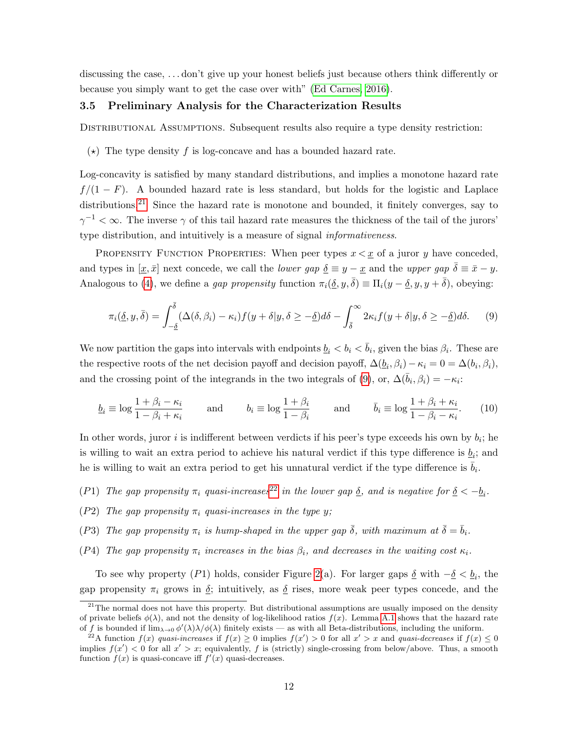discussing the case, . . . don't give up your honest beliefs just because others think differently or because you simply want to get the case over with" [\(Ed Carnes, 2016\)](#page-47-8).

### <span id="page-12-4"></span>3.5 Preliminary Analysis for the Characterization Results

DISTRIBUTIONAL ASSUMPTIONS. Subsequent results also require a type density restriction:

 $(\star)$  The type density f is log-concave and has a bounded hazard rate.

Log-concavity is satisfied by many standard distributions, and implies a monotone hazard rate  $f/(1 - F)$ . A bounded hazard rate is less standard, but holds for the logistic and Laplace distributions.<sup>[21](#page-12-0)</sup> Since the hazard rate is monotone and bounded, it finitely converges, say to  $\gamma^{-1} < \infty$ . The inverse  $\gamma$  of this tail hazard rate measures the thickness of the tail of the jurors' type distribution, and intuitively is a measure of signal informativeness.

PROPENSITY FUNCTION PROPERTIES: When peer types  $x < \underline{x}$  of a juror y have conceded, and types in  $[\underline{x}, \overline{x}]$  next concede, we call the *lower gap*  $\underline{\delta} \equiv y - \underline{x}$  and the *upper gap*  $\overline{\delta} \equiv \overline{x} - y$ . Analogous to [\(4\)](#page-8-1), we define a gap propensity function  $\pi_i(\underline{\delta}, y, \overline{\delta}) \equiv \Pi_i(y - \underline{\delta}, y, y + \overline{\delta})$ , obeying:

<span id="page-12-1"></span>
$$
\pi_i(\underline{\delta}, y, \overline{\delta}) = \int_{-\underline{\delta}}^{\overline{\delta}} (\Delta(\delta, \beta_i) - \kappa_i) f(y + \delta | y, \delta \ge -\underline{\delta}) d\delta - \int_{\overline{\delta}}^{\infty} 2\kappa_i f(y + \delta | y, \delta \ge -\underline{\delta}) d\delta. \tag{9}
$$

We now partition the gaps into intervals with endpoints  $\underline{b}_i < b_i < \overline{b}_i$ , given the bias  $\beta_i$ . These are the respective roots of the net decision payoff and decision payoff,  $\Delta(\underline{b}_i, \beta_i) - \kappa_i = 0 = \Delta(b_i, \beta_i)$ , and the crossing point of the integrands in the two integrals of [\(9\)](#page-12-1), or,  $\Delta(\bar{b}_i, \beta_i) = -\kappa_i$ :

<span id="page-12-3"></span>
$$
\underline{b}_i \equiv \log \frac{1 + \beta_i - \kappa_i}{1 - \beta_i + \kappa_i} \quad \text{and} \quad b_i \equiv \log \frac{1 + \beta_i}{1 - \beta_i} \quad \text{and} \quad \bar{b}_i \equiv \log \frac{1 + \beta_i + \kappa_i}{1 - \beta_i - \kappa_i}.
$$
 (10)

In other words, juror  $i$  is indifferent between verdicts if his peer's type exceeds his own by  $b_i$ ; he is willing to wait an extra period to achieve his natural verdict if this type difference is  $\underline{b}_i$ ; and he is willing to wait an extra period to get his unnatural verdict if the type difference is  $\bar{b}_i$ .

- (P1) The gap propensity  $\pi_i$  quasi-increases<sup>[22](#page-12-2)</sup> in the lower gap  $\underline{\delta}$ , and is negative for  $\underline{\delta} < -\underline{b}_i$ .
- (P2) The gap propensity  $\pi_i$  quasi-increases in the type y;
- (P3) The gap propensity  $\pi_i$  is hump-shaped in the upper gap  $\bar{\delta}$ , with maximum at  $\bar{\delta} = \bar{b}_i$ .
- (P4) The gap propensity  $\pi_i$  increases in the bias  $\beta_i$ , and decreases in the waiting cost  $\kappa_i$ .

To see why property (P1) holds, consider Figure [2\(](#page-13-1)a). For larger gaps  $\delta$  with  $-\delta < \underline{b}_i$ , the gap propensity  $\pi_i$  grows in  $\delta$ ; intuitively, as  $\delta$  rises, more weak peer types concede, and the

<span id="page-12-0"></span> $21$ The normal does not have this property. But distributional assumptions are usually imposed on the density of private beliefs  $\phi(\lambda)$ , and not the density of log-likelihood ratios  $f(x)$ . Lemma [A.1](#page-30-1) shows that the hazard rate of f is bounded if  $\lim_{\lambda\to 0}\phi'(\lambda)\lambda/\phi(\lambda)$  finitely exists — as with all Beta-distributions, including the uniform.

<span id="page-12-2"></span><sup>&</sup>lt;sup>22</sup>A function  $f(x)$  quasi-increases if  $f(x) \ge 0$  implies  $f(x') > 0$  for all  $x' > x$  and quasi-decreases if  $f(x) \le 0$ implies  $f(x') < 0$  for all  $x' > x$ ; equivalently, f is (strictly) single-crossing from below/above. Thus, a smooth function  $f(x)$  is quasi-concave iff  $f'(x)$  quasi-decreases.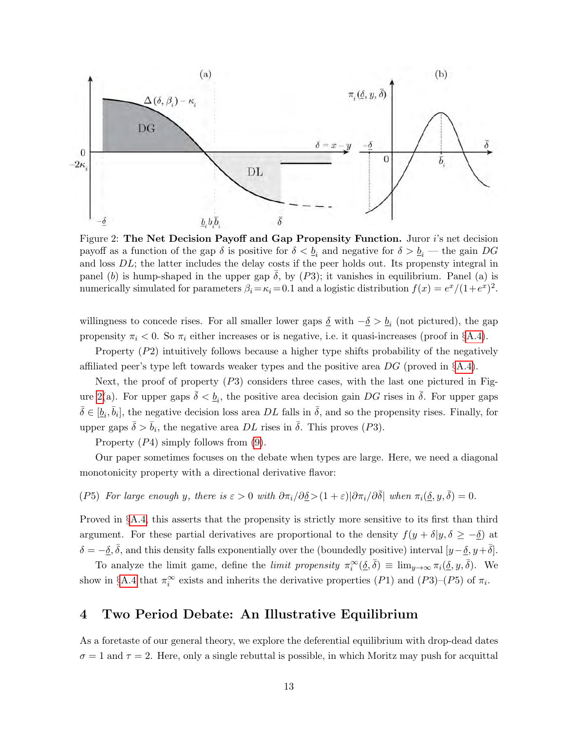

<span id="page-13-1"></span>Figure 2: The Net Decision Payoff and Gap Propensity Function. Juror *i*'s net decision payoff as a function of the gap  $\delta$  is positive for  $\delta < \underline{b}_i$  and negative for  $\delta > \underline{b}_i$  — the gain DG and loss DL; the latter includes the delay costs if the peer holds out. Its propensty integral in panel (b) is hump-shaped in the upper gap  $\delta$ , by (P3); it vanishes in equilibrium. Panel (a) is numerically simulated for parameters  $\beta_i = \kappa_i = 0.1$  and a logistic distribution  $f(x) = e^x/(1+e^x)^2$ .

willingness to concede rises. For all smaller lower gaps  $\delta$  with  $-\delta > b_i$  (not pictured), the gap propensity  $\pi_i < 0$ . So  $\pi_i$  either increases or is negative, i.e. it quasi-increases (proof in §[A.4\)](#page-34-0).

Property (P2) intuitively follows because a higher type shifts probability of the negatively affiliated peer's type left towards weaker types and the positive area  $DG$  (proved in  $\S$ [A.4\)](#page-34-0).

Next, the proof of property  $(P3)$  considers three cases, with the last one pictured in Fig-ure [2\(](#page-13-1)a). For upper gaps  $\bar{\delta} < \underline{b}_i$ , the positive area decision gain DG rises in  $\bar{\delta}$ . For upper gaps  $\bar{\delta} \in [\underline{b}_i, \bar{b}_i]$ , the negative decision loss area  $DL$  falls in  $\bar{\delta}$ , and so the propensity rises. Finally, for upper gaps  $\bar{\delta} > \bar{b}_i$ , the negative area DL rises in  $\bar{\delta}$ . This proves (P3).

Property (P4) simply follows from [\(9\)](#page-12-1).

Our paper sometimes focuses on the debate when types are large. Here, we need a diagonal monotonicity property with a directional derivative flavor:

(P5) For large enough y, there is  $\varepsilon > 0$  with  $\partial \pi_i/\partial \underline{\delta} > (1 + \varepsilon) |\partial \pi_i/\partial \overline{\delta}|$  when  $\pi_i(\underline{\delta}, y, \overline{\delta}) = 0$ .

Proved in §[A.4,](#page-34-0) this asserts that the propensity is strictly more sensitive to its first than third argument. For these partial derivatives are proportional to the density  $f(y + \delta | y, \delta \geq -\underline{\delta})$  at  $\delta = -\underline{\delta}, \bar{\delta}$ , and this density falls exponentially over the (boundedly positive) interval  $[y-\underline{\delta}, y+\bar{\delta}]$ .

To analyze the limit game, define the *limit propensity*  $\pi_i^{\infty}(\underline{\delta}, \overline{\delta}) \equiv \lim_{y \to \infty} \pi_i(\underline{\delta}, y, \overline{\delta})$ . We show in §[A.4](#page-34-0) that  $\pi_i^{\infty}$  exists and inherits the derivative properties  $(P1)$  and  $(P3)-(P5)$  of  $\pi_i$ .

### <span id="page-13-0"></span>4 Two Period Debate: An Illustrative Equilibrium

As a foretaste of our general theory, we explore the deferential equilibrium with drop-dead dates  $\sigma = 1$  and  $\tau = 2$ . Here, only a single rebuttal is possible, in which Moritz may push for acquittal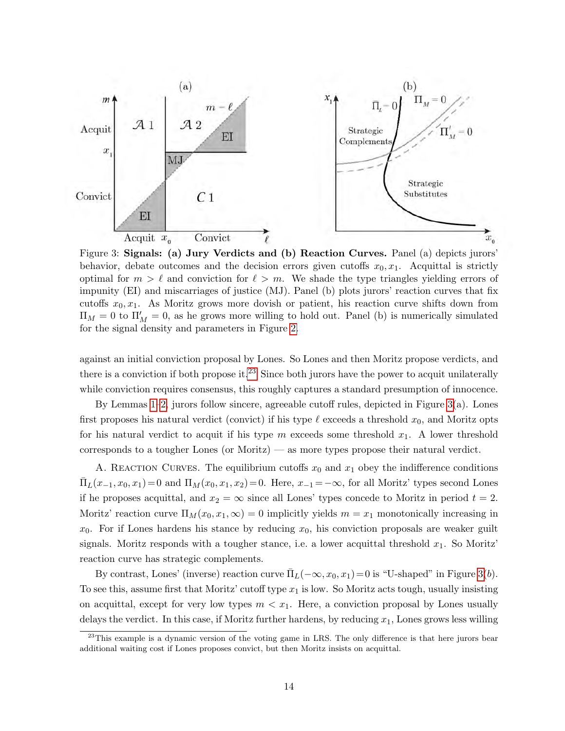

<span id="page-14-1"></span>Figure 3: Signals: (a) Jury Verdicts and (b) Reaction Curves. Panel (a) depicts jurors' behavior, debate outcomes and the decision errors given cutoffs  $x_0, x_1$ . Acquittal is strictly optimal for  $m > \ell$  and conviction for  $\ell > m$ . We shade the type triangles yielding errors of impunity (EI) and miscarriages of justice (MJ). Panel (b) plots jurors' reaction curves that fix cutoffs  $x_0, x_1$ . As Moritz grows more dovish or patient, his reaction curve shifts down from  $\Pi_M = 0$  to  $\Pi'_M = 0$ , as he grows more willing to hold out. Panel (b) is numerically simulated for the signal density and parameters in Figure [2.](#page-13-1)

against an initial conviction proposal by Lones. So Lones and then Moritz propose verdicts, and there is a conviction if both propose it.<sup>[23](#page-14-0)</sup> Since both jurors have the power to acquit unilaterally while conviction requires consensus, this roughly captures a standard presumption of innocence.

By Lemmas [1](#page-6-4)[–2,](#page-7-4) jurors follow sincere, agreeable cutoff rules, depicted in Figure [3\(](#page-14-1)a). Lones first proposes his natural verdict (convict) if his type  $\ell$  exceeds a threshold  $x_0$ , and Moritz opts for his natural verdict to acquit if his type m exceeds some threshold  $x_1$ . A lower threshold corresponds to a tougher Lones (or Moritz) — as more types propose their natural verdict.

A. REACTION CURVES. The equilibrium cutoffs  $x_0$  and  $x_1$  obey the indifference conditions  $\Pi_L(x_{-1}, x_0, x_1) = 0$  and  $\Pi_M(x_0, x_1, x_2) = 0$ . Here,  $x_{-1} = -\infty$ , for all Moritz' types second Lones if he proposes acquittal, and  $x_2 = \infty$  since all Lones' types concede to Moritz in period  $t = 2$ . Moritz' reaction curve  $\Pi_M(x_0, x_1, \infty) = 0$  implicitly yields  $m = x_1$  monotonically increasing in  $x_0$ . For if Lones hardens his stance by reducing  $x_0$ , his conviction proposals are weaker guilt signals. Moritz responds with a tougher stance, i.e. a lower acquittal threshold  $x_1$ . So Moritz' reaction curve has strategic complements.

By contrast, Lones' (inverse) reaction curve  $\Pi_L(-\infty, x_0, x_1) = 0$  is "U-shaped" in Figure [3\(](#page-14-1)b). To see this, assume first that Moritz' cutoff type  $x_1$  is low. So Moritz acts tough, usually insisting on acquittal, except for very low types  $m < x_1$ . Here, a conviction proposal by Lones usually delays the verdict. In this case, if Moritz further hardens, by reducing  $x_1$ , Lones grows less willing

<span id="page-14-0"></span><sup>&</sup>lt;sup>23</sup>This example is a dynamic version of the voting game in LRS. The only difference is that here jurors bear additional waiting cost if Lones proposes convict, but then Moritz insists on acquittal.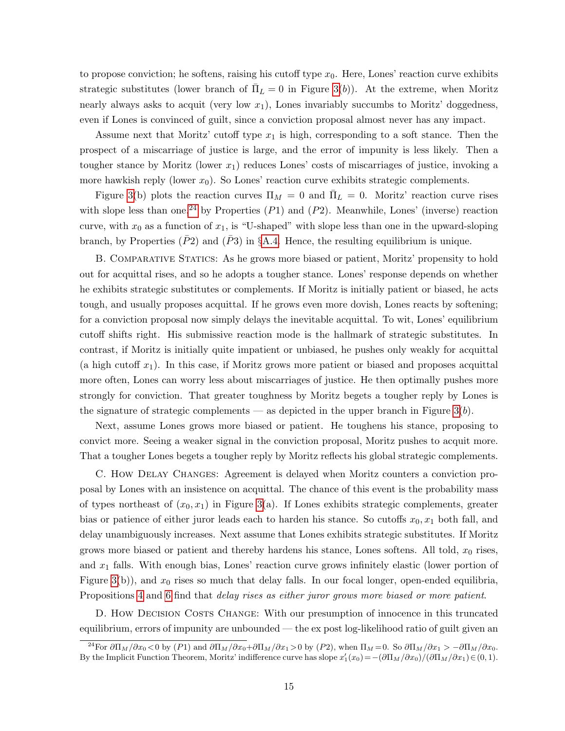to propose conviction; he softens, raising his cutoff type  $x_0$ . Here, Lones' reaction curve exhibits strategic substitutes (lower branch of  $\Pi_L = 0$  in Figure [3\(](#page-14-1)b)). At the extreme, when Moritz nearly always asks to acquit (very low  $x_1$ ), Lones invariably succumbs to Moritz' doggedness, even if Lones is convinced of guilt, since a conviction proposal almost never has any impact.

Assume next that Moritz' cutoff type  $x_1$  is high, corresponding to a soft stance. Then the prospect of a miscarriage of justice is large, and the error of impunity is less likely. Then a tougher stance by Moritz (lower  $x_1$ ) reduces Lones' costs of miscarriages of justice, invoking a more hawkish reply (lower  $x_0$ ). So Lones' reaction curve exhibits strategic complements.

Figure [3\(](#page-14-1)b) plots the reaction curves  $\Pi_M = 0$  and  $\overline{\Pi}_L = 0$ . Moritz' reaction curve rises with slope less than one,<sup>[24](#page-15-0)</sup> by Properties  $(P1)$  and  $(P2)$ . Meanwhile, Lones' (inverse) reaction curve, with  $x_0$  as a function of  $x_1$ , is "U-shaped" with slope less than one in the upward-sloping branch, by Properties ( $\overline{P}2$ ) and ( $\overline{P}3$ ) in §[A.4.](#page-34-0) Hence, the resulting equilibrium is unique.

B. Comparative Statics: As he grows more biased or patient, Moritz' propensity to hold out for acquittal rises, and so he adopts a tougher stance. Lones' response depends on whether he exhibits strategic substitutes or complements. If Moritz is initially patient or biased, he acts tough, and usually proposes acquittal. If he grows even more dovish, Lones reacts by softening; for a conviction proposal now simply delays the inevitable acquittal. To wit, Lones' equilibrium cutoff shifts right. His submissive reaction mode is the hallmark of strategic substitutes. In contrast, if Moritz is initially quite impatient or unbiased, he pushes only weakly for acquittal (a high cutoff  $x_1$ ). In this case, if Moritz grows more patient or biased and proposes acquittal more often, Lones can worry less about miscarriages of justice. He then optimally pushes more strongly for conviction. That greater toughness by Moritz begets a tougher reply by Lones is the signature of strategic complements — as depicted in the upper branch in Figure  $3(b)$ .

Next, assume Lones grows more biased or patient. He toughens his stance, proposing to convict more. Seeing a weaker signal in the conviction proposal, Moritz pushes to acquit more. That a tougher Lones begets a tougher reply by Moritz reflects his global strategic complements.

C. How Delay Changes: Agreement is delayed when Moritz counters a conviction proposal by Lones with an insistence on acquittal. The chance of this event is the probability mass of types northeast of  $(x_0, x_1)$  in Figure [3\(](#page-14-1)a). If Lones exhibits strategic complements, greater bias or patience of either juror leads each to harden his stance. So cutoffs  $x_0, x_1$  both fall, and delay unambiguously increases. Next assume that Lones exhibits strategic substitutes. If Moritz grows more biased or patient and thereby hardens his stance, Lones softens. All told,  $x_0$  rises, and  $x_1$  falls. With enough bias, Lones' reaction curve grows infinitely elastic (lower portion of Figure [3\(](#page-14-1)b)), and  $x_0$  rises so much that delay falls. In our focal longer, open-ended equilibria, Propositions [4](#page-23-0) and [6](#page-26-0) find that *delay rises as either juror grows more biased or more patient.* 

D. How DECISION COSTS CHANGE: With our presumption of innocence in this truncated equilibrium, errors of impunity are unbounded — the ex post log-likelihood ratio of guilt given an

<span id="page-15-0"></span><sup>&</sup>lt;sup>24</sup>For  $\frac{\partial \Pi_M}{\partial x_0}$  < 0 by (P1) and  $\frac{\partial \Pi_M}{\partial x_0}$ + $\frac{\partial \Pi_M}{\partial x_1}$  > 0 by (P2), when  $\Pi_M = 0$ . So  $\frac{\partial \Pi_M}{\partial x_1}$  >  $-\frac{\partial \Pi_M}{\partial x_0}$ . By the Implicit Function Theorem, Moritz' indifference curve has slope  $x_1'(x_0) = -(\partial \Pi_M/\partial x_0)/(\partial \Pi_M/\partial x_1) \in (0,1)$ .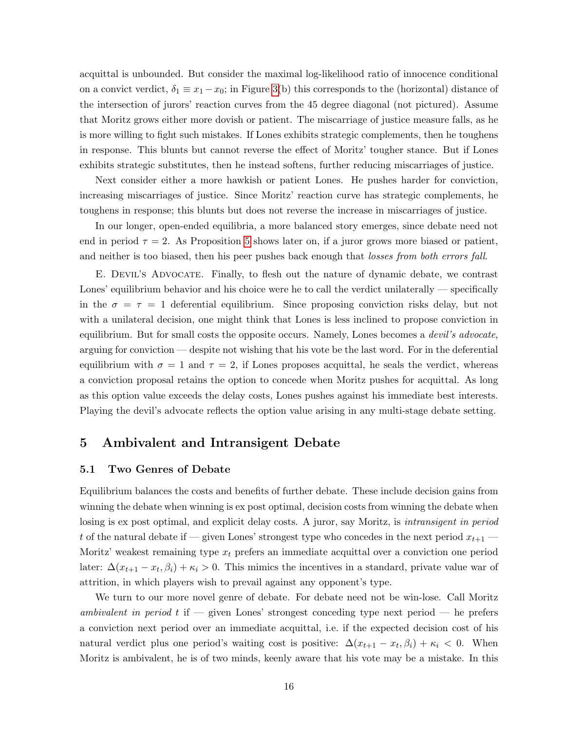acquittal is unbounded. But consider the maximal log-likelihood ratio of innocence conditional on a convict verdict,  $\delta_1 \equiv x_1 - x_0$ ; in Figure [3\(](#page-14-1)b) this corresponds to the (horizontal) distance of the intersection of jurors' reaction curves from the 45 degree diagonal (not pictured). Assume that Moritz grows either more dovish or patient. The miscarriage of justice measure falls, as he is more willing to fight such mistakes. If Lones exhibits strategic complements, then he toughens in response. This blunts but cannot reverse the effect of Moritz' tougher stance. But if Lones exhibits strategic substitutes, then he instead softens, further reducing miscarriages of justice.

Next consider either a more hawkish or patient Lones. He pushes harder for conviction, increasing miscarriages of justice. Since Moritz' reaction curve has strategic complements, he toughens in response; this blunts but does not reverse the increase in miscarriages of justice.

In our longer, open-ended equilibria, a more balanced story emerges, since debate need not end in period  $\tau = 2$ . As Proposition [5](#page-24-0) shows later on, if a juror grows more biased or patient, and neither is too biased, then his peer pushes back enough that *losses from both errors fall*.

E. Devil's Advocate. Finally, to flesh out the nature of dynamic debate, we contrast Lones' equilibrium behavior and his choice were he to call the verdict unilaterally — specifically in the  $\sigma = \tau = 1$  deferential equilibrium. Since proposing conviction risks delay, but not with a unilateral decision, one might think that Lones is less inclined to propose conviction in equilibrium. But for small costs the opposite occurs. Namely, Lones becomes a *devil's advocate*, arguing for conviction — despite not wishing that his vote be the last word. For in the deferential equilibrium with  $\sigma = 1$  and  $\tau = 2$ , if Lones proposes acquittal, he seals the verdict, whereas a conviction proposal retains the option to concede when Moritz pushes for acquittal. As long as this option value exceeds the delay costs, Lones pushes against his immediate best interests. Playing the devil's advocate reflects the option value arising in any multi-stage debate setting.

### <span id="page-16-0"></span>5 Ambivalent and Intransigent Debate

### 5.1 Two Genres of Debate

Equilibrium balances the costs and benefits of further debate. These include decision gains from winning the debate when winning is ex post optimal, decision costs from winning the debate when losing is ex post optimal, and explicit delay costs. A juror, say Moritz, is intransigent in period t of the natural debate if — given Lones' strongest type who concedes in the next period  $x_{t+1}$  — Moritz' weakest remaining type  $x_t$  prefers an immediate acquittal over a conviction one period later:  $\Delta(x_{t+1} - x_t, \beta_i) + \kappa_i > 0$ . This mimics the incentives in a standard, private value war of attrition, in which players wish to prevail against any opponent's type.

We turn to our more novel genre of debate. For debate need not be win-lose. Call Moritz ambivalent in period t if  $-$  given Lones' strongest conceding type next period  $-$  he prefers a conviction next period over an immediate acquittal, i.e. if the expected decision cost of his natural verdict plus one period's waiting cost is positive:  $\Delta(x_{t+1} - x_t, \beta_i) + \kappa_i < 0$ . When Moritz is ambivalent, he is of two minds, keenly aware that his vote may be a mistake. In this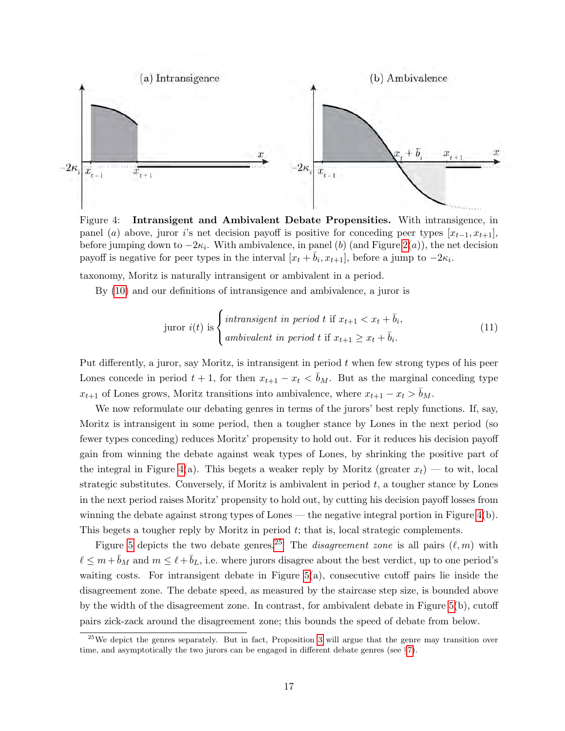

<span id="page-17-0"></span>Figure 4: Intransigent and Ambivalent Debate Propensities. With intransigence, in panel (a) above, juror i's net decision payoff is positive for conceding peer types  $[x_{t-1}, x_{t+1}]$ , before jumping down to  $-2\kappa_i$ . With ambivalence, in panel (b) (and Figure [2\(](#page-13-1)a)), the net decision payoff is negative for peer types in the interval  $[x_t + \overline{b}_i, x_{t+1}]$ , before a jump to  $-2\kappa_i$ .

taxonomy, Moritz is naturally intransigent or ambivalent in a period.

By [\(10\)](#page-12-3) and our definitions of intransigence and ambivalence, a juror is

<span id="page-17-2"></span>
$$
\text{juror } i(t) \text{ is } \begin{cases} \text{intransigent in period } t \text{ if } x_{t+1} < x_t + \bar{b}_i, \\ \text{ambivalent in period } t \text{ if } x_{t+1} \ge x_t + \bar{b}_i. \end{cases} \tag{11}
$$

Put differently, a juror, say Moritz, is intransigent in period  $t$  when few strong types of his peer Lones concede in period  $t + 1$ , for then  $x_{t+1} - x_t < \bar{b}_M$ . But as the marginal conceding type  $x_{t+1}$  of Lones grows, Moritz transitions into ambivalence, where  $x_{t+1} - x_t > \bar{b}_M$ .

We now reformulate our debating genres in terms of the jurors' best reply functions. If, say, Moritz is intransigent in some period, then a tougher stance by Lones in the next period (so fewer types conceding) reduces Moritz' propensity to hold out. For it reduces his decision payoff gain from winning the debate against weak types of Lones, by shrinking the positive part of the integral in Figure [4\(](#page-17-0)a). This begets a weaker reply by Moritz (greater  $x_t$ ) — to wit, local strategic substitutes. Conversely, if Moritz is ambivalent in period  $t$ , a tougher stance by Lones in the next period raises Moritz' propensity to hold out, by cutting his decision payoff losses from winning the debate against strong types of Lones — the negative integral portion in Figure [4\(](#page-17-0)b). This begets a tougher reply by Moritz in period  $t$ ; that is, local strategic complements.

Figure [5](#page-18-0) depicts the two debate genres.<sup>[25](#page-17-1)</sup> The *disagreement zone* is all pairs  $(\ell, m)$  with  $\ell \le m+\bar{b}_M$  and  $m \le \ell+\bar{b}_L$ , i.e. where jurors disagree about the best verdict, up to one period's waiting costs. For intransigent debate in Figure  $5(a)$ , consecutive cutoff pairs lie inside the disagreement zone. The debate speed, as measured by the staircase step size, is bounded above by the width of the disagreement zone. In contrast, for ambivalent debate in Figure [5\(](#page-18-0)b), cutoff pairs zick-zack around the disagreement zone; this bounds the speed of debate from below.

<span id="page-17-1"></span> $25$ We depict the genres separately. But in fact, Proposition [3](#page-20-0) will argue that the genre may transition over time, and asymptotically the two jurors can be engaged in different debate genres (see §[7\)](#page-24-1).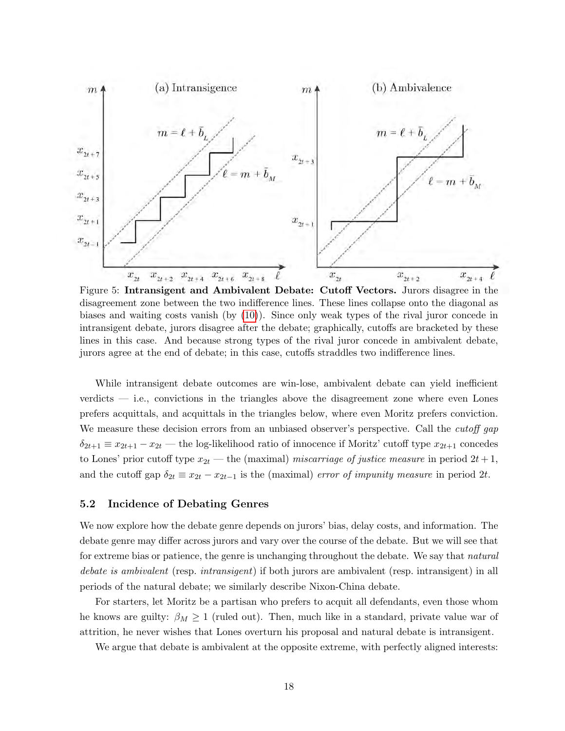

<span id="page-18-0"></span>Figure 5: Intransigent and Ambivalent Debate: Cutoff Vectors. Jurors disagree in the disagreement zone between the two indifference lines. These lines collapse onto the diagonal as biases and waiting costs vanish (by [\(10\)](#page-12-3)). Since only weak types of the rival juror concede in intransigent debate, jurors disagree after the debate; graphically, cutoffs are bracketed by these lines in this case. And because strong types of the rival juror concede in ambivalent debate, jurors agree at the end of debate; in this case, cutoffs straddles two indifference lines.

While intransigent debate outcomes are win-lose, ambivalent debate can yield inefficient verdicts  $-$  i.e., convictions in the triangles above the disagreement zone where even Lones prefers acquittals, and acquittals in the triangles below, where even Moritz prefers conviction. We measure these decision errors from an unbiased observer's perspective. Call the *cutoff gap*  $\delta_{2t+1} \equiv x_{2t+1} - x_{2t}$  — the log-likelihood ratio of innocence if Moritz' cutoff type  $x_{2t+1}$  concedes to Lones' prior cutoff type  $x_{2t}$  — the (maximal) miscarriage of justice measure in period  $2t + 1$ , and the cutoff gap  $\delta_{2t} \equiv x_{2t} - x_{2t-1}$  is the (maximal) error of impunity measure in period 2t.

### 5.2 Incidence of Debating Genres

We now explore how the debate genre depends on jurors' bias, delay costs, and information. The debate genre may differ across jurors and vary over the course of the debate. But we will see that for extreme bias or patience, the genre is unchanging throughout the debate. We say that natural debate is ambivalent (resp. intransigent) if both jurors are ambivalent (resp. intransigent) in all periods of the natural debate; we similarly describe Nixon-China debate.

For starters, let Moritz be a partisan who prefers to acquit all defendants, even those whom he knows are guilty:  $\beta_M \geq 1$  (ruled out). Then, much like in a standard, private value war of attrition, he never wishes that Lones overturn his proposal and natural debate is intransigent.

We argue that debate is ambivalent at the opposite extreme, with perfectly aligned interests: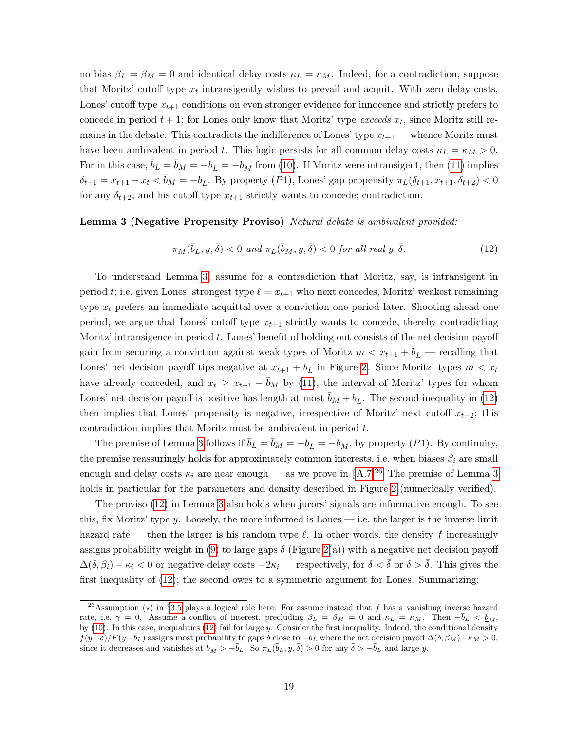no bias  $\beta_L = \beta_M = 0$  and identical delay costs  $\kappa_L = \kappa_M$ . Indeed, for a contradiction, suppose that Moritz' cutoff type  $x_t$  intransigently wishes to prevail and acquit. With zero delay costs, Lones' cutoff type  $x_{t+1}$  conditions on even stronger evidence for innocence and strictly prefers to concede in period  $t + 1$ ; for Lones only know that Moritz' type *exceeds*  $x_t$ , since Moritz still remains in the debate. This contradicts the indifference of Lones' type  $x_{t+1}$  — whence Moritz must have been ambivalent in period t. This logic persists for all common delay costs  $\kappa_L = \kappa_M > 0$ . For in this case,  $\bar{b}_L = \bar{b}_M = -\underline{b}_L = -\underline{b}_M$  from [\(10\)](#page-12-3). If Moritz were intransigent, then [\(11\)](#page-17-2) implies  $\delta_{t+1} = x_{t+1} - x_t < \bar{b}_M = -b_L$ . By property (P1), Lones' gap propensity  $\pi_L(\delta_{t+1}, x_{t+1}, \delta_{t+2}) < 0$ for any  $\delta_{t+2}$ , and his cutoff type  $x_{t+1}$  strictly wants to concede; contradiction.

#### <span id="page-19-1"></span>Lemma 3 (Negative Propensity Proviso) Natural debate is ambivalent provided:

<span id="page-19-2"></span>
$$
\pi_M(\bar{b}_L, y, \bar{\delta}) < 0 \text{ and } \pi_L(\bar{b}_M, y, \bar{\delta}) < 0 \text{ for all real } y, \bar{\delta}. \tag{12}
$$

To understand Lemma [3,](#page-19-1) assume for a contradiction that Moritz, say, is intransigent in period t; i.e. given Lones' strongest type  $\ell = x_{t+1}$  who next concedes, Moritz' weakest remaining type  $x_t$  prefers an immediate acquittal over a conviction one period later. Shooting ahead one period, we argue that Lones' cutoff type  $x_{t+1}$  strictly wants to concede, thereby contradicting Moritz' intransigence in period  $t$ . Lones' benefit of holding out consists of the net decision payoff gain from securing a conviction against weak types of Moritz  $m < x_{t+1} + b_L$  — recalling that Lones' net decision payoff tips negative at  $x_{t+1} + \underline{b}_L$  in Figure [2.](#page-13-1) Since Moritz' types  $m < x_t$ have already conceded, and  $x_t \geq x_{t+1} - b_M$  by [\(11\)](#page-17-2), the interval of Moritz' types for whom Lones' net decision payoff is positive has length at most  $\bar{b}_M + \underline{b}_L$ . The second inequality in [\(12\)](#page-19-2) then implies that Lones' propensity is negative, irrespective of Moritz' next cutoff  $x_{t+2}$ ; this contradiction implies that Moritz must be ambivalent in period t.

The premise of Lemma [3](#page-19-1) follows if  $\bar{b}_L = \bar{b}_M = -\underline{b}_L = -\underline{b}_M$ , by property (P1). By continuity, the premise reassuringly holds for approximately common interests, i.e. when biases  $\beta_i$  are small enough and delay costs  $\kappa_i$  are near enough — as we prove in §[A.7.](#page-41-1)<sup>[26](#page-19-3)</sup> The premise of Lemma [3](#page-19-1) holds in particular for the parameters and density described in Figure [2](#page-13-1) (numerically verified).

The proviso [\(12\)](#page-19-2) in Lemma [3](#page-19-1) also holds when jurors' signals are informative enough. To see this, fix Moritz' type y. Loosely, the more informed is Lones  $-$  i.e. the larger is the inverse limit hazard rate — then the larger is his random type  $\ell$ . In other words, the density f increasingly assigns probability weight in [\(9\)](#page-12-1) to large gaps  $\delta$  (Figure [2\(](#page-13-1)a)) with a negative net decision payoff  $\Delta(\delta, \beta_i) - \kappa_i < 0$  or negative delay costs  $-2\kappa_i$  — respectively, for  $\delta < \bar{\delta}$  or  $\delta > \bar{\delta}$ . This gives the first inequality of [\(12\)](#page-19-2); the second owes to a symmetric argument for Lones. Summarizing:

<span id="page-19-3"></span><span id="page-19-0"></span><sup>&</sup>lt;sup>26</sup>Assumption ( $\star$ ) in §[3.5](#page-12-4) plays a logical role here. For assume instead that f has a vanishing inverse hazard rate, i.e.  $\gamma = 0$ . Assume a conflict of interest, precluding  $\beta_L = \beta_M = 0$  and  $\kappa_L = \kappa_M$ . Then  $-\bar{b}_L < \underline{b}_M$ , by [\(10\)](#page-12-3). In this case, inequalities [\(12\)](#page-19-2) fail for large y. Consider the first inequality. Indeed, the conditional density  $f(y+\delta)/F(y-\bar{b}_L)$  assigns most probability to gaps  $\delta$  close to  $-\bar{b}_L$  where the net decision payoff  $\Delta(\delta,\beta_M)-\kappa_M > 0$ , since it decreases and vanishes at  $\underline{b}_M > -\overline{b}_L$ . So  $\pi_L(\overline{b}_L, y, \overline{\delta}) > 0$  for any  $\overline{\delta} > -\overline{b}_L$  and large y.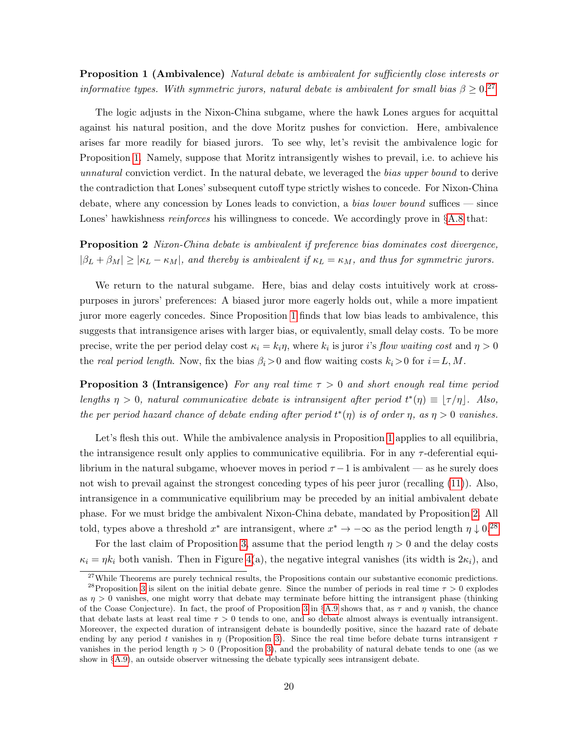**Proposition 1 (Ambivalence)** Natural debate is ambivalent for sufficiently close interests or informative types. With symmetric jurors, natural debate is ambivalent for small bias  $\beta \geq 0.^{27}$  $\beta \geq 0.^{27}$  $\beta \geq 0.^{27}$ 

The logic adjusts in the Nixon-China subgame, where the hawk Lones argues for acquittal against his natural position, and the dove Moritz pushes for conviction. Here, ambivalence arises far more readily for biased jurors. To see why, let's revisit the ambivalence logic for Proposition [1.](#page-19-0) Namely, suppose that Moritz intransigently wishes to prevail, i.e. to achieve his unnatural conviction verdict. In the natural debate, we leveraged the bias upper bound to derive the contradiction that Lones' subsequent cutoff type strictly wishes to concede. For Nixon-China debate, where any concession by Lones leads to conviction, a bias lower bound suffices  $-$  since Lones' hawkishness *reinforces* his willingness to concede. We accordingly prove in  $§A.8$  $§A.8$  that:

<span id="page-20-2"></span>Proposition 2 Nixon-China debate is ambivalent if preference bias dominates cost divergence,  $|\beta_L + \beta_M| \ge |\kappa_L - \kappa_M|$ , and thereby is ambivalent if  $\kappa_L = \kappa_M$ , and thus for symmetric jurors.

We return to the natural subgame. Here, bias and delay costs intuitively work at crosspurposes in jurors' preferences: A biased juror more eagerly holds out, while a more impatient juror more eagerly concedes. Since Proposition [1](#page-19-0) finds that low bias leads to ambivalence, this suggests that intransigence arises with larger bias, or equivalently, small delay costs. To be more precise, write the per period delay cost  $\kappa_i = k_i \eta$ , where  $k_i$  is juror *i*'s flow waiting cost and  $\eta > 0$ the real period length. Now, fix the bias  $\beta_i > 0$  and flow waiting costs  $k_i > 0$  for  $i = L, M$ .

<span id="page-20-0"></span>**Proposition 3 (Intransigence)** For any real time  $\tau > 0$  and short enough real time period lengths  $\eta > 0$ , natural communicative debate is intransigent after period  $t^*(\eta) \equiv |\tau/\eta|$ . Also, the per period hazard chance of debate ending after period  $t^*(\eta)$  is of order  $\eta$ , as  $\eta > 0$  vanishes.

Let's flesh this out. While the ambivalence analysis in Proposition [1](#page-19-0) applies to all equilibria, the intransigence result only applies to communicative equilibria. For in any  $\tau$ -deferential equilibrium in the natural subgame, whoever moves in period  $\tau - 1$  is ambivalent — as he surely does not wish to prevail against the strongest conceding types of his peer juror (recalling [\(11\)](#page-17-2)). Also, intransigence in a communicative equilibrium may be preceded by an initial ambivalent debate phase. For we must bridge the ambivalent Nixon-China debate, mandated by Proposition [2.](#page-20-2) All told, types above a threshold  $x^*$  are intransigent, where  $x^* \to -\infty$  as the period length  $\eta \downarrow 0.^{28}$  $\eta \downarrow 0.^{28}$  $\eta \downarrow 0.^{28}$ 

For the last claim of Proposition [3,](#page-20-0) assume that the period length  $\eta > 0$  and the delay costs  $\kappa_i = \eta k_i$  both vanish. Then in Figure [4\(](#page-17-0)a), the negative integral vanishes (its width is  $2\kappa_i$ ), and

<span id="page-20-3"></span><span id="page-20-1"></span><sup>&</sup>lt;sup>27</sup>While Theorems are purely technical results, the Propositions contain our substantive economic predictions.

<sup>&</sup>lt;sup>28</sup>Proposition [3](#page-20-0) is silent on the initial debate genre. Since the number of periods in real time  $\tau > 0$  explodes as  $\eta > 0$  vanishes, one might worry that debate may terminate before hitting the intransigent phase (thinking of the Coase Conjecture). In fact, the proof of Proposition [3](#page-20-0) in §[A.9](#page-42-1) shows that, as  $\tau$  and  $\eta$  vanish, the chance that debate lasts at least real time  $\tau > 0$  tends to one, and so debate almost always is eventually intransigent. Moreover, the expected duration of intransigent debate is boundedly positive, since the hazard rate of debate ending by any period t vanishes in  $\eta$  (Proposition [3\)](#page-20-0). Since the real time before debate turns intransigent  $\tau$ vanishes in the period length  $\eta > 0$  (Proposition [3\)](#page-20-0), and the probability of natural debate tends to one (as we show in §[A.9\)](#page-42-1), an outside observer witnessing the debate typically sees intransigent debate.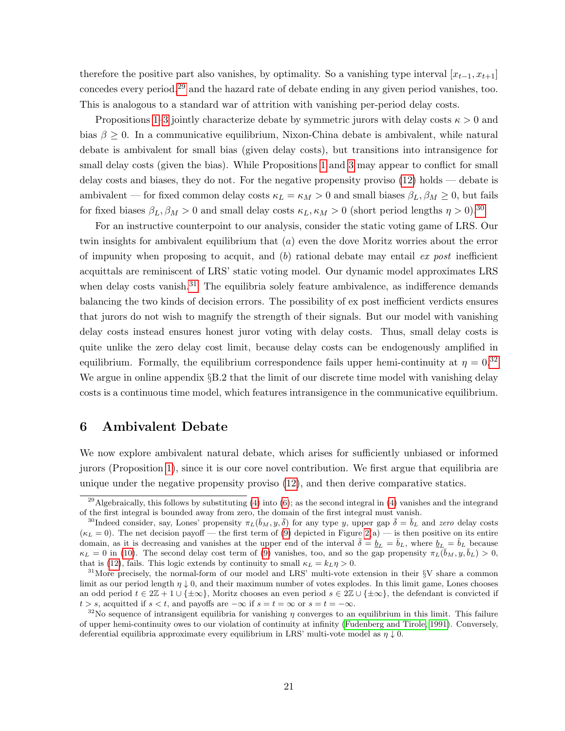therefore the positive part also vanishes, by optimality. So a vanishing type interval  $[x_{t-1}, x_{t+1}]$ concedes every period,[29](#page-21-0) and the hazard rate of debate ending in any given period vanishes, too. This is analogous to a standard war of attrition with vanishing per-period delay costs.

Propositions [1–](#page-19-0)[3](#page-20-0) jointly characterize debate by symmetric jurors with delay costs  $\kappa > 0$  and bias  $\beta \geq 0$ . In a communicative equilibrium, Nixon-China debate is ambivalent, while natural debate is ambivalent for small bias (given delay costs), but transitions into intransigence for small delay costs (given the bias). While Propositions [1](#page-19-0) and [3](#page-20-0) may appear to conflict for small delay costs and biases, they do not. For the negative propensity proviso [\(12\)](#page-19-2) holds — debate is ambivalent — for fixed common delay costs  $\kappa_L = \kappa_M > 0$  and small biases  $\beta_L, \beta_M \geq 0$ , but fails for fixed biases  $\beta_L, \beta_M > 0$  and small delay costs  $\kappa_L, \kappa_M > 0$  (short period lengths  $\eta > 0$ ).<sup>[30](#page-21-1)</sup>

For an instructive counterpoint to our analysis, consider the static voting game of LRS. Our twin insights for ambivalent equilibrium that (a) even the dove Moritz worries about the error of impunity when proposing to acquit, and  $(b)$  rational debate may entail ex post inefficient acquittals are reminiscent of LRS' static voting model. Our dynamic model approximates LRS when delay costs vanish.<sup>[31](#page-21-2)</sup> The equilibria solely feature ambivalence, as indifference demands balancing the two kinds of decision errors. The possibility of ex post inefficient verdicts ensures that jurors do not wish to magnify the strength of their signals. But our model with vanishing delay costs instead ensures honest juror voting with delay costs. Thus, small delay costs is quite unlike the zero delay cost limit, because delay costs can be endogenously amplified in equilibrium. Formally, the equilibrium correspondence fails upper hemi-continuity at  $\eta = 0.32$  $\eta = 0.32$ We argue in online appendix  $\S 2$  that the limit of our discrete time model with vanishing delay costs is a continuous time model, which features intransigence in the communicative equilibrium.

### <span id="page-21-4"></span>6 Ambivalent Debate

We now explore ambivalent natural debate, which arises for sufficiently unbiased or informed jurors (Proposition [1\)](#page-19-0), since it is our core novel contribution. We first argue that equilibria are unique under the negative propensity proviso [\(12\)](#page-19-2), and then derive comparative statics.

<span id="page-21-0"></span> $^{29}$ Algebraically, this follows by substituting [\(4\)](#page-8-1) into [\(6\)](#page-9-1); as the second integral in (4) vanishes and the integrand of the first integral is bounded away from zero, the domain of the first integral must vanish.

<span id="page-21-1"></span><sup>&</sup>lt;sup>30</sup>Indeed consider, say, Lones' propensity  $\pi_L(\bar{b}_M, y, \bar{\delta})$  for any type y, upper gap  $\bar{\delta} = \bar{b}_L$  and zero delay costs  $(\kappa_L = 0)$ . The net decision payoff — the first term of [\(9\)](#page-12-1) depicted in Figure [2\(](#page-13-1)a) — is then positive on its entire domain, as it is decreasing and vanishes at the upper end of the interval  $\bar{\delta} = \underline{b}_L = \bar{b}_L$ , where  $\underline{b}_L = \bar{b}_L$  because  $\kappa_L = 0$  in [\(10\)](#page-12-3). The second delay cost term of [\(9\)](#page-12-1) vanishes, too, and so the gap propensity  $\pi_L(\bar{b}_M, y, \bar{b}_L) > 0$ , that is [\(12\)](#page-19-2), fails. This logic extends by continuity to small  $\kappa_L = k_L \eta > 0$ .

<span id="page-21-2"></span> $31\,\text{More precisely, the normal-form of our model and LRS' multi-vote extension in their §V share a common$ limit as our period length  $\eta \downarrow 0$ , and their maximum number of votes explodes. In this limit game, Lones chooses an odd period  $t \in 2\mathbb{Z} + 1 \cup \{\pm \infty\}$ , Moritz chooses an even period  $s \in 2\mathbb{Z} \cup \{\pm \infty\}$ , the defendant is convicted if  $t > s$ , acquitted if  $s < t$ , and payoffs are  $-\infty$  if  $s = t = \infty$  or  $s = t = -\infty$ .

<span id="page-21-3"></span><sup>&</sup>lt;sup>32</sup>No sequence of intransigent equilibria for vanishing  $\eta$  converges to an equilibrium in this limit. This failure of upper hemi-continuity owes to our violation of continuity at infinity [\(Fudenberg and Tirole, 1991\)](#page-47-11). Conversely, deferential equilibria approximate every equilibrium in LRS' multi-vote model as  $\eta \downarrow 0$ .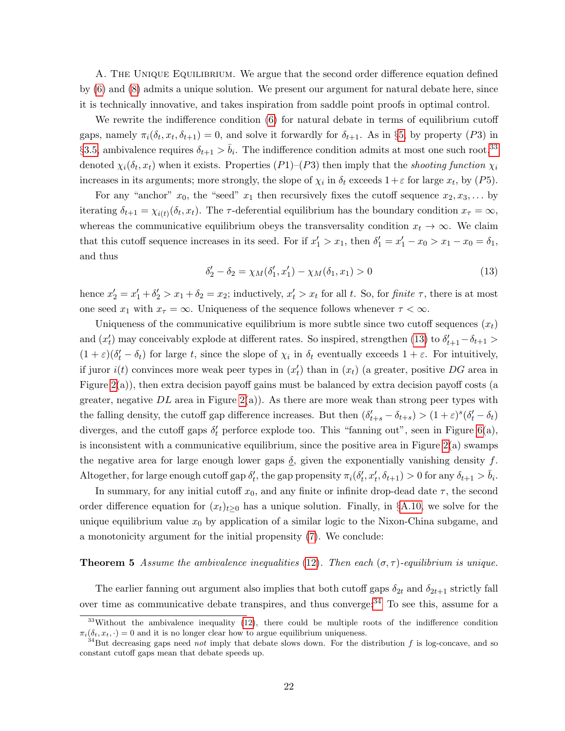A. The Unique Equilibrium. We argue that the second order difference equation defined by [\(6\)](#page-9-1) and [\(8\)](#page-9-2) admits a unique solution. We present our argument for natural debate here, since it is technically innovative, and takes inspiration from saddle point proofs in optimal control.

We rewrite the indifference condition [\(6\)](#page-9-1) for natural debate in terms of equilibrium cutoff gaps, namely  $\pi_i(\delta_t, x_t, \delta_{t+1}) = 0$ , and solve it forwardly for  $\delta_{t+1}$ . As in §[5,](#page-16-0) by property (P3) in §[3.5,](#page-12-4) ambivalence requires  $\delta_{t+1} > \bar{b}_i$ . The indifference condition admits at most one such root,<sup>[33](#page-22-1)</sup> denoted  $\chi_i(\delta_t, x_t)$  when it exists. Properties  $(P1)$ – $(P3)$  then imply that the *shooting function*  $\chi_i$ increases in its arguments; more strongly, the slope of  $\chi_i$  in  $\delta_t$  exceeds  $1+\varepsilon$  for large  $x_t$ , by  $(P5)$ .

For any "anchor"  $x_0$ , the "seed"  $x_1$  then recursively fixes the cutoff sequence  $x_2, x_3, \ldots$  by iterating  $\delta_{t+1} = \chi_{i(t)}(\delta_t, x_t)$ . The  $\tau$ -deferential equilibrium has the boundary condition  $x_{\tau} = \infty$ , whereas the communicative equilibrium obeys the transversality condition  $x_t \to \infty$ . We claim that this cutoff sequence increases in its seed. For if  $x'_1 > x_1$ , then  $\delta'_1 = x'_1 - x_0 > x_1 - x_0 = \delta_1$ , and thus

<span id="page-22-2"></span>
$$
\delta_2' - \delta_2 = \chi_M(\delta_1', x_1') - \chi_M(\delta_1, x_1) > 0 \tag{13}
$$

hence  $x_2' = x_1' + \delta_2' > x_1 + \delta_2 = x_2$ ; inductively,  $x_t' > x_t$  for all t. So, for finite  $\tau$ , there is at most one seed  $x_1$  with  $x_\tau = \infty$ . Uniqueness of the sequence follows whenever  $\tau < \infty$ .

Uniqueness of the communicative equilibrium is more subtle since two cutoff sequences  $(x_t)$ and  $(x'_t)$  may conceivably explode at different rates. So inspired, strengthen [\(13\)](#page-22-2) to  $\delta'_{t+1} - \delta_{t+1} >$  $(1+\varepsilon)(\delta_t'-\delta_t)$  for large t, since the slope of  $\chi_i$  in  $\delta_t$  eventually exceeds  $1+\varepsilon$ . For intuitively, if juror  $i(t)$  convinces more weak peer types in  $(x_t)$  than in  $(x_t)$  (a greater, positive DG area in Figure [2\(](#page-13-1)a)), then extra decision payoff gains must be balanced by extra decision payoff costs (a greater, negative  $DL$  area in Figure [2\(](#page-13-1)a)). As there are more weak than strong peer types with the falling density, the cutoff gap difference increases. But then  $(\delta'_{t+s} - \delta_{t+s}) > (1+\varepsilon)^s (\delta'_{t} - \delta_{t})$ diverges, and the cutoff gaps  $\delta'_t$  perforce explode too. This "fanning out", seen in Figure [6\(](#page-23-1)a), is inconsistent with a communicative equilibrium, since the positive area in Figure  $2(a)$  swamps the negative area for large enough lower gaps  $\delta$ , given the exponentially vanishing density f. Altogether, for large enough cutoff gap  $\delta'_t$ , the gap propensity  $\pi_i(\delta'_t, x'_t, \delta_{t+1}) > 0$  for any  $\delta_{t+1} > \bar{b}_i$ .

In summary, for any initial cutoff  $x_0$ , and any finite or infinite drop-dead date  $\tau$ , the second order difference equation for  $(x_t)_{t\geq 0}$  has a unique solution. Finally, in §[A.10,](#page-44-0) we solve for the unique equilibrium value  $x_0$  by application of a similar logic to the Nixon-China subgame, and a monotonicity argument for the initial propensity [\(7\)](#page-9-3). We conclude:

#### <span id="page-22-0"></span>**Theorem 5** Assume the ambivalence inequalities [\(12\)](#page-19-2). Then each  $(\sigma, \tau)$ -equilibrium is unique.

The earlier fanning out argument also implies that both cutoff gaps  $\delta_{2t}$  and  $\delta_{2t+1}$  strictly fall over time as communicative debate transpires, and thus converge:  $34$  To see this, assume for a

<span id="page-22-1"></span> $33$ Without the ambivalence inequality [\(12\)](#page-19-2), there could be multiple roots of the indifference condition  $\pi_i(\delta_t, x_t, \cdot) = 0$  and it is no longer clear how to argue equilibrium uniqueness.

<span id="page-22-3"></span> $34$ But decreasing gaps need *not* imply that debate slows down. For the distribution f is log-concave, and so constant cutoff gaps mean that debate speeds up.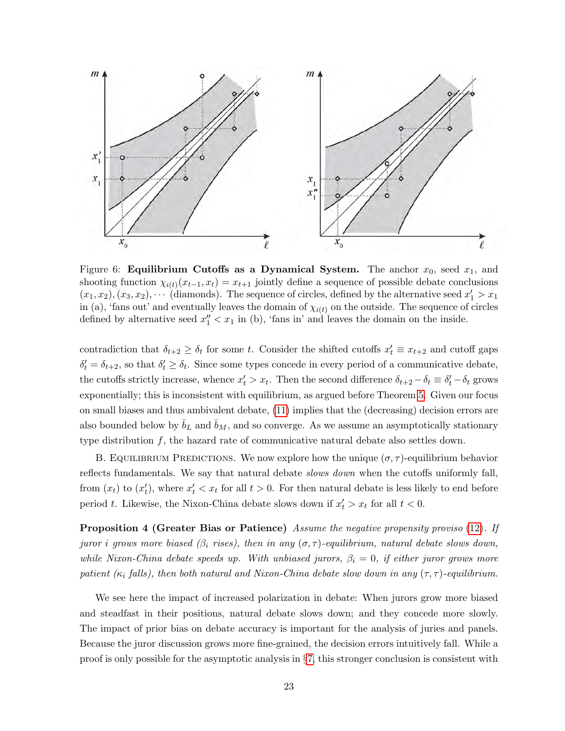

<span id="page-23-1"></span>Figure 6: Equilibrium Cutoffs as a Dynamical System. The anchor  $x_0$ , seed  $x_1$ , and shooting function  $\chi_{i(t)}(x_{t-1}, x_t) = x_{t+1}$  jointly define a sequence of possible debate conclusions  $(x_1, x_2), (x_3, x_2), \cdots$  (diamonds). The sequence of circles, defined by the alternative seed  $x_1' > x_1$ in (a), 'fans out' and eventually leaves the domain of  $\chi_{i(t)}$  on the outside. The sequence of circles defined by alternative seed  $x_1'' < x_1$  in (b), 'fans in' and leaves the domain on the inside.

contradiction that  $\delta_{t+2} \geq \delta_t$  for some t. Consider the shifted cutoffs  $x'_t \equiv x_{t+2}$  and cutoff gaps  $\delta_t' = \delta_{t+2}$ , so that  $\delta_t' \geq \delta_t$ . Since some types concede in every period of a communicative debate, the cutoffs strictly increase, whence  $x'_t > x_t$ . Then the second difference  $\delta_{t+2} - \delta_t \equiv \delta'_t - \delta_t$  grows exponentially; this is inconsistent with equilibrium, as argued before Theorem [5.](#page-22-0) Given our focus on small biases and thus ambivalent debate, [\(11\)](#page-17-2) implies that the (decreasing) decision errors are also bounded below by  $b<sub>L</sub>$  and  $b<sub>M</sub>$ , and so converge. As we assume an asymptotically stationary type distribution  $f$ , the hazard rate of communicative natural debate also settles down.

B. EQUILIBRIUM PREDICTIONS. We now explore how the unique  $(\sigma, \tau)$ -equilibrium behavior reflects fundamentals. We say that natural debate slows down when the cutoffs uniformly fall, from  $(x_t)$  to  $(x'_t)$ , where  $x'_t < x_t$  for all  $t > 0$ . For then natural debate is less likely to end before period t. Likewise, the Nixon-China debate slows down if  $x_t' > x_t$  for all  $t < 0$ .

<span id="page-23-0"></span>Proposition 4 (Greater Bias or Patience) Assume the negative propensity proviso [\(12\)](#page-19-2). If juror i grows more biased ( $\beta_i$  rises), then in any ( $\sigma$ , $\tau$ )-equilibrium, natural debate slows down, while Nixon-China debate speeds up. With unbiased jurors,  $\beta_i = 0$ , if either juror grows more patient ( $\kappa_i$  falls), then both natural and Nixon-China debate slow down in any  $(\tau, \tau)$ -equilibrium.

We see here the impact of increased polarization in debate: When jurors grow more biased and steadfast in their positions, natural debate slows down; and they concede more slowly. The impact of prior bias on debate accuracy is important for the analysis of juries and panels. Because the juror discussion grows more fine-grained, the decision errors intuitively fall. While a proof is only possible for the asymptotic analysis in  $\S7$ , this stronger conclusion is consistent with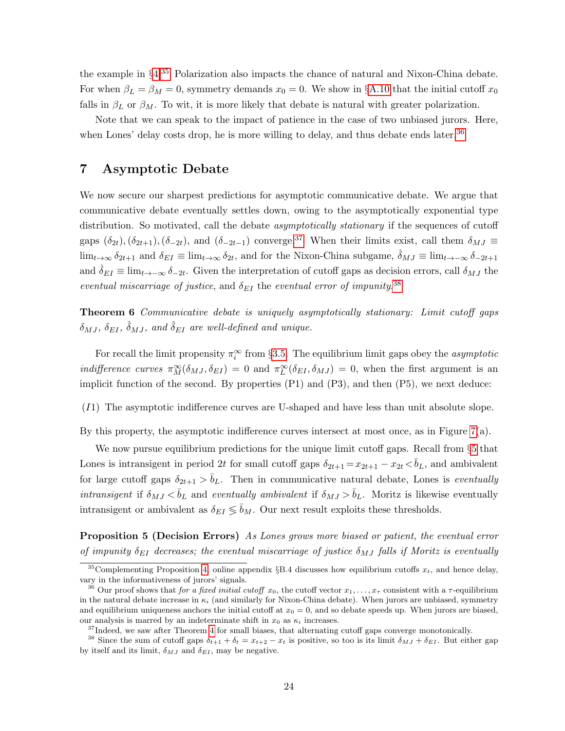the example in §[4.](#page-13-0)[35](#page-24-2) Polarization also impacts the chance of natural and Nixon-China debate. For when  $\beta_L = \beta_M = 0$ , symmetry demands  $x_0 = 0$ . We show in §[A.10](#page-44-0) that the initial cutoff  $x_0$ falls in  $\beta_L$  or  $\beta_M$ . To wit, it is more likely that debate is natural with greater polarization.

Note that we can speak to the impact of patience in the case of two unbiased jurors. Here, when Lones' delay costs drop, he is more willing to delay, and thus debate ends later. $36$ 

### <span id="page-24-1"></span>7 Asymptotic Debate

We now secure our sharpest predictions for asymptotic communicative debate. We argue that communicative debate eventually settles down, owing to the asymptotically exponential type distribution. So motivated, call the debate *asymptotically stationary* if the sequences of cutoff gaps  $(\delta_{2t}),(\delta_{2t+1}),(\delta_{2t}),$  and  $(\delta_{2t-1})$  converge.<sup>[37](#page-24-4)</sup> When their limits exist, call them  $\delta_{MJ} \equiv$  $\lim_{t\to\infty} \delta_{2t+1}$  and  $\delta_{EI} \equiv \lim_{t\to\infty} \delta_{2t}$ , and for the Nixon-China subgame,  $\hat{\delta}_{MJ} \equiv \lim_{t\to\infty} \delta_{-2t+1}$ and  $\hat{\delta}_{EI} \equiv \lim_{t \to -\infty} \delta_{-2t}$ . Given the interpretation of cutoff gaps as decision errors, call  $\delta_{MJ}$  the eventual miscarriage of justice, and  $\delta_{EI}$  the eventual error of impunity.<sup>[38](#page-24-5)</sup>

<span id="page-24-6"></span>Theorem 6 Communicative debate is uniquely asymptotically stationary: Limit cutoff gaps  $\delta_{MJ},\,\delta_{EI},\,\hat\delta_{MJ},\,and\,\hat\delta_{EI}$  are well-defined and unique.

For recall the limit propensity  $\pi_i^{\infty}$  from §[3.5.](#page-12-4) The equilibrium limit gaps obey the *asymptotic* indifference curves  $\pi_M^{\infty}(\delta_{MJ}, \delta_{EI}) = 0$  and  $\pi_L^{\infty}(\delta_{EI}, \delta_{MJ}) = 0$ , when the first argument is an implicit function of the second. By properties  $(P1)$  and  $(P3)$ , and then  $(P5)$ , we next deduce:

(I1) The asymptotic indifference curves are U-shaped and have less than unit absolute slope.

By this property, the asymptotic indifference curves intersect at most once, as in Figure [7\(](#page-25-0)a).

We now pursue equilibrium predictions for the unique limit cutoff gaps. Recall from §[5](#page-16-0) that Lones is intransigent in period 2t for small cutoff gaps  $\delta_{2t+1} = x_{2t+1} - x_{2t} < \bar{b}_L$ , and ambivalent for large cutoff gaps  $\delta_{2t+1} > \bar{b}_L$ . Then in communicative natural debate, Lones is *eventually intransigent* if  $\delta_{MJ} < \bar{b}_L$  and *eventually ambivalent* if  $\delta_{MJ} > \bar{b}_L$ . Moritz is likewise eventually intransigent or ambivalent as  $\delta_{EI} \leq b_M$ . Our next result exploits these thresholds.

<span id="page-24-0"></span>**Proposition 5 (Decision Errors)** As Lones grows more biased or patient, the eventual error of impunity  $\delta_{EI}$  decreases; the eventual miscarriage of justice  $\delta_{MJ}$  falls if Moritz is eventually

<span id="page-24-2"></span><sup>&</sup>lt;sup>35</sup>Complementing Proposition [4,](#page-23-0) online appendix §B.4 discusses how equilibrium cutoffs  $x_t$ , and hence delay, vary in the informativeness of jurors' signals.

<span id="page-24-3"></span><sup>&</sup>lt;sup>36</sup> Our proof shows that *for a fixed initial cutoff*  $x_0$ , the cutoff vector  $x_1, \ldots, x_\tau$  consistent with a  $\tau$ -equilibrium in the natural debate increase in  $\kappa_i$  (and similarly for Nixon-China debate). When jurors are unbiased, symmetry and equilibrium uniqueness anchors the initial cutoff at  $x_0 = 0$ , and so debate speeds up. When jurors are biased, our analysis is marred by an indeterminate shift in  $x_0$  as  $\kappa_i$  increases.

<span id="page-24-5"></span><span id="page-24-4"></span> $37$ Indeed, we saw after Theorem [4](#page-23-0) for small biases, that alternating cutoff gaps converge monotonically.

<sup>&</sup>lt;sup>38</sup> Since the sum of cutoff gaps  $\delta_{t+1} + \delta_t = x_{t+2} - x_t$  is positive, so too is its limit  $\delta_{MJ} + \delta_{EI}$ . But either gap by itself and its limit,  $\delta_{MJ}$  and  $\delta_{EI}$ , may be negative.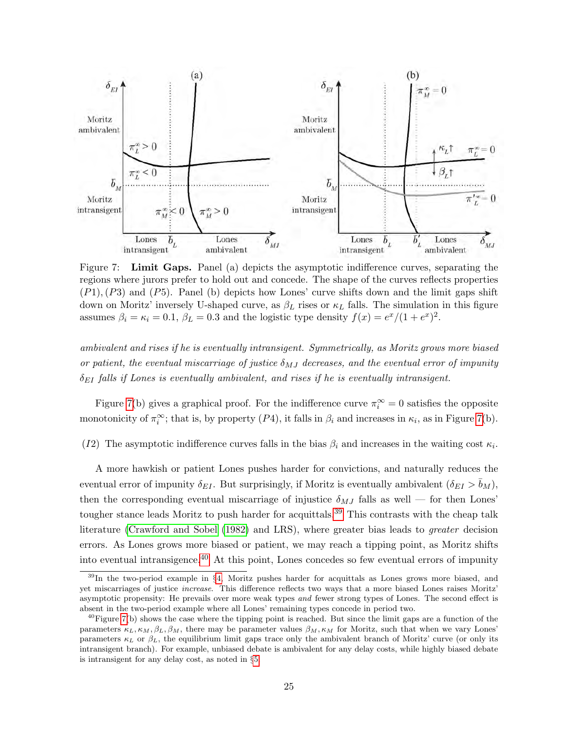

<span id="page-25-0"></span>Figure 7: Limit Gaps. Panel (a) depicts the asymptotic indifference curves, separating the regions where jurors prefer to hold out and concede. The shape of the curves reflects properties  $(P1), (P3)$  and  $(P5)$ . Panel (b) depicts how Lones' curve shifts down and the limit gaps shift down on Moritz' inversely U-shaped curve, as  $\beta_L$  rises or  $\kappa_L$  falls. The simulation in this figure assumes  $\beta_i = \kappa_i = 0.1, \beta_L = 0.3$  and the logistic type density  $f(x) = e^x/(1 + e^x)^2$ .

ambivalent and rises if he is eventually intransigent. Symmetrically, as Moritz grows more biased or patient, the eventual miscarriage of justice  $\delta_{MJ}$  decreases, and the eventual error of impunity  $\delta_{EI}$  falls if Lones is eventually ambivalent, and rises if he is eventually intransigent.

Figure [7\(](#page-25-0)b) gives a graphical proof. For the indifference curve  $\pi_i^{\infty} = 0$  satisfies the opposite monotonicity of  $\pi_i^{\infty}$ ; that is, by property  $(P4)$ , it falls in  $\beta_i$  and increases in  $\kappa_i$ , as in Figure [7\(](#page-25-0)b).

(I2) The asymptotic indifference curves falls in the bias  $\beta_i$  and increases in the waiting cost  $\kappa_i$ .

A more hawkish or patient Lones pushes harder for convictions, and naturally reduces the eventual error of impunity  $\delta_{EI}$ . But surprisingly, if Moritz is eventually ambivalent  $(\delta_{EI} > \bar{b}_M)$ , then the corresponding eventual miscarriage of injustice  $\delta_{MJ}$  falls as well — for then Lones' tougher stance leads Moritz to push harder for acquittals.<sup>[39](#page-25-1)</sup> This contrasts with the cheap talk literature [\(Crawford and Sobel \(1982\)](#page-47-0) and LRS), where greater bias leads to greater decision errors. As Lones grows more biased or patient, we may reach a tipping point, as Moritz shifts into eventual intransigence.[40](#page-25-2) At this point, Lones concedes so few eventual errors of impunity

<span id="page-25-1"></span><sup>39</sup>In the two-period example in §[4,](#page-13-0) Moritz pushes harder for acquittals as Lones grows more biased, and yet miscarriages of justice increase. This difference reflects two ways that a more biased Lones raises Moritz' asymptotic propensity: He prevails over more weak types and fewer strong types of Lones. The second effect is absent in the two-period example where all Lones' remaining types concede in period two.

<span id="page-25-2"></span> $^{40}$ Figure [7\(](#page-25-0)b) shows the case where the tipping point is reached. But since the limit gaps are a function of the parameters  $\kappa_L, \kappa_M, \beta_L, \beta_M$ , there may be parameter values  $\beta_M, \kappa_M$  for Moritz, such that when we vary Lones' parameters  $\kappa_L$  or  $\beta_L$ , the equilibrium limit gaps trace only the ambivalent branch of Moritz' curve (or only its intransigent branch). For example, unbiased debate is ambivalent for any delay costs, while highly biased debate is intransigent for any delay cost, as noted in §[5.](#page-16-0)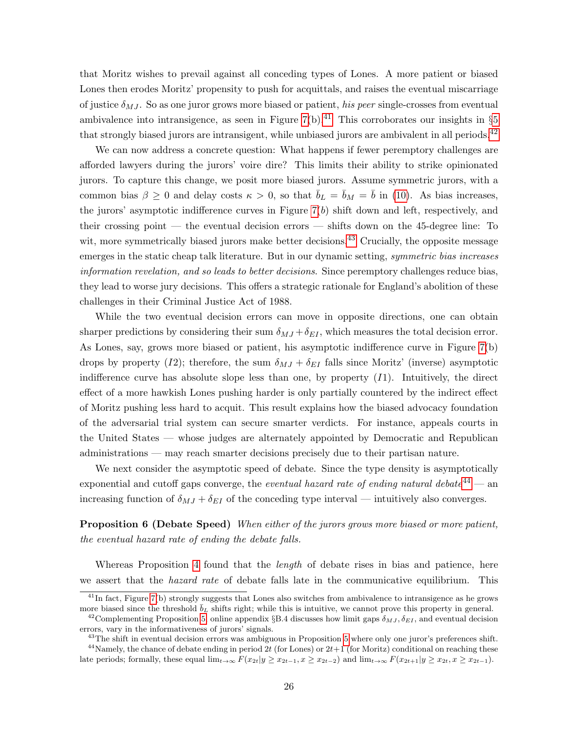that Moritz wishes to prevail against all conceding types of Lones. A more patient or biased Lones then erodes Moritz' propensity to push for acquittals, and raises the eventual miscarriage of justice  $\delta_{MJ}$ . So as one juror grows more biased or patient, his peer single-crosses from eventual ambivalence into intransigence, as seen in Figure  $7(b)$ .<sup>[41](#page-26-1)</sup> This corroborates our insights in §[5](#page-16-0) that strongly biased jurors are intransigent, while unbiased jurors are ambivalent in all periods.<sup>[42](#page-26-2)</sup>

We can now address a concrete question: What happens if fewer peremptory challenges are afforded lawyers during the jurors' voire dire? This limits their ability to strike opinionated jurors. To capture this change, we posit more biased jurors. Assume symmetric jurors, with a common bias  $\beta \geq 0$  and delay costs  $\kappa > 0$ , so that  $\bar{b}_L = \bar{b}_M = \bar{b}$  in [\(10\)](#page-12-3). As bias increases, the jurors' asymptotic indifference curves in Figure  $7(b)$  shift down and left, respectively, and their crossing point — the eventual decision errors — shifts down on the 45-degree line: To wit, more symmetrically biased jurors make better decisions.<sup>[43](#page-26-3)</sup> Crucially, the opposite message emerges in the static cheap talk literature. But in our dynamic setting, *symmetric bias increases* information revelation, and so leads to better decisions. Since peremptory challenges reduce bias, they lead to worse jury decisions. This offers a strategic rationale for England's abolition of these challenges in their Criminal Justice Act of 1988.

While the two eventual decision errors can move in opposite directions, one can obtain sharper predictions by considering their sum  $\delta_{MJ} + \delta_{EI}$ , which measures the total decision error. As Lones, say, grows more biased or patient, his asymptotic indifference curve in Figure [7\(](#page-25-0)b) drops by property (I2); therefore, the sum  $\delta_{M,I} + \delta_{EI}$  falls since Moritz' (inverse) asymptotic indifference curve has absolute slope less than one, by property  $(I1)$ . Intuitively, the direct effect of a more hawkish Lones pushing harder is only partially countered by the indirect effect of Moritz pushing less hard to acquit. This result explains how the biased advocacy foundation of the adversarial trial system can secure smarter verdicts. For instance, appeals courts in the United States — whose judges are alternately appointed by Democratic and Republican administrations — may reach smarter decisions precisely due to their partisan nature.

We next consider the asymptotic speed of debate. Since the type density is asymptotically exponential and cutoff gaps converge, the *eventual hazard rate of ending natural debate*<sup>[44](#page-26-4)</sup> — an increasing function of  $\delta_{MJ} + \delta_{EI}$  of the conceding type interval — intuitively also converges.

<span id="page-26-0"></span>Proposition 6 (Debate Speed) When either of the jurors grows more biased or more patient, the eventual hazard rate of ending the debate falls.

Whereas Proposition [4](#page-23-0) found that the *length* of debate rises in bias and patience, here we assert that the *hazard rate* of debate falls late in the communicative equilibrium. This

<span id="page-26-1"></span> $^{41}$ In fact, Figure [7\(](#page-25-0)b) strongly suggests that Lones also switches from ambivalence to intransigence as he grows more biased since the threshold  $\bar{b}_L$  shifts right; while this is intuitive, we cannot prove this property in general.

<span id="page-26-2"></span><sup>&</sup>lt;sup>42</sup>Complementing Proposition [5,](#page-24-0) online appendix §B.4 discusses how limit gaps  $\delta_{MJ}$ ,  $\delta_{EI}$ , and eventual decision errors, vary in the informativeness of jurors' signals.

<span id="page-26-4"></span><span id="page-26-3"></span> $^{43}$ The shift in eventual decision errors was ambiguous in Proposition [5](#page-24-0) where only one juror's preferences shift. <sup>44</sup>Namely, the chance of debate ending in period 2t (for Lones) or  $2t+1$  (for Moritz) conditional on reaching these late periods; formally, these equal  $\lim_{t\to\infty} F(x_{2t}|y \ge x_{2t-1}, x \ge x_{2t-2})$  and  $\lim_{t\to\infty} F(x_{2t+1}|y \ge x_{2t}, x \ge x_{2t-1}).$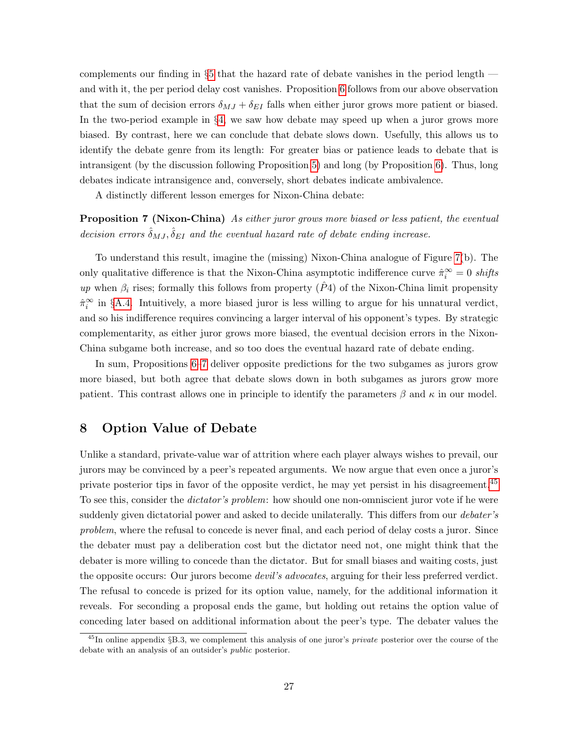complements our finding in §[5](#page-16-0) that the hazard rate of debate vanishes in the period length and with it, the per period delay cost vanishes. Proposition [6](#page-26-0) follows from our above observation that the sum of decision errors  $\delta_{MJ} + \delta_{EI}$  falls when either juror grows more patient or biased. In the two-period example in §[4,](#page-13-0) we saw how debate may speed up when a juror grows more biased. By contrast, here we can conclude that debate slows down. Usefully, this allows us to identify the debate genre from its length: For greater bias or patience leads to debate that is intransigent (by the discussion following Proposition [5\)](#page-24-0) and long (by Proposition [6\)](#page-26-0). Thus, long debates indicate intransigence and, conversely, short debates indicate ambivalence.

<span id="page-27-0"></span>A distinctly different lesson emerges for Nixon-China debate:

# Proposition 7 (Nixon-China) As either juror grows more biased or less patient, the eventual decision errors  $\hat{\delta}_{MJ}$ ,  $\hat{\delta}_{EI}$  and the eventual hazard rate of debate ending increase.

To understand this result, imagine the (missing) Nixon-China analogue of Figure [7\(](#page-25-0)b). The only qualitative difference is that the Nixon-China asymptotic indifference curve  $\hat{\pi}_i^{\infty} = 0$  shifts up when  $\beta_i$  rises; formally this follows from property  $(\hat{P}4)$  of the Nixon-China limit propensity  $\hat{\pi}_i^{\infty}$  in §[A.4.](#page-34-0) Intuitively, a more biased juror is less willing to argue for his unnatural verdict, and so his indifference requires convincing a larger interval of his opponent's types. By strategic complementarity, as either juror grows more biased, the eventual decision errors in the Nixon-China subgame both increase, and so too does the eventual hazard rate of debate ending.

In sum, Propositions [6–](#page-26-0)[7](#page-27-0) deliver opposite predictions for the two subgames as jurors grow more biased, but both agree that debate slows down in both subgames as jurors grow more patient. This contrast allows one in principle to identify the parameters  $\beta$  and  $\kappa$  in our model.

### 8 Option Value of Debate

Unlike a standard, private-value war of attrition where each player always wishes to prevail, our jurors may be convinced by a peer's repeated arguments. We now argue that even once a juror's private posterior tips in favor of the opposite verdict, he may yet persist in his disagreement.[45](#page-27-1) To see this, consider the dictator's problem: how should one non-omniscient juror vote if he were suddenly given dictatorial power and asked to decide unilaterally. This differs from our *debater's* problem, where the refusal to concede is never final, and each period of delay costs a juror. Since the debater must pay a deliberation cost but the dictator need not, one might think that the debater is more willing to concede than the dictator. But for small biases and waiting costs, just the opposite occurs: Our jurors become devil's advocates, arguing for their less preferred verdict. The refusal to concede is prized for its option value, namely, for the additional information it reveals. For seconding a proposal ends the game, but holding out retains the option value of conceding later based on additional information about the peer's type. The debater values the

<span id="page-27-1"></span> $^{45}$ In online appendix §B.3, we complement this analysis of one juror's *private* posterior over the course of the debate with an analysis of an outsider's public posterior.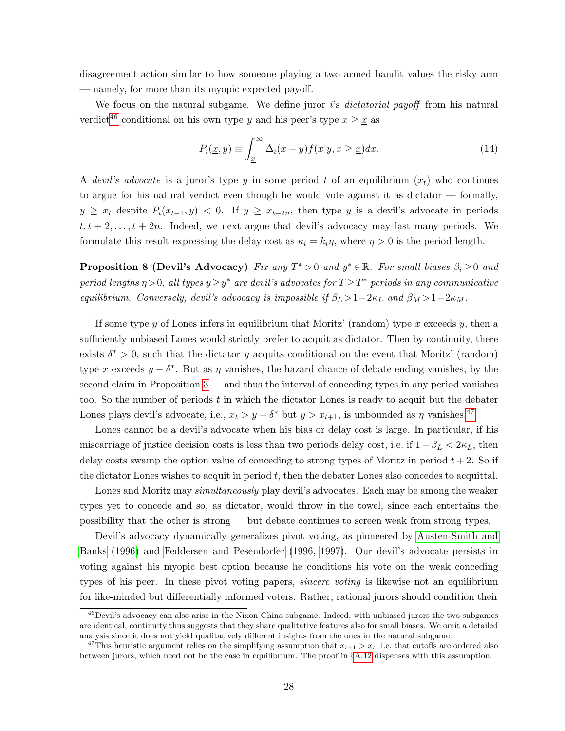disagreement action similar to how someone playing a two armed bandit values the risky arm — namely, for more than its myopic expected payoff.

We focus on the natural subgame. We define juror is *dictatorial payoff* from his natural verdict<sup>[46](#page-28-1)</sup> conditional on his own type y and his peer's type  $x \geq x$  as

$$
P_i(\underline{x}, y) \equiv \int_{\underline{x}}^{\infty} \Delta_i(x - y) f(x | y, x \ge \underline{x}) dx.
$$
 (14)

A devil's advocate is a juror's type y in some period t of an equilibrium  $(x_t)$  who continues to argue for his natural verdict even though he would vote against it as dictator — formally,  $y \geq x_t$  despite  $P_i(x_{t-1}, y) < 0$ . If  $y \geq x_{t+2n}$ , then type y is a devil's advocate in periods  $t, t + 2, \ldots, t + 2n$ . Indeed, we next argue that devil's advocacy may last many periods. We formulate this result expressing the delay cost as  $\kappa_i = k_i \eta$ , where  $\eta > 0$  is the period length.

<span id="page-28-0"></span>**Proposition 8 (Devil's Advocacy)** Fix any  $T^* > 0$  and  $y^* \in \mathbb{R}$ . For small biases  $\beta_i \geq 0$  and period lengths  $\eta > 0$ , all types  $y \geq y^*$  are devil's advocates for  $T \geq T^*$  periods in any communicative equilibrium. Conversely, devil's advocacy is impossible if  $\beta_L > 1-2\kappa_L$  and  $\beta_M > 1-2\kappa_M$ .

If some type y of Lones infers in equilibrium that Moritz' (random) type x exceeds y, then a sufficiently unbiased Lones would strictly prefer to acquit as dictator. Then by continuity, there exists  $\delta^* > 0$ , such that the dictator y acquits conditional on the event that Moritz' (random) type x exceeds  $y - \delta^*$ . But as  $\eta$  vanishes, the hazard chance of debate ending vanishes, by the second claim in Proposition [3](#page-20-0) — and thus the interval of conceding types in any period vanishes too. So the number of periods  $t$  in which the dictator Lones is ready to acquit but the debater Lones plays devil's advocate, i.e.,  $x_t > y - \delta^*$  but  $y > x_{t+1}$ , is unbounded as  $\eta$  vanishes.<sup>[47](#page-28-2)</sup>

Lones cannot be a devil's advocate when his bias or delay cost is large. In particular, if his miscarriage of justice decision costs is less than two periods delay cost, i.e. if  $1 - \beta_L < 2\kappa_L$ , then delay costs swamp the option value of conceding to strong types of Moritz in period  $t + 2$ . So if the dictator Lones wishes to acquit in period  $t$ , then the debater Lones also concedes to acquittal.

Lones and Moritz may *simultaneously* play devil's advocates. Each may be among the weaker types yet to concede and so, as dictator, would throw in the towel, since each entertains the possibility that the other is strong — but debate continues to screen weak from strong types.

Devil's advocacy dynamically generalizes pivot voting, as pioneered by [Austen-Smith and](#page-47-12) [Banks \(1996\)](#page-47-12) and [Feddersen and Pesendorfer \(1996,](#page-47-13) [1997\)](#page-47-14). Our devil's advocate persists in voting against his myopic best option because he conditions his vote on the weak conceding types of his peer. In these pivot voting papers, *sincere voting* is likewise not an equilibrium for like-minded but differentially informed voters. Rather, rational jurors should condition their

<span id="page-28-1"></span><sup>&</sup>lt;sup>46</sup>Devil's advocacy can also arise in the Nixon-China subgame. Indeed, with unbiased jurors the two subgames are identical; continuity thus suggests that they share qualitative features also for small biases. We omit a detailed analysis since it does not yield qualitatively different insights from the ones in the natural subgame.

<span id="page-28-2"></span><sup>&</sup>lt;sup>47</sup>This heuristic argument relies on the simplifying assumption that  $x_{t+1} > x_t$ , i.e. that cutoffs are ordered also between jurors, which need not be the case in equilibrium. The proof in §[A.12](#page-46-0) dispenses with this assumption.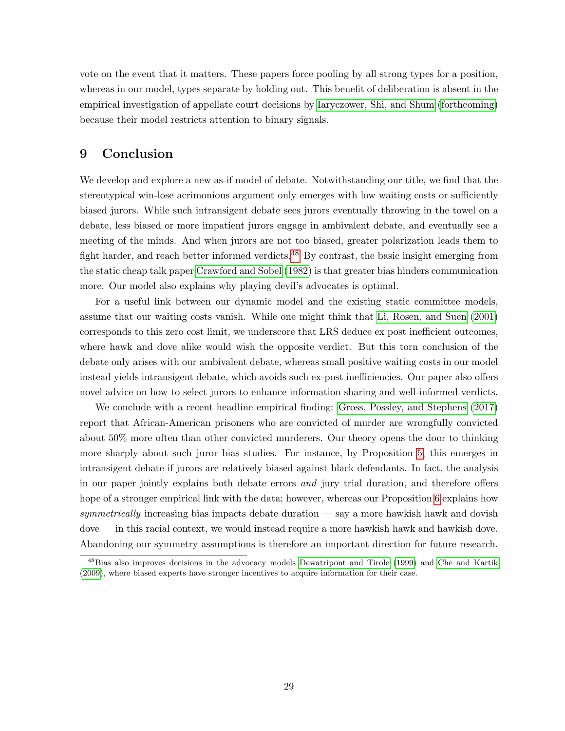vote on the event that it matters. These papers force pooling by all strong types for a position, whereas in our model, types separate by holding out. This benefit of deliberation is absent in the empirical investigation of appellate court decisions by [Iaryczower, Shi, and Shum \(forthcoming\)](#page-48-13) because their model restricts attention to binary signals.

# 9 Conclusion

We develop and explore a new as-if model of debate. Notwithstanding our title, we find that the stereotypical win-lose acrimonious argument only emerges with low waiting costs or sufficiently biased jurors. While such intransigent debate sees jurors eventually throwing in the towel on a debate, less biased or more impatient jurors engage in ambivalent debate, and eventually see a meeting of the minds. And when jurors are not too biased, greater polarization leads them to fight harder, and reach better informed verdicts.<sup>[48](#page-29-0)</sup> By contrast, the basic insight emerging from the static cheap talk paper [Crawford and Sobel \(1982\)](#page-47-0) is that greater bias hinders communication more. Our model also explains why playing devil's advocates is optimal.

For a useful link between our dynamic model and the existing static committee models, assume that our waiting costs vanish. While one might think that [Li, Rosen, and Suen \(2001\)](#page-48-4) corresponds to this zero cost limit, we underscore that LRS deduce ex post inefficient outcomes, where hawk and dove alike would wish the opposite verdict. But this torn conclusion of the debate only arises with our ambivalent debate, whereas small positive waiting costs in our model instead yields intransigent debate, which avoids such ex-post inefficiencies. Our paper also offers novel advice on how to select jurors to enhance information sharing and well-informed verdicts.

We conclude with a recent headline empirical finding: [Gross, Possley, and Stephens \(2017\)](#page-48-14) report that African-American prisoners who are convicted of murder are wrongfully convicted about 50% more often than other convicted murderers. Our theory opens the door to thinking more sharply about such juror bias studies. For instance, by Proposition [5,](#page-24-0) this emerges in intransigent debate if jurors are relatively biased against black defendants. In fact, the analysis in our paper jointly explains both debate errors and jury trial duration, and therefore offers hope of a stronger empirical link with the data; however, whereas our Proposition [6](#page-26-0) explains how symmetrically increasing bias impacts debate duration — say a more hawkish hawk and dovish dove — in this racial context, we would instead require a more hawkish hawk and hawkish dove. Abandoning our symmetry assumptions is therefore an important direction for future research.

<span id="page-29-0"></span><sup>48</sup>Bias also improves decisions in the advocacy models [Dewatripont and Tirole](#page-47-15) [\(1999\)](#page-47-15) and [Che and Kartik](#page-47-16) [\(2009\)](#page-47-16), where biased experts have stronger incentives to acquire information for their case.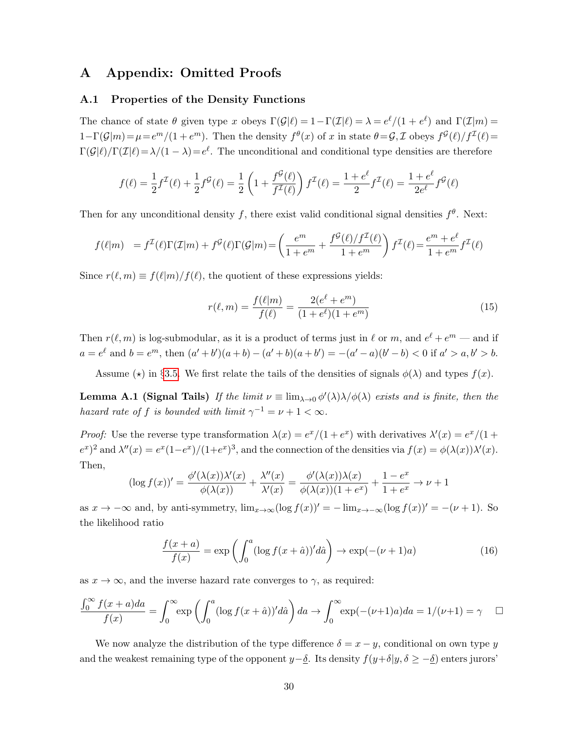### A Appendix: Omitted Proofs

#### <span id="page-30-0"></span>A.1 Properties of the Density Functions

The chance of state  $\theta$  given type x obeys  $\Gamma(\mathcal{G}|\ell) = 1 - \Gamma(\mathcal{I}|\ell) = \lambda = e^{\ell}/(1 + e^{\ell})$  and  $\Gamma(\mathcal{I}|m) =$  $1-\Gamma(\mathcal{G}|m) = \mu = e^m/(1+e^m)$ . Then the density  $f^{\theta}(x)$  of x in state  $\theta = \mathcal{G}, \mathcal{I}$  obeys  $f^{\mathcal{G}}(\ell)/f^{\mathcal{I}}(\ell) =$  $\Gamma(\mathcal{G}|\ell)/\Gamma(\mathcal{I}|\ell) = \lambda/(1 - \lambda) = e^{\ell}$ . The unconditional and conditional type densities are therefore

$$
f(\ell) = \frac{1}{2} f^{\mathcal{I}}(\ell) + \frac{1}{2} f^{\mathcal{G}}(\ell) = \frac{1}{2} \left( 1 + \frac{f^{\mathcal{G}}(\ell)}{f^{\mathcal{I}}(\ell)} \right) f^{\mathcal{I}}(\ell) = \frac{1 + e^{\ell}}{2} f^{\mathcal{I}}(\ell) = \frac{1 + e^{\ell}}{2e^{\ell}} f^{\mathcal{G}}(\ell)
$$

Then for any unconditional density f, there exist valid conditional signal densities  $f^{\theta}$ . Next:

$$
f(\ell|m) = f^{\mathcal{I}}(\ell)\Gamma(\mathcal{I}|m) + f^{\mathcal{G}}(\ell)\Gamma(\mathcal{G}|m) = \left(\frac{e^m}{1+e^m} + \frac{f^{\mathcal{G}}(\ell)/f^{\mathcal{I}}(\ell)}{1+e^m}\right)f^{\mathcal{I}}(\ell) = \frac{e^m + e^{\ell}}{1+e^m}f^{\mathcal{I}}(\ell)
$$

Since  $r(\ell, m) \equiv f(\ell|m)/f(\ell)$ , the quotient of these expressions yields:

<span id="page-30-1"></span>
$$
r(\ell, m) = \frac{f(\ell|m)}{f(\ell)} = \frac{2(e^{\ell} + e^m)}{(1 + e^{\ell})(1 + e^m)}
$$
(15)

Then  $r(\ell, m)$  is log-submodular, as it is a product of terms just in  $\ell$  or m, and  $e^{\ell} + e^{m}$  — and if  $a = e^{\ell}$  and  $b = e^m$ , then  $(a'+b')(a+b) - (a'+b)(a+b') = -(a'-a)(b'-b) < 0$  if  $a' > a, b' > b$ .

Assume ( $\star$ ) in §[3.5.](#page-12-4) We first relate the tails of the densities of signals  $\phi(\lambda)$  and types  $f(x)$ .

**Lemma A.1 (Signal Tails)** If the limit  $\nu \equiv \lim_{\lambda \to 0} \phi'(\lambda) \lambda / \phi(\lambda)$  exists and is finite, then the hazard rate of f is bounded with limit  $\gamma^{-1} = \nu + 1 < \infty$ .

*Proof:* Use the reverse type transformation  $\lambda(x) = e^x/(1+e^x)$  with derivatives  $\lambda'(x) = e^x/(1+e^x)$  $(e^x)^2$  and  $\lambda''(x) = e^x(1-e^x)/(1+e^x)^3$ , and the connection of the densities via  $f(x) = \phi(\lambda(x))\lambda'(x)$ . Then,

$$
(\log f(x))' = \frac{\phi'(\lambda(x))\lambda'(x)}{\phi(\lambda(x))} + \frac{\lambda''(x)}{\lambda'(x)} = \frac{\phi'(\lambda(x))\lambda(x)}{\phi(\lambda(x))(1+e^x)} + \frac{1-e^x}{1+e^x} \to \nu+1
$$

as  $x \to -\infty$  and, by anti-symmetry,  $\lim_{x\to\infty} (\log f(x))' = -\lim_{x\to-\infty} (\log f(x))' = -(\nu + 1)$ . So the likelihood ratio

<span id="page-30-2"></span>
$$
\frac{f(x+a)}{f(x)} = \exp\left(\int_0^a (\log f(x+\hat{a}))' d\hat{a}\right) \to \exp(-(\nu+1)a)
$$
\n(16)

as  $x \to \infty$ , and the inverse hazard rate converges to  $\gamma$ , as required:

$$
\frac{\int_0^\infty f(x+a)da}{f(x)} = \int_0^\infty \exp\left(\int_0^a (\log f(x+\hat{a}))'d\hat{a}\right)da \to \int_0^\infty \exp(-(\nu+1)a)da = 1/(\nu+1) = \gamma \quad \Box
$$

We now analyze the distribution of the type difference  $\delta = x - y$ , conditional on own type y and the weakest remaining type of the opponent  $y-\underline{\delta}$ . Its density  $f(y+\delta|y,\delta \geq -\underline{\delta})$  enters jurors'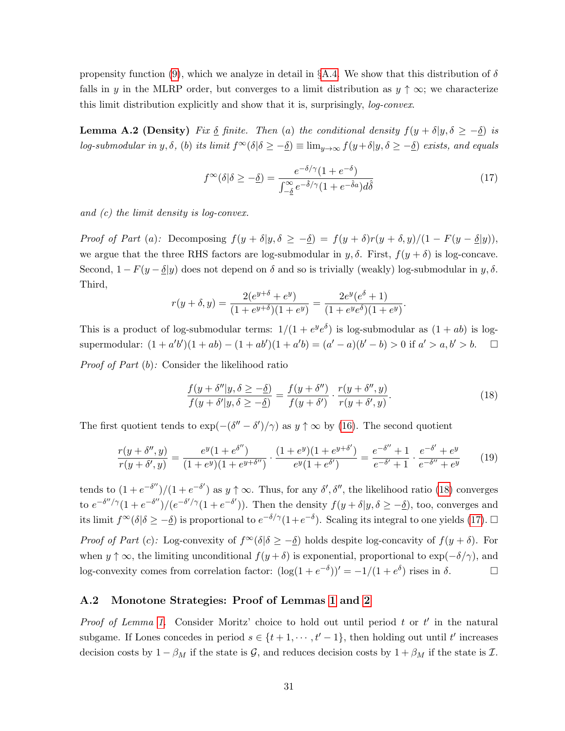propensity function [\(9\)](#page-12-1), which we analyze in detail in §[A.4.](#page-34-0) We show that this distribution of  $\delta$ falls in y in the MLRP order, but converges to a limit distribution as  $y \uparrow \infty$ ; we characterize this limit distribution explicitly and show that it is, surprisingly, log-convex.

<span id="page-31-2"></span>**Lemma A.2 (Density)** Fix  $\delta$  finite. Then (a) the conditional density  $f(y + \delta | y, \delta \geq -\delta)$  is log-submodular in y,  $\delta$ , (b) its limit  $f^{\infty}(\delta|\delta \geq -\underline{\delta}) \equiv \lim_{y\to\infty} f(y+\delta|y,\delta \geq -\underline{\delta})$  exists, and equals

<span id="page-31-1"></span>
$$
f^{\infty}(\delta|\delta \ge -\underline{\delta}) = \frac{e^{-\delta/\gamma}(1 + e^{-\delta})}{\int_{-\underline{\delta}}^{\infty} e^{-\hat{\delta}/\gamma}(1 + e^{-\hat{\delta}a})d\hat{\delta}}
$$
(17)

.

and (c) the limit density is log-convex.

Proof of Part (a): Decomposing  $f(y + \delta | y, \delta \geq -\underline{\delta}) = f(y + \delta) r(y + \delta, y)/(1 - F(y - \underline{\delta} | y)),$ we argue that the three RHS factors are log-submodular in  $y, \delta$ . First,  $f(y + \delta)$  is log-concave. Second,  $1 - F(y - \underline{\delta}|y)$  does not depend on  $\delta$  and so is trivially (weakly) log-submodular in  $y, \delta$ . Third,

$$
r(y + \delta, y) = \frac{2(e^{y + \delta} + e^y)}{(1 + e^{y + \delta})(1 + e^y)} = \frac{2e^y(e^{\delta} + 1)}{(1 + e^y e^{\delta})(1 + e^y)}
$$

This is a product of log-submodular terms:  $1/(1 + e^y e^{\delta})$  is log-submodular as  $(1 + ab)$  is logsupermodular:  $(1 + a'b')(1 + ab) - (1 + ab')(1 + a'b) = (a' - a)(b' - b) > 0$  if  $a' > a, b' > b$ .  $\Box$ Proof of Part (b): Consider the likelihood ratio

<span id="page-31-0"></span>
$$
\frac{f(y+\delta''|y,\delta\geq-\underline{\delta})}{f(y+\delta'|y,\delta\geq-\underline{\delta})} = \frac{f(y+\delta'')}{f(y+\delta')}\cdot\frac{r(y+\delta'',y)}{r(y+\delta',y)}.\tag{18}
$$

The first quotient tends to  $\exp(-(\delta'' - \delta')/\gamma)$  as  $y \uparrow \infty$  by [\(16\)](#page-30-2). The second quotient

$$
\frac{r(y+\delta'',y)}{r(y+\delta',y)} = \frac{e^y(1+e^{\delta''})}{(1+e^y)(1+e^{y+\delta''})} \cdot \frac{(1+e^y)(1+e^{y+\delta'})}{e^y(1+e^{\delta'})} = \frac{e^{-\delta''}+1}{e^{-\delta'}+1} \cdot \frac{e^{-\delta'}+e^y}{e^{-\delta''}+e^y} \tag{19}
$$

tends to  $(1+e^{-\delta''})/(1+e^{-\delta'})$  as  $y \uparrow \infty$ . Thus, for any  $\delta', \delta'',$  the likelihood ratio [\(18\)](#page-31-0) converges to  $e^{-\delta''/\gamma}(1+e^{-\delta''})/(e^{-\delta'/\gamma}(1+e^{-\delta'}))$ . Then the density  $f(y+\delta|y,\delta \geq -\underline{\delta})$ , too, converges and its limit  $f^{\infty}(\delta|\delta \geq -\underline{\delta})$  is proportional to  $e^{-\delta/\gamma}(1+e^{-\delta})$ . Scaling its integral to one yields [\(17\)](#page-31-1).  $\Box$ Proof of Part (c): Log-convexity of  $f^{\infty}(\delta | \delta \geq -\underline{\delta})$  holds despite log-concavity of  $f(y + \delta)$ . For when  $y \uparrow \infty$ , the limiting unconditional  $f(y + \delta)$  is exponential, proportional to exp( $-\delta/\gamma$ ), and log-convexity comes from correlation factor:  $(\log(1 + e^{-\delta}))' = -1/(1 + e^{\delta})$  rises in  $\delta$ .

### A.2 Monotone Strategies: Proof of Lemmas [1](#page-6-4) and [2](#page-7-4)

Proof of Lemma [1.](#page-6-4) Consider Moritz' choice to hold out until period  $t$  or  $t'$  in the natural subgame. If Lones concedes in period  $s \in \{t+1, \dots, t'-1\}$ , then holding out until t' increases decision costs by  $1 - \beta_M$  if the state is  $\mathcal{G}$ , and reduces decision costs by  $1 + \beta_M$  if the state is  $\mathcal{I}$ .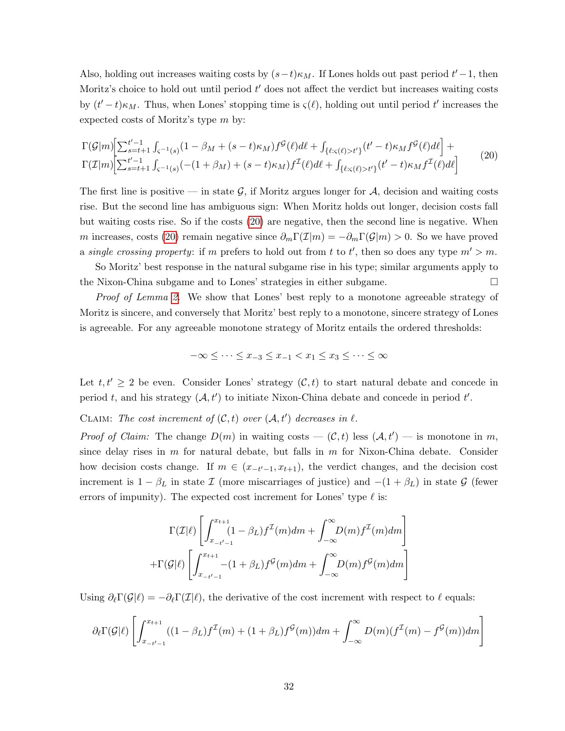Also, holding out increases waiting costs by  $(s-t)\kappa_M$ . If Lones holds out past period  $t'-1$ , then Moritz's choice to hold out until period  $t'$  does not affect the verdict but increases waiting costs by  $(t'-t)\kappa_M$ . Thus, when Lones' stopping time is  $\zeta(\ell)$ , holding out until period t' increases the expected costs of Moritz's type m by:

<span id="page-32-0"></span>
$$
\Gamma(\mathcal{G}|m) \Big[ \sum_{s=t+1}^{t'-1} \int_{\varsigma^{-1}(s)} (1 - \beta_M + (s-t)\kappa_M) f^{\mathcal{G}}(\ell) d\ell + \int_{\{\ell : \varsigma(\ell) > t'\}} (t'-t)\kappa_M f^{\mathcal{G}}(\ell) d\ell \Big] + \Gamma(\mathcal{I}|m) \Big[ \sum_{s=t+1}^{t'-1} \int_{\varsigma^{-1}(s)} (-(1+\beta_M) + (s-t)\kappa_M) f^{\mathcal{I}}(\ell) d\ell + \int_{\{\ell : \varsigma(\ell) > t'\}} (t'-t)\kappa_M f^{\mathcal{I}}(\ell) d\ell \Big]
$$
\n(20)

The first line is positive — in state  $\mathcal{G}$ , if Moritz argues longer for  $\mathcal{A}$ , decision and waiting costs rise. But the second line has ambiguous sign: When Moritz holds out longer, decision costs fall but waiting costs rise. So if the costs [\(20\)](#page-32-0) are negative, then the second line is negative. When m increases, costs [\(20\)](#page-32-0) remain negative since  $\partial_m \Gamma(\mathcal{I}|m) = -\partial_m \Gamma(\mathcal{G}|m) > 0$ . So we have proved a single crossing property: if m prefers to hold out from t to t', then so does any type  $m' > m$ .

So Moritz' best response in the natural subgame rise in his type; similar arguments apply to the Nixon-China subgame and to Lones' strategies in either subgame.

Proof of Lemma [2.](#page-7-4) We show that Lones' best reply to a monotone agreeable strategy of Moritz is sincere, and conversely that Moritz' best reply to a monotone, sincere strategy of Lones is agreeable. For any agreeable monotone strategy of Moritz entails the ordered thresholds:

$$
-\infty \leq \cdots \leq x_{-3} \leq x_{-1} < x_1 \leq x_3 \leq \cdots \leq \infty
$$

Let  $t, t' \geq 2$  be even. Consider Lones' strategy  $(C, t)$  to start natural debate and concede in period t, and his strategy  $(A, t')$  to initiate Nixon-China debate and concede in period t'.

CLAIM: The cost increment of  $(C, t)$  over  $(A, t')$  decreases in  $\ell$ .

*Proof of Claim:* The change  $D(m)$  in waiting costs  $(C, t)$  less  $(A, t')$   $-$  is monotone in m, since delay rises in  $m$  for natural debate, but falls in  $m$  for Nixon-China debate. Consider how decision costs change. If  $m \in (x_{-t'-1}, x_{t+1})$ , the verdict changes, and the decision cost increment is  $1 - \beta_L$  in state  $\mathcal I$  (more miscarriages of justice) and  $-(1 + \beta_L)$  in state  $\mathcal G$  (fewer errors of impunity). The expected cost increment for Lones' type  $\ell$  is:

$$
\Gamma(\mathcal{I}|\ell) \left[ \int_{x_{-t'-1}}^{x_{t+1}} (1 - \beta_L) f^{\mathcal{I}}(m) dm + \int_{-\infty}^{\infty} D(m) f^{\mathcal{I}}(m) dm \right]
$$
  
+
$$
\Gamma(\mathcal{G}|\ell) \left[ \int_{x_{-t'-1}}^{x_{t+1}} -(1 + \beta_L) f^{\mathcal{G}}(m) dm + \int_{-\infty}^{\infty} D(m) f^{\mathcal{G}}(m) dm \right]
$$

Using  $\partial_{\ell}\Gamma(\mathcal{G}|\ell) = -\partial_{\ell}\Gamma(\mathcal{I}|\ell)$ , the derivative of the cost increment with respect to  $\ell$  equals:

$$
\partial_{\ell} \Gamma(\mathcal{G}|\ell) \left[ \int_{x_{-t'-1}}^{x_{t+1}} ((1-\beta_L)f^{\mathcal{I}}(m) + (1+\beta_L)f^{\mathcal{G}}(m))dm + \int_{-\infty}^{\infty} D(m)(f^{\mathcal{I}}(m) - f^{\mathcal{G}}(m))dm \right]
$$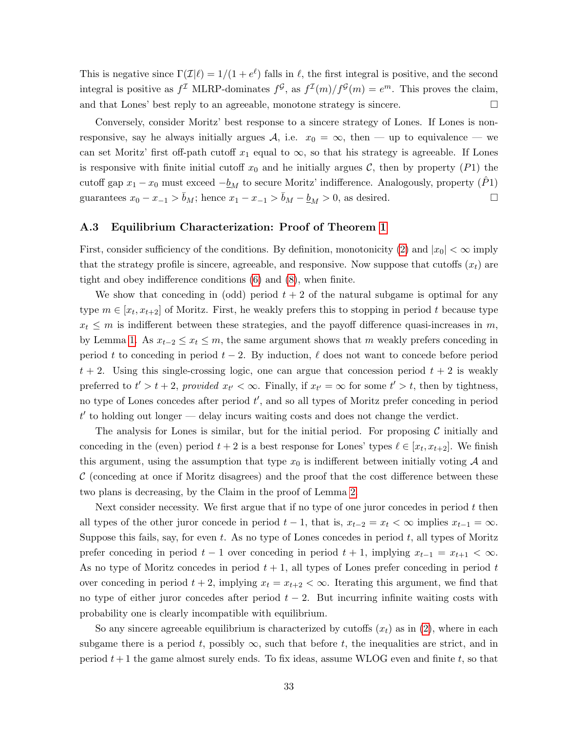This is negative since  $\Gamma(\mathcal{I}|\ell) = 1/(1 + e^{\ell})$  falls in  $\ell$ , the first integral is positive, and the second integral is positive as  $f^{\mathcal{I}}$  MLRP-dominates  $f^{\mathcal{G}},$  as  $f^{\mathcal{I}}(m)/f^{\mathcal{G}}(m)=e^m$ . This proves the claim, and that Lones' best reply to an agreeable, monotone strategy is sincere.

Conversely, consider Moritz' best response to a sincere strategy of Lones. If Lones is nonresponsive, say he always initially argues A, i.e.  $x_0 = \infty$ , then — up to equivalence — we can set Moritz' first off-path cutoff  $x_1$  equal to  $\infty$ , so that his strategy is agreeable. If Lones is responsive with finite initial cutoff  $x_0$  and he initially argues C, then by property (P1) the cutoff gap  $x_1 - x_0$  must exceed  $-\underline{b}_M$  to secure Moritz' indifference. Analogously, property  $(\hat{P}1)$ guarantees  $x_0 - x_{-1} > \bar{b}_M$ ; hence  $x_1 - x_{-1} > \bar{b}_M - \underline{b}_M > 0$ , as desired.

#### A.3 Equilibrium Characterization: Proof of Theorem [1](#page-9-0)

First, consider sufficiency of the conditions. By definition, monotonicity [\(2\)](#page-7-3) and  $|x_0| < \infty$  imply that the strategy profile is sincere, agreeable, and responsive. Now suppose that cutoffs  $(x_t)$  are tight and obey indifference conditions [\(6\)](#page-9-1) and [\(8\)](#page-9-2), when finite.

We show that conceding in (odd) period  $t + 2$  of the natural subgame is optimal for any type  $m \in [x_t, x_{t+2}]$  of Moritz. First, he weakly prefers this to stopping in period t because type  $x_t \leq m$  is indifferent between these strategies, and the payoff difference quasi-increases in m, by Lemma [1.](#page-6-4) As  $x_{t-2} \leq x_t \leq m$ , the same argument shows that m weakly prefers conceding in period t to conceding in period  $t - 2$ . By induction,  $\ell$  does not want to concede before period  $t + 2$ . Using this single-crossing logic, one can argue that concession period  $t + 2$  is weakly preferred to  $t' > t + 2$ , provided  $x_{t'} < \infty$ . Finally, if  $x_{t'} = \infty$  for some  $t' > t$ , then by tightness, no type of Lones concedes after period  $t'$ , and so all types of Moritz prefer conceding in period  $t'$  to holding out longer  $-$  delay incurs waiting costs and does not change the verdict.

The analysis for Lones is similar, but for the initial period. For proposing  $\mathcal C$  initially and conceding in the (even) period  $t + 2$  is a best response for Lones' types  $\ell \in [x_t, x_{t+2}]$ . We finish this argument, using the assumption that type  $x_0$  is indifferent between initially voting A and  $\mathcal C$  (conceding at once if Moritz disagrees) and the proof that the cost difference between these two plans is decreasing, by the Claim in the proof of Lemma [2.](#page-7-4)

Next consider necessity. We first argue that if no type of one juror concedes in period  $t$  then all types of the other juror concede in period  $t-1$ , that is,  $x_{t-2} = x_t < \infty$  implies  $x_{t-1} = \infty$ . Suppose this fails, say, for even  $t$ . As no type of Lones concedes in period  $t$ , all types of Moritz prefer conceding in period  $t - 1$  over conceding in period  $t + 1$ , implying  $x_{t-1} = x_{t+1} < \infty$ . As no type of Moritz concedes in period  $t + 1$ , all types of Lones prefer conceding in period t over conceding in period  $t + 2$ , implying  $x_t = x_{t+2} < \infty$ . Iterating this argument, we find that no type of either juror concedes after period  $t - 2$ . But incurring infinite waiting costs with probability one is clearly incompatible with equilibrium.

So any sincere agreeable equilibrium is characterized by cutoffs  $(x_t)$  as in [\(2\)](#page-7-3), where in each subgame there is a period t, possibly  $\infty$ , such that before t, the inequalities are strict, and in period  $t+1$  the game almost surely ends. To fix ideas, assume WLOG even and finite t, so that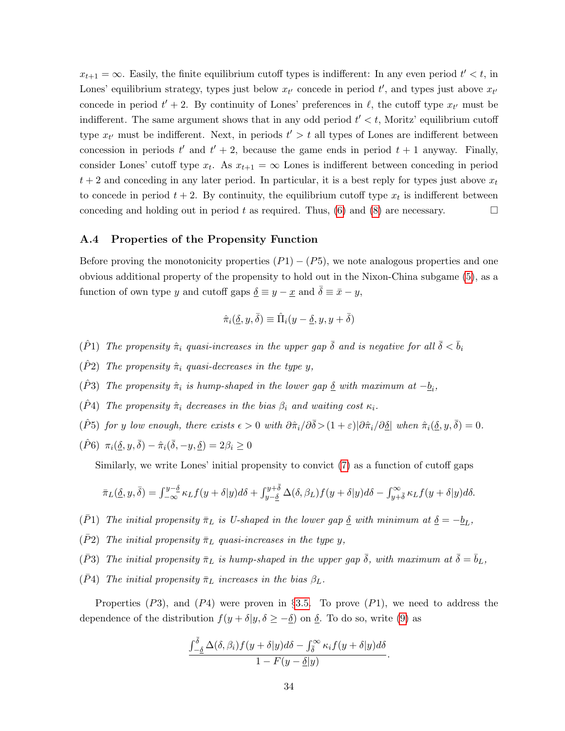$x_{t+1} = \infty$ . Easily, the finite equilibrium cutoff types is indifferent: In any even period  $t' < t$ , in Lones' equilibrium strategy, types just below  $x_{t'}$  concede in period  $t'$ , and types just above  $x_{t'}$ concede in period  $t' + 2$ . By continuity of Lones' preferences in  $\ell$ , the cutoff type  $x_{t'}$  must be indifferent. The same argument shows that in any odd period  $t' < t$ , Moritz' equilibrium cutoff type  $x_{t'}$  must be indifferent. Next, in periods  $t' > t$  all types of Lones are indifferent between concession in periods  $t'$  and  $t' + 2$ , because the game ends in period  $t + 1$  anyway. Finally, consider Lones' cutoff type  $x_t$ . As  $x_{t+1} = \infty$  Lones is indifferent between conceding in period  $t + 2$  and conceding in any later period. In particular, it is a best reply for types just above  $x_t$ to concede in period  $t + 2$ . By continuity, the equilibrium cutoff type  $x_t$  is indifferent between conceding and holding out in period t as required. Thus,  $(6)$  and  $(8)$  are necessary.

### <span id="page-34-0"></span>A.4 Properties of the Propensity Function

Before proving the monotonicity properties  $(P1) - (P5)$ , we note analogous properties and one obvious additional property of the propensity to hold out in the Nixon-China subgame [\(5\)](#page-8-2), as a function of own type y and cutoff gaps  $\underline{\delta} \equiv y - \underline{x}$  and  $\overline{\delta} \equiv \overline{x} - y$ ,

$$
\hat{\pi}_i(\underline{\delta}, y, \overline{\delta}) \equiv \hat{\Pi}_i(y - \underline{\delta}, y, y + \overline{\delta})
$$

- (P<sup>1</sup>) The propensity  $\hat{\pi}_i$  quasi-increases in the upper gap  $\bar{\delta}$  and is negative for all  $\bar{\delta} < \bar{b}_i$
- (P2) The propensity  $\hat{\pi}_i$  quasi-decreases in the type y,
- (P<sup>3</sup>) The propensity  $\hat{\pi}_i$  is hump-shaped in the lower gap  $\underline{\delta}$  with maximum at  $-\underline{b}_i$ ,
- (P<sup>4</sup>) The propensity  $\hat{\pi}_i$  decreases in the bias  $\beta_i$  and waiting cost  $\kappa_i$ .
- (P̃5) for y low enough, there exists  $\epsilon > 0$  with  $\frac{\partial \hat{\pi}_i}{\partial \overline{\delta}} > (1 + \varepsilon) \frac{\partial \hat{\pi}_i}{\partial \underline{\delta}}$  when  $\hat{\pi}_i(\underline{\delta}, y, \overline{\delta}) = 0$ .

$$
(\hat{P}6) \ \pi_i(\underline{\delta}, y, \overline{\delta}) - \hat{\pi}_i(\overline{\delta}, -y, \underline{\delta}) = 2\beta_i \ge 0
$$

Similarly, we write Lones' initial propensity to convict [\(7\)](#page-9-3) as a function of cutoff gaps

$$
\bar{\pi}_L(\underline{\delta}, y, \overline{\delta}) = \int_{-\infty}^{y-\underline{\delta}} \kappa_L f(y + \delta |y) d\delta + \int_{y-\underline{\delta}}^{y+\overline{\delta}} \Delta(\delta, \beta_L) f(y + \delta |y) d\delta - \int_{y+\overline{\delta}}^{\infty} \kappa_L f(y + \delta |y) d\delta.
$$

- (P1) The initial propensity  $\bar{\pi}_L$  is U-shaped in the lower gap  $\underline{\delta}$  with minimum at  $\underline{\delta} = -\underline{b}_L$ ,
- $(\bar{P}2)$  The initial propensity  $\bar{\pi}_L$  quasi-increases in the type y,
- (P3) The initial propensity  $\bar{\pi}_L$  is hump-shaped in the upper gap  $\bar{\delta}$ , with maximum at  $\bar{\delta} = \bar{b}_L$ ,
- (P4) The initial propensity  $\bar{\pi}_L$  increases in the bias  $\beta_L$ .

Properties  $(P3)$ , and  $(P4)$  were proven in §[3.5.](#page-12-4) To prove  $(P1)$ , we need to address the dependence of the distribution  $f(y + \delta | y, \delta \geq -\underline{\delta})$  on  $\underline{\delta}$ . To do so, write [\(9\)](#page-12-1) as

$$
\frac{\int_{-\underline{\delta}}^{\overline{\delta}} \Delta(\delta, \beta_i) f(y + \delta | y) d\delta - \int_{\overline{\delta}}^{\infty} \kappa_i f(y + \delta | y) d\delta}{1 - F(y - \underline{\delta} | y)}.
$$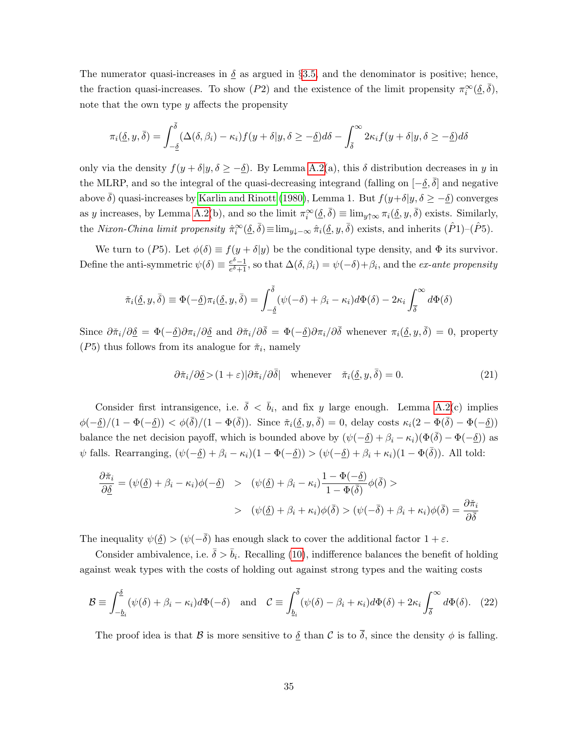The numerator quasi-increases in  $\delta$  as argued in §[3.5,](#page-12-4) and the denominator is positive; hence, the fraction quasi-increases. To show (P2) and the existence of the limit propensity  $\pi_i^{\infty}(\underline{\delta}, \overline{\delta})$ , note that the own type y affects the propensity

$$
\pi_i(\underline{\delta}, y, \overline{\delta}) = \int_{-\underline{\delta}}^{\overline{\delta}} (\Delta(\delta, \beta_i) - \kappa_i) f(y + \delta | y, \delta \ge -\underline{\delta}) d\delta - \int_{\overline{\delta}}^{\infty} 2\kappa_i f(y + \delta | y, \delta \ge -\underline{\delta}) d\delta
$$

only via the density  $f(y + \delta | y, \delta \ge -\underline{\delta})$ . By Lemma [A.2\(](#page-31-2)a), this  $\delta$  distribution decreases in y in the MLRP, and so the integral of the quasi-decreasing integrand (falling on  $[-\underline{\delta}, \overline{\delta}]$  and negative above  $\bar{\delta}$ ) quasi-increases by [Karlin and Rinott \(1980\)](#page-48-15), Lemma 1. But  $f(y+\delta|y,\delta \geq -\underline{\delta})$  converges as y increases, by Lemma [A.2\(](#page-31-2)b), and so the limit  $\pi_i^{\infty}(\underline{\delta}, \overline{\delta}) \equiv \lim_{y \uparrow \infty} \pi_i(\underline{\delta}, y, \overline{\delta})$  exists. Similarly, the Nixon-China limit propensity  $\hat{\pi}_{i}^{\infty}(\underline{\delta}, \overline{\delta}) \equiv \lim_{y \downarrow -\infty} \hat{\pi}_{i}(\underline{\delta}, y, \overline{\delta})$  exists, and inherits  $(\hat{P}1)$ – $(\hat{P}5)$ .

We turn to (P5). Let  $\phi(\delta) \equiv f(y + \delta | y)$  be the conditional type density, and  $\Phi$  its survivor. Define the anti-symmetric  $\psi(\delta) \equiv \frac{e^{\delta}-1}{e^{\delta}-1}$  $\frac{e^{o}-1}{e^{o}+1}$ , so that  $\Delta(\delta, \beta_i) = \psi(-\delta) + \beta_i$ , and the *ex-ante propensity* 

$$
\check{\pi}_i(\underline{\delta}, y, \overline{\delta}) \equiv \Phi(-\underline{\delta}) \pi_i(\underline{\delta}, y, \overline{\delta}) = \int_{-\underline{\delta}}^{\overline{\delta}} (\psi(-\delta) + \beta_i - \kappa_i) d\Phi(\delta) - 2\kappa_i \int_{\overline{\delta}}^{\infty} d\Phi(\delta)
$$

Since  $\partial \tilde{\pi}_i/\partial \underline{\delta} = \Phi(-\underline{\delta})\partial \pi_i/\partial \underline{\delta}$  and  $\partial \tilde{\pi}_i/\partial \overline{\delta} = \Phi(-\underline{\delta})\partial \pi_i/\partial \overline{\delta}$  whenever  $\pi_i(\underline{\delta}, y, \overline{\delta}) = 0$ , property  $(P5)$  thus follows from its analogue for  $\check{\pi}_i$ , namely

<span id="page-35-0"></span>
$$
\partial \tilde{\pi}_i / \partial \underline{\delta} > (1 + \varepsilon) |\partial \tilde{\pi}_i / \partial \overline{\delta}| \quad \text{whenever} \quad \tilde{\pi}_i(\underline{\delta}, y, \overline{\delta}) = 0. \tag{21}
$$

Consider first intransigence, i.e.  $\bar{\delta} < \bar{b}_i$ , and fix y large enough. Lemma [A.2\(](#page-31-2)c) implies  $\phi(-\underline{\delta})/(1-\Phi(-\underline{\delta})) < \phi(\overline{\delta})/(1-\Phi(\overline{\delta}))$ . Since  $\check{\pi}_i(\underline{\delta}, y, \overline{\delta}) = 0$ , delay costs  $\kappa_i(2-\Phi(\overline{\delta})-\Phi(-\underline{\delta}))$ balance the net decision payoff, which is bounded above by  $(\psi(-\underline{\delta}) + \beta_i - \kappa_i)(\Phi(\overline{\delta}) - \Phi(-\underline{\delta}))$  as  $\psi$  falls. Rearranging,  $(\psi(-\underline{\delta}) + \beta_i - \kappa_i)(1 - \Phi(-\underline{\delta})) > (\psi(-\underline{\delta}) + \beta_i + \kappa_i)(1 - \Phi(\overline{\delta}))$ . All told:

$$
\frac{\partial \tilde{\pi}_i}{\partial \underline{\delta}} = (\psi(\underline{\delta}) + \beta_i - \kappa_i)\phi(-\underline{\delta}) \quad > \quad (\psi(\underline{\delta}) + \beta_i - \kappa_i)\frac{1 - \Phi(-\underline{\delta})}{1 - \Phi(\overline{\delta})}\phi(\overline{\delta}) >
$$
\n
$$
> \quad (\psi(\underline{\delta}) + \beta_i + \kappa_i)\phi(\overline{\delta}) > (\psi(-\overline{\delta}) + \beta_i + \kappa_i)\phi(\overline{\delta}) = \frac{\partial \tilde{\pi}_i}{\partial \overline{\delta}}
$$

The inequality  $\psi(\underline{\delta}) > (\psi(-\overline{\delta}))$  has enough slack to cover the additional factor  $1 + \varepsilon$ .

Consider ambivalence, i.e.  $\bar{\delta} > \bar{b}_i$ . Recalling [\(10\)](#page-12-3), indifference balances the benefit of holding against weak types with the costs of holding out against strong types and the waiting costs

<span id="page-35-1"></span>
$$
\mathcal{B} \equiv \int_{-b_i}^{\delta} (\psi(\delta) + \beta_i - \kappa_i) d\Phi(-\delta) \quad \text{and} \quad \mathcal{C} \equiv \int_{\underline{b}_i}^{\overline{\delta}} (\psi(\delta) - \beta_i + \kappa_i) d\Phi(\delta) + 2\kappa_i \int_{\overline{\delta}}^{\infty} d\Phi(\delta). \tag{22}
$$

The proof idea is that B is more sensitive to  $\delta$  than C is to  $\overline{\delta}$ , since the density  $\phi$  is falling.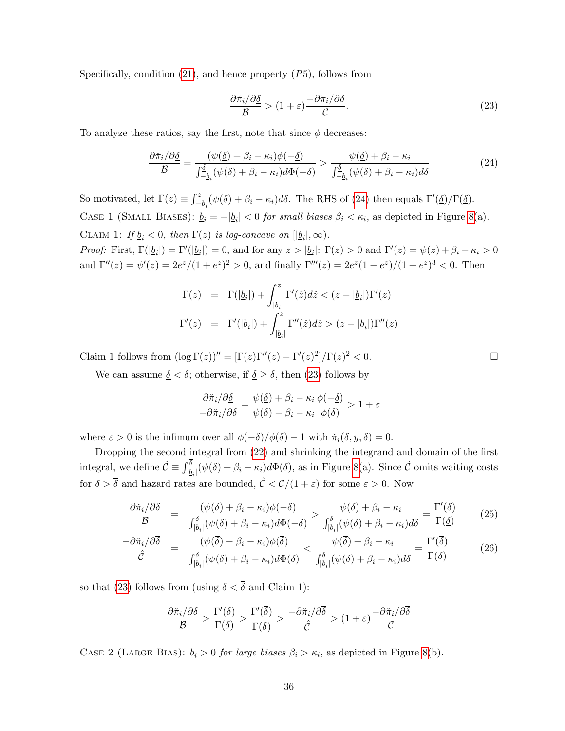Specifically, condition  $(21)$ , and hence property  $(P5)$ , follows from

<span id="page-36-1"></span>
$$
\frac{\partial \tilde{\pi}_i/\partial \underline{\delta}}{\mathcal{B}} > (1+\varepsilon) \frac{-\partial \tilde{\pi}_i/\partial \overline{\delta}}{\mathcal{C}}.
$$
\n(23)

To analyze these ratios, say the first, note that since  $\phi$  decreases:

<span id="page-36-0"></span>
$$
\frac{\partial \tilde{\pi}_i/\partial \underline{\delta}}{\mathcal{B}} = \frac{(\psi(\underline{\delta}) + \beta_i - \kappa_i)\phi(-\underline{\delta})}{\int_{-\underline{b}_i}^{\underline{\delta}} (\psi(\delta) + \beta_i - \kappa_i)d\Phi(-\delta)} > \frac{\psi(\underline{\delta}) + \beta_i - \kappa_i}{\int_{-\underline{b}_i}^{\underline{\delta}} (\psi(\delta) + \beta_i - \kappa_i)d\delta}
$$
(24)

So motivated, let  $\Gamma(z) \equiv \int_{-\underline{b}_i}^{z} (\psi(\delta) + \beta_i - \kappa_i) d\delta$ . The RHS of [\(24\)](#page-36-0) then equals  $\Gamma'(\underline{\delta})/\Gamma(\underline{\delta})$ . CASE 1 (SMALL BIASES):  $\underline{b}_i = -|\underline{b}_i| < 0$  for small biases  $\beta_i < \kappa_i$ , as depicted in Figure [8\(](#page-37-0)a). CLAIM 1: If  $\underline{b}_i < 0$ , then  $\Gamma(z)$  is log-concave on  $[\underline{b}_i], \infty)$ .

*Proof:* First,  $\Gamma(|\underline{b}_i|) = \Gamma'(|\underline{b}_i|) = 0$ , and for any  $z > |\underline{b}_i|$ :  $\Gamma(z) > 0$  and  $\Gamma'(z) = \psi(z) + \beta_i - \kappa_i > 0$ and  $\Gamma''(z) = \psi'(z) = 2e^z/(1+e^z)^2 > 0$ , and finally  $\Gamma'''(z) = 2e^z(1-e^z)/(1+e^z)^3 < 0$ . Then

$$
\Gamma(z) = \Gamma(|\underline{b}_i|) + \int_{|\underline{b}_i|}^{z} \Gamma'(\hat{z}) d\hat{z} < (z - |\underline{b}_i|) \Gamma'(z)
$$
  

$$
\Gamma'(z) = \Gamma'(|\underline{b}_i|) + \int_{|\underline{b}_i|}^{z} \Gamma''(\hat{z}) d\hat{z} > (z - |\underline{b}_i|) \Gamma''(z)
$$

Claim 1 follows from  $(\log \Gamma(z))'' = [\Gamma(z)\Gamma''(z) - \Gamma'(z)^2]/\Gamma(z)^2 < 0.$ 

We can assume  $\delta < \overline{\delta}$ ; otherwise, if  $\delta \geq \overline{\delta}$ , then [\(23\)](#page-36-1) follows by

$$
\frac{\partial \tilde{\pi}_i/\partial \underline{\delta}}{-\partial \tilde{\pi}_i/\partial \overline{\delta}} = \frac{\psi(\underline{\delta}) + \beta_i - \kappa_i}{\psi(\overline{\delta}) - \beta_i - \kappa_i} \frac{\phi(-\underline{\delta})}{\phi(\overline{\delta})} > 1 + \varepsilon
$$

where  $\varepsilon > 0$  is the infimum over all  $\phi(-\underline{\delta})/\phi(\overline{\delta}) - 1$  with  $\breve{\pi}_i(\underline{\delta}, y, \overline{\delta}) = 0$ .

Dropping the second integral from [\(22\)](#page-35-1) and shrinking the integrand and domain of the first integral, we define  $\hat{\mathcal{C}} \equiv \int_{|\underline{b}_i|}^{\delta} (\psi(\delta) + \beta_i - \kappa_i) d\Phi(\delta)$ , as in Figure [8\(](#page-37-0)a). Since  $\hat{\mathcal{C}}$  omits waiting costs for  $\delta > \overline{\delta}$  and hazard rates are bounded,  $\mathcal{C} < \mathcal{C}/(1+\varepsilon)$  for some  $\varepsilon > 0$ . Now

<span id="page-36-2"></span>
$$
\frac{\partial \tilde{\pi}_i/\partial \underline{\delta}}{\mathcal{B}} = \frac{(\psi(\underline{\delta}) + \beta_i - \kappa_i)\phi(-\underline{\delta})}{\int_{|\underline{b}_i|}^{\underline{\delta}} (\psi(\delta) + \beta_i - \kappa_i)d\Phi(-\delta)} > \frac{\psi(\underline{\delta}) + \beta_i - \kappa_i}{\int_{|\underline{b}_i|}^{\underline{\delta}} (\psi(\delta) + \beta_i - \kappa_i)d\delta} = \frac{\Gamma'(\underline{\delta})}{\Gamma(\underline{\delta})}
$$
(25)

$$
\frac{-\partial \pi_i/\partial \overline{\delta}}{\hat{\mathcal{C}}} = \frac{(\psi(\overline{\delta}) - \beta_i - \kappa_i)\phi(\overline{\delta})}{\int_{|\underline{b}_i|}^{\overline{\delta}} (\psi(\delta) + \beta_i - \kappa_i)d\Phi(\delta)} < \frac{\psi(\overline{\delta}) + \beta_i - \kappa_i}{\int_{|\underline{b}_i|}^{\overline{\delta}} (\psi(\delta) + \beta_i - \kappa_i)d\delta} = \frac{\Gamma'(\overline{\delta})}{\Gamma(\overline{\delta})}
$$
(26)

so that [\(23\)](#page-36-1) follows from (using  $\delta < \overline{\delta}$  and Claim 1):

$$
\frac{\partial \check{\pi}_i/\partial \underline{\delta}}{\mathcal{B}} > \frac{\Gamma'(\underline{\delta})}{\Gamma(\underline{\delta})} > \frac{\Gamma'(\overline{\delta})}{\Gamma(\overline{\delta})} > \frac{-\partial \check{\pi}_i/\partial \overline{\delta}}{\hat{\mathcal{C}}} > (1+\varepsilon)\frac{-\partial \check{\pi}_i/\partial \overline{\delta}}{\mathcal{C}}
$$

CASE 2 (LARGE BIAS):  $\underline{b}_i > 0$  for large biases  $\beta_i > \kappa_i$ , as depicted in Figure [8\(](#page-37-0)b).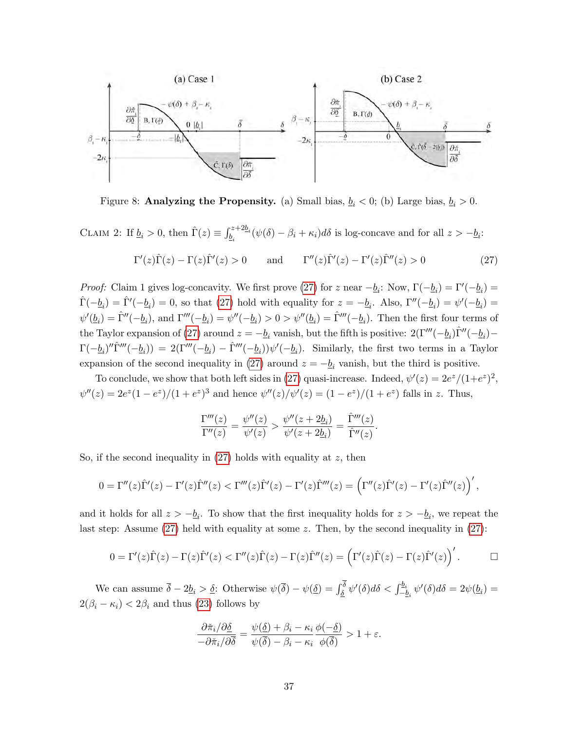

<span id="page-37-0"></span>Figure 8: **Analyzing the Propensity.** (a) Small bias,  $\underline{b}_i < 0$ ; (b) Large bias,  $\underline{b}_i > 0$ .

CLAIM 2: If  $\underline{b}_i > 0$ , then  $\hat{\Gamma}(z) \equiv \int_{\underline{b}_i}^{z+2\underline{b}_i} (\psi(\delta) - \beta_i + \kappa_i) d\delta$  is log-concave and for all  $z > -\underline{b}_i$ :

<span id="page-37-1"></span>
$$
\Gamma'(z)\widehat{\Gamma}(z) - \Gamma(z)\widehat{\Gamma}'(z) > 0 \qquad \text{and} \qquad \Gamma''(z)\widehat{\Gamma}'(z) - \Gamma'(z)\widehat{\Gamma}''(z) > 0 \tag{27}
$$

*Proof:* Claim 1 gives log-concavity. We first prove [\(27\)](#page-37-1) for z near  $-\underline{b}_i$ : Now,  $\Gamma(-\underline{b}_i) = \Gamma'(-\underline{b}_i)$  $\hat{\Gamma}(-\underline{b}_i) = \hat{\Gamma}'(-\underline{b}_i) = 0$ , so that [\(27\)](#page-37-1) hold with equality for  $z = -\underline{b}_i$ . Also,  $\Gamma''(-\underline{b}_i) = \psi'(-\underline{b}_i)$  $\psi'(\underline{b}_i) = \hat{\Gamma}''(-\underline{b}_i)$ , and  $\Gamma'''(-\underline{b}_i) = \psi''(-\underline{b}_i) > 0 > \psi''(\underline{b}_i) = \hat{\Gamma}'''(-\underline{b}_i)$ . Then the first four terms of the Taylor expansion of [\(27\)](#page-37-1) around  $z = -\underline{b}_i$  vanish, but the fifth is positive:  $2(\Gamma'''(-\underline{b}_i)\hat{\Gamma}''(-\underline{b}_i) \Gamma(-\underline{b}_i)''\hat{\Gamma}'''(-\underline{b}_i) = 2(\Gamma'''(-\underline{b}_i) - \hat{\Gamma}'''(-\underline{b}_i))\psi'(-\underline{b}_i)$ . Similarly, the first two terms in a Taylor expansion of the second inequality in [\(27\)](#page-37-1) around  $z = -b_i$  vanish, but the third is positive.

To conclude, we show that both left sides in [\(27\)](#page-37-1) quasi-increase. Indeed,  $\psi'(z) = 2e^z/(1+e^z)^2$ ,  $\psi''(z) = 2e^{z}(1-e^{z})/(1+e^{z})^{3}$  and hence  $\psi''(z)/\psi'(z) = (1-e^{z})/(1+e^{z})$  falls in z. Thus,

$$
\frac{\Gamma'''(z)}{\Gamma''(z)} = \frac{\psi''(z)}{\psi'(z)} > \frac{\psi''(z+2\underline{b}_i)}{\psi'(z+2\underline{b}_i)} = \frac{\hat{\Gamma}'''(z)}{\hat{\Gamma}''(z)}.
$$

So, if the second inequality in  $(27)$  holds with equality at z, then

$$
0 = \Gamma''(z)\hat{\Gamma}'(z) - \Gamma'(z)\hat{\Gamma}''(z) < \Gamma'''(z)\hat{\Gamma}'(z) - \Gamma'(z)\hat{\Gamma}'''(z) = \left(\Gamma''(z)\hat{\Gamma}'(z) - \Gamma'(z)\hat{\Gamma}''(z)\right)',
$$

and it holds for all  $z > -b_i$ . To show that the first inequality holds for  $z > -b_i$ , we repeat the last step: Assume  $(27)$  held with equality at some z. Then, by the second inequality in  $(27)$ :

$$
0 = \Gamma'(z)\hat{\Gamma}(z) - \Gamma(z)\hat{\Gamma}'(z) < \Gamma''(z)\hat{\Gamma}(z) - \Gamma(z)\hat{\Gamma}''(z) = \left(\Gamma'(z)\hat{\Gamma}(z) - \Gamma(z)\hat{\Gamma}'(z)\right)'.
$$

We can assume  $\overline{\delta} - 2\underline{b}_i > \underline{\delta}$ : Otherwise  $\psi(\overline{\delta}) - \psi(\underline{\delta}) = \int_{\underline{\delta}}^{\overline{\delta}} \psi'(\delta) d\delta < \int_{-\underline{b}_i}^{\underline{b}_i} \psi'(\delta) d\delta = 2\psi(\underline{b}_i) =$  $2(\beta_i - \kappa_i) < 2\beta_i$  and thus [\(23\)](#page-36-1) follows by

$$
\frac{\partial \tilde{\pi}_i/\partial \underline{\delta}}{-\partial \tilde{\pi}_i/\partial \overline{\delta}} = \frac{\psi(\underline{\delta}) + \beta_i - \kappa_i}{\psi(\overline{\delta}) - \beta_i - \kappa_i} \frac{\phi(-\underline{\delta})}{\phi(\overline{\delta})} > 1 + \varepsilon.
$$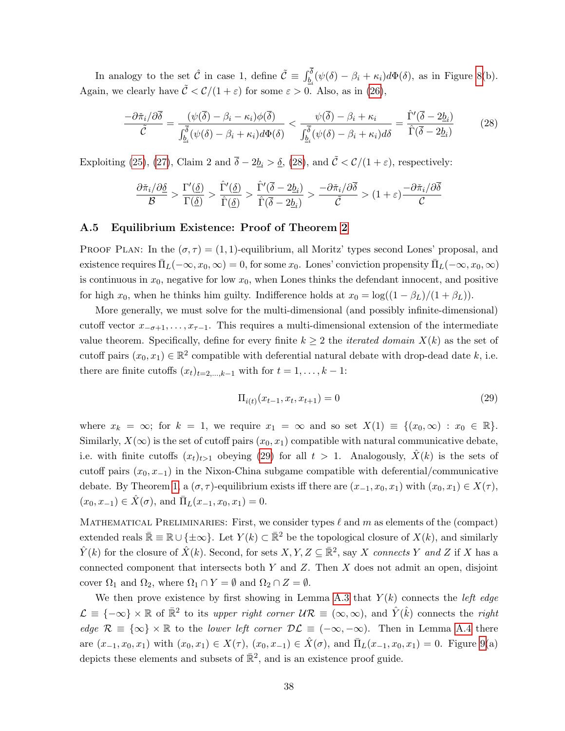In analogy to the set  $\hat{\mathcal{C}}$  in case 1, define  $\tilde{\mathcal{C}} \equiv \int_{\underline{b}_i}^{\delta} (\psi(\delta) - \beta_i + \kappa_i) d\Phi(\delta)$ , as in Figure [8\(](#page-37-0)b). Again, we clearly have  $\tilde{\mathcal{C}} < \mathcal{C}/(1+\varepsilon)$  for some  $\varepsilon > 0$ . Also, as in [\(26\)](#page-36-2),

<span id="page-38-1"></span>
$$
\frac{-\partial \tilde{\pi}_i/\partial \overline{\delta}}{\tilde{\mathcal{C}}} = \frac{(\psi(\overline{\delta}) - \beta_i - \kappa_i)\phi(\overline{\delta})}{\int_{\underline{b}_i}^{\overline{\delta}}(\psi(\delta) - \beta_i + \kappa_i)d\Phi(\delta)} < \frac{\psi(\overline{\delta}) - \beta_i + \kappa_i}{\int_{\underline{b}_i}^{\overline{\delta}}(\psi(\delta) - \beta_i + \kappa_i)d\delta} = \frac{\hat{\Gamma}'(\overline{\delta} - 2\underline{b}_i)}{\hat{\Gamma}(\overline{\delta} - 2\underline{b}_i)}\tag{28}
$$

Exploiting [\(25\)](#page-36-2), [\(27\)](#page-37-1), Claim 2 and  $\overline{\delta} - 2\underline{b}_i > \underline{\delta}$ , [\(28\)](#page-38-1), and  $\overline{\tilde{\mathcal{C}}} < \mathcal{C}/(1+\varepsilon)$ , respectively:

$$
\frac{\partial \check{\pi}_i/\partial\underline{\delta}}{\mathcal{B}} > \frac{\Gamma'(\underline{\delta})}{\Gamma(\underline{\delta})} > \frac{\hat{\Gamma}'(\underline{\delta})}{\hat{\Gamma}(\underline{\delta})} > \frac{\hat{\Gamma}'(\overline{\delta}-2\underline{b}_i)}{\hat{\Gamma}(\overline{\delta}-2\underline{b}_i)} > \frac{-\partial \check{\pi}_i/\partial\overline{\delta}}{\tilde{\mathcal{C}}} > (1+\varepsilon)\frac{-\partial \check{\pi}_i/\partial\overline{\delta}}{\mathcal{C}}
$$

### <span id="page-38-0"></span>A.5 Equilibrium Existence: Proof of Theorem [2](#page-10-0)

PROOF PLAN: In the  $(\sigma, \tau) = (1, 1)$ -equilibrium, all Moritz' types second Lones' proposal, and existence requires  $\bar{\Pi}_L(-\infty, x_0, \infty) = 0$ , for some  $x_0$ . Lones' conviction propensity  $\bar{\Pi}_L(-\infty, x_0, \infty)$ is continuous in  $x_0$ , negative for low  $x_0$ , when Lones thinks the defendant innocent, and positive for high  $x_0$ , when he thinks him guilty. Indifference holds at  $x_0 = \log((1 - \beta_L)/(1 + \beta_L)).$ 

More generally, we must solve for the multi-dimensional (and possibly infinite-dimensional) cutoff vector  $x_{-\sigma+1}, \ldots, x_{\tau-1}$ . This requires a multi-dimensional extension of the intermediate value theorem. Specifically, define for every finite  $k \geq 2$  the *iterated domain*  $X(k)$  as the set of cutoff pairs  $(x_0, x_1) \in \mathbb{R}^2$  compatible with deferential natural debate with drop-dead date k, i.e. there are finite cutoffs  $(x_t)_{t=2,\dots,k-1}$  with for  $t = 1, \dots, k-1$ :

<span id="page-38-2"></span>
$$
\Pi_{i(t)}(x_{t-1}, x_t, x_{t+1}) = 0 \tag{29}
$$

where  $x_k = \infty$ ; for  $k = 1$ , we require  $x_1 = \infty$  and so set  $X(1) \equiv \{(x_0, \infty) : x_0 \in \mathbb{R}\}.$ Similarly,  $X(\infty)$  is the set of cutoff pairs  $(x_0, x_1)$  compatible with natural communicative debate, i.e. with finite cutoffs  $(x_t)_{t>1}$  obeying [\(29\)](#page-38-2) for all  $t > 1$ . Analogously,  $\hat{X}(k)$  is the sets of cutoff pairs  $(x_0, x_{-1})$  in the Nixon-China subgame compatible with deferential/communicative debate. By Theorem [1,](#page-9-0) a  $(\sigma, \tau)$ -equilibrium exists iff there are  $(x_{-1}, x_0, x_1)$  with  $(x_0, x_1) \in X(\tau)$ ,  $(x_0, x_{-1}) \in \hat{X}(\sigma)$ , and  $\bar{\Pi}_L(x_{-1}, x_0, x_1) = 0$ .

MATHEMATICAL PRELIMINARIES: First, we consider types  $\ell$  and m as elements of the (compact) extended reals  $\bar{\mathbb{R}} \equiv \mathbb{R} \cup \{\pm \infty\}$ . Let  $Y(k) \subset \bar{\mathbb{R}}^2$  be the topological closure of  $X(k)$ , and similarly  $\hat{Y}(k)$  for the closure of  $\hat{X}(k)$ . Second, for sets  $X, Y, Z \subseteq \mathbb{R}^2$ , say X connects Y and Z if X has a connected component that intersects both  $Y$  and  $Z$ . Then  $X$  does not admit an open, disjoint cover  $\Omega_1$  and  $\Omega_2$ , where  $\Omega_1 \cap Y = \emptyset$  and  $\Omega_2 \cap Z = \emptyset$ .

We then prove existence by first showing in Lemma [A.3](#page-39-0) that  $Y(k)$  connects the *left edge*  $\mathcal{L} \equiv \{-\infty\} \times \mathbb{R}$  of  $\bar{\mathbb{R}}^2$  to its upper right corner  $\mathcal{UR} \equiv (\infty, \infty)$ , and  $\hat{Y}(\hat{k})$  connects the right edge  $\mathcal{R} \equiv \{\infty\} \times \mathbb{R}$  to the lower left corner  $\mathcal{DL} \equiv (-\infty, -\infty)$ . Then in Lemma [A.4](#page-40-0) there are  $(x_{-1}, x_0, x_1)$  with  $(x_0, x_1) \in X(\tau)$ ,  $(x_0, x_{-1}) \in \hat{X}(\sigma)$ , and  $\overline{\Pi}_L(x_{-1}, x_0, x_1) = 0$ . Figure [9\(](#page-39-1)a) depicts these elements and subsets of  $\mathbb{R}^2$ , and is an existence proof guide.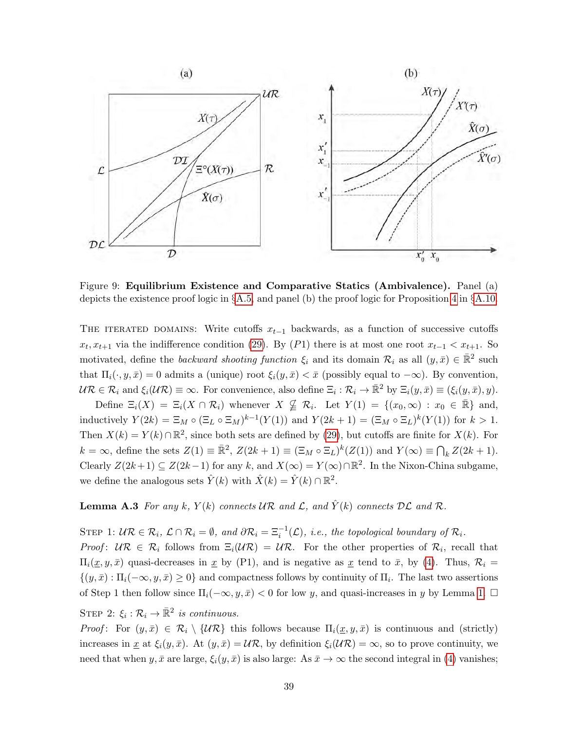

<span id="page-39-1"></span>Figure 9: Equilibrium Existence and Comparative Statics (Ambivalence). Panel (a) depicts the existence proof logic in §[A.5,](#page-38-0) and panel (b) the proof logic for Proposition [4](#page-23-0) in §[A.10.](#page-44-0)

THE ITERATED DOMAINS: Write cutoffs  $x_{t-1}$  backwards, as a function of successive cutoffs  $x_t, x_{t+1}$  via the indifference condition [\(29\)](#page-38-2). By (P1) there is at most one root  $x_{t-1} < x_{t+1}$ . So motivated, define the backward shooting function  $\xi_i$  and its domain  $\mathcal{R}_i$  as all  $(y, \bar{x}) \in \mathbb{R}^2$  such that  $\Pi_i(\cdot, y, \bar{x}) = 0$  admits a (unique) root  $\xi_i(y, \bar{x}) < \bar{x}$  (possibly equal to  $-\infty$ ). By convention,  $\mathcal{UR} \in \mathcal{R}_i$  and  $\xi_i(\mathcal{UR}) \equiv \infty$ . For convenience, also define  $\Xi_i : \mathcal{R}_i \to \bar{\mathbb{R}}^2$  by  $\Xi_i(y, \bar{x}) \equiv (\xi_i(y, \bar{x}), y)$ .

Define  $\Xi_i(X) = \Xi_i(X \cap \mathcal{R}_i)$  whenever  $X \nsubseteq \mathcal{R}_i$ . Let  $Y(1) = \{(x_0, \infty) : x_0 \in \overline{\mathbb{R}}\}$  and, inductively  $Y(2k) = \Xi_M \circ (\Xi_L \circ \Xi_M)^{k-1}(Y(1))$  and  $Y(2k+1) = (\Xi_M \circ \Xi_L)^k(Y(1))$  for  $k > 1$ . Then  $X(k) = Y(k) \cap \mathbb{R}^2$ , since both sets are defined by [\(29\)](#page-38-2), but cutoffs are finite for  $X(k)$ . For  $k = \infty$ , define the sets  $Z(1) \equiv \bar{\mathbb{R}}^2$ ,  $Z(2k+1) \equiv (\Xi_M \circ \Xi_L)^k (Z(1))$  and  $Y(\infty) \equiv \bigcap_k Z(2k+1)$ . Clearly  $Z(2k+1) \subseteq Z(2k-1)$  for any k, and  $X(\infty) = Y(\infty) \cap \mathbb{R}^2$ . In the Nixon-China subgame, we define the analogous sets  $\hat{Y}(k)$  with  $\hat{X}(k) = \hat{Y}(k) \cap \mathbb{R}^2$ .

<span id="page-39-0"></span>**Lemma A.3** For any k,  $Y(k)$  connects  $\mathcal{U}\mathcal{R}$  and  $\mathcal{L}$ , and  $\hat{Y}(k)$  connects  $\mathcal{DL}$  and  $\mathcal{R}$ .

STEP 1:  $\mathcal{UR} \in \mathcal{R}_i$ ,  $\mathcal{L} \cap \mathcal{R}_i = \emptyset$ , and  $\partial \mathcal{R}_i = \Xi_i^{-1}(\mathcal{L})$ , i.e., the topological boundary of  $\mathcal{R}_i$ . Proof:  $\mathcal{UR} \in \mathcal{R}_i$  follows from  $\Xi_i(\mathcal{UR}) = \mathcal{UR}$ . For the other properties of  $\mathcal{R}_i$ , recall that  $\Pi_i(\underline{x}, y, \overline{x})$  quasi-decreases in  $\underline{x}$  by (P1), and is negative as  $\underline{x}$  tend to  $\overline{x}$ , by [\(4\)](#page-8-1). Thus,  $\mathcal{R}_i =$  $\{(y,\bar{x}): \Pi_i(-\infty, y, \bar{x}) \geq 0\}$  and compactness follows by continuity of  $\Pi_i$ . The last two assertions of Step 1 then follow since  $\Pi_i(-\infty, y, \bar{x}) < 0$  for low y, and quasi-increases in y by Lemma [1.](#page-6-4)  $\Box$ 

STEP 2:  $\xi_i : \mathcal{R}_i \to \bar{\mathbb{R}}^2$  is continuous.

Proof: For  $(y, \bar{x}) \in \mathcal{R}_i \setminus \{\mathcal{UR}\}\$  this follows because  $\Pi_i(\underline{x}, y, \bar{x})$  is continuous and (strictly) increases in <u>x</u> at  $\xi_i(y, \bar{x})$ . At  $(y, \bar{x}) = \mathcal{UR}$ , by definition  $\xi_i(\mathcal{UR}) = \infty$ , so to prove continuity, we need that when y,  $\bar{x}$  are large,  $\xi_i(y, \bar{x})$  is also large: As  $\bar{x} \to \infty$  the second integral in [\(4\)](#page-8-1) vanishes;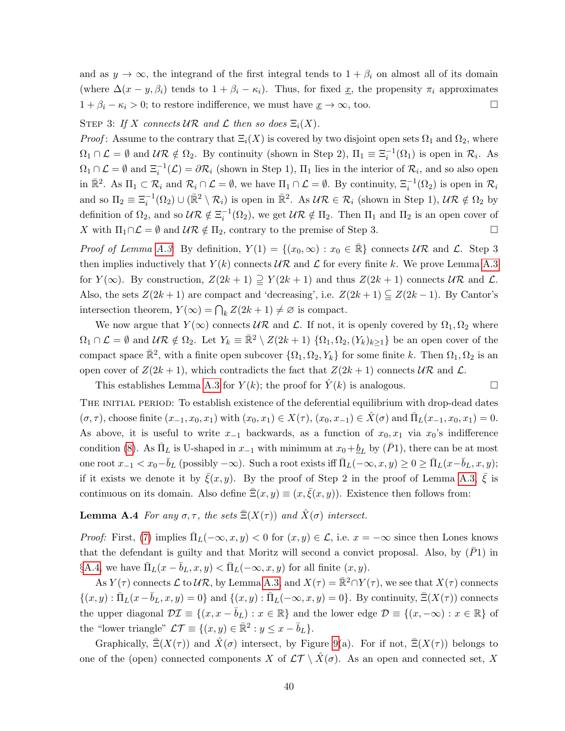and as  $y \to \infty$ , the integrand of the first integral tends to  $1 + \beta_i$  on almost all of its domain (where  $\Delta(x - y, \beta_i)$  tends to  $1 + \beta_i - \kappa_i$ ). Thus, for fixed  $\underline{x}$ , the propensity  $\pi_i$  approximates  $1 + \beta_i - \kappa_i > 0$ ; to restore indifference, we must have  $\underline{x} \to \infty$ , too.

STEP 3: If X connects  $\mathcal{UR}$  and  $\mathcal{L}$  then so does  $\Xi_i(X)$ .

*Proof*: Assume to the contrary that  $\Xi_i(X)$  is covered by two disjoint open sets  $\Omega_1$  and  $\Omega_2$ , where  $\Omega_1 \cap \mathcal{L} = \emptyset$  and  $\mathcal{UR} \notin \Omega_2$ . By continuity (shown in Step 2),  $\Pi_1 \equiv \Xi_i^{-1}(\Omega_1)$  is open in  $\mathcal{R}_i$ . As  $\Omega_1 \cap \mathcal{L} = \emptyset$  and  $\Xi_i^{-1}(\mathcal{L}) = \partial \mathcal{R}_i$  (shown in Step 1),  $\Pi_1$  lies in the interior of  $\mathcal{R}_i$ , and so also open in  $\mathbb{R}^2$ . As  $\Pi_1 \subset \mathcal{R}_i$  and  $\mathcal{R}_i \cap \mathcal{L} = \emptyset$ , we have  $\Pi_1 \cap \mathcal{L} = \emptyset$ . By continuity,  $\Xi_i^{-1}(\Omega_2)$  is open in  $\mathcal{R}_i$ and so  $\Pi_2 \equiv \Xi_i^{-1}(\Omega_2) \cup (\bar{\mathbb{R}}^2 \setminus \mathcal{R}_i)$  is open in  $\bar{\mathbb{R}}^2$ . As  $\mathcal{UR} \in \mathcal{R}_i$  (shown in Step 1),  $\mathcal{UR} \notin \Omega_2$  by definition of  $\Omega_2$ , and so  $\mathcal{UR} \notin \Xi_i^{-1}(\Omega_2)$ , we get  $\mathcal{UR} \notin \Pi_2$ . Then  $\Pi_1$  and  $\Pi_2$  is an open cover of X with  $\Pi_1 \cap \mathcal{L} = \emptyset$  and  $\mathcal{UR} \notin \Pi_2$ , contrary to the premise of Step 3.

*Proof of Lemma [A.3](#page-39-0)*: By definition,  $Y(1) = \{(x_0, \infty) : x_0 \in \mathbb{R}\}\)$  connects  $\mathcal{UR}$  and  $\mathcal{L}$ . Step 3 then implies inductively that  $Y(k)$  connects  $\mathcal{UR}$  and  $\mathcal L$  for every finite k. We prove Lemma [A.3](#page-39-0) for  $Y(\infty)$ . By construction,  $Z(2k+1) \supseteq Y(2k+1)$  and thus  $Z(2k+1)$  connects  $\mathcal{UR}$  and  $\mathcal{L}$ . Also, the sets  $Z(2k+1)$  are compact and 'decreasing', i.e.  $Z(2k+1) \subseteq Z(2k-1)$ . By Cantor's intersection theorem,  $Y(\infty) = \bigcap_k Z(2k+1) \neq \emptyset$  is compact.

We now argue that  $Y(\infty)$  connects  $\mathcal{UR}$  and  $\mathcal{L}$ . If not, it is openly covered by  $\Omega_1, \Omega_2$  where  $\Omega_1 \cap \mathcal{L} = \emptyset$  and  $\mathcal{UR} \notin \Omega_2$ . Let  $Y_k \equiv \bar{\mathbb{R}}^2 \setminus Z(2k+1) \setminus \{\Omega_1, \Omega_2, (Y_k)_{k>1}\}\$ be an open cover of the compact space  $\mathbb{R}^2$ , with a finite open subcover  $\{\Omega_1, \Omega_2, Y_k\}$  for some finite k. Then  $\Omega_1, \Omega_2$  is an open cover of  $Z(2k+1)$ , which contradicts the fact that  $Z(2k+1)$  connects  $\mathcal{UR}$  and  $\mathcal{L}$ .

This establishes Lemma [A.3](#page-39-0) for  $Y(k)$ ; the proof for  $Y(k)$  is analogous.

THE INITIAL PERIOD: To establish existence of the deferential equilibrium with drop-dead dates  $(\sigma, \tau)$ , choose finite  $(x_{-1}, x_0, x_1)$  with  $(x_0, x_1) \in X(\tau)$ ,  $(x_0, x_{-1}) \in \hat{X}(\sigma)$  and  $\bar{\Pi}_L(x_{-1}, x_0, x_1) = 0$ . As above, it is useful to write  $x_{-1}$  backwards, as a function of  $x_0, x_1$  via  $x_0$ 's indifference condition [\(8\)](#page-9-2). As  $\bar{\Pi}_L$  is U-shaped in  $x_{-1}$  with minimum at  $x_0 + \underline{b}_L$  by  $(\bar{P}1)$ , there can be at most one root  $x_{-1} < x_0 - \bar{b}_L$  (possibly  $-\infty$ ). Such a root exists iff  $\bar{\Pi}_L(-\infty, x, y) \ge 0 \ge \bar{\Pi}_L(x - \bar{b}_L, x, y)$ ; if it exists we denote it by  $\bar{\xi}(x, y)$ . By the proof of Step 2 in the proof of Lemma [A.3,](#page-39-0)  $\bar{\xi}$  is continuous on its domain. Also define  $\bar{\Xi}(x, y) \equiv (x, \bar{\xi}(x, y))$ . Existence then follows from:

### <span id="page-40-0"></span>**Lemma A.4** For any  $\sigma, \tau$ , the sets  $\bar{\Xi}(X(\tau))$  and  $\hat{X}(\sigma)$  intersect.

*Proof:* First, [\(7\)](#page-9-3) implies  $\Pi_L(-\infty, x, y) < 0$  for  $(x, y) \in \mathcal{L}$ , i.e.  $x = -\infty$  since then Lones knows that the defendant is guilty and that Moritz will second a convict proposal. Also, by  $(\bar{P}1)$  in  $\S$ [A.4,](#page-34-0) we have  $\bar{\Pi}_L(x - \bar{b}_L, x, y) < \bar{\Pi}_L(-\infty, x, y)$  for all finite  $(x, y)$ .

As  $Y(\tau)$  connects  $\mathcal L$  to  $\mathcal{UR}$ , by Lemma [A.3,](#page-39-0) and  $X(\tau) = \mathbb{R}^2 \cap Y(\tau)$ , we see that  $X(\tau)$  connects  $\{(x, y) : \overline{\Pi}_L(x - \overline{b}_L, x, y) = 0\}$  and  $\{(x, y) : \overline{\Pi}_L(-\infty, x, y) = 0\}$ . By continuity,  $\overline{\Xi}(X(\tau))$  connects the upper diagonal  $\mathcal{DI} \equiv \{(x, x - \overline{b}_L) : x \in \mathbb{R}\}\$ and the lower edge  $\mathcal{D} \equiv \{(x, -\infty) : x \in \mathbb{R}\}\$ of the "lower triangle"  $\mathcal{L}\mathcal{T} \equiv \{(x, y) \in \mathbb{R}^2 : y \leq x - \bar{b}_L\}.$ 

Graphically,  $\bar{\Xi}(X(\tau))$  and  $\bar{X}(\sigma)$  intersect, by Figure [9\(](#page-39-1)a). For if not,  $\bar{\Xi}(X(\tau))$  belongs to one of the (open) connected components X of  $\mathcal{LT} \setminus \overline{X}(\sigma)$ . As an open and connected set, X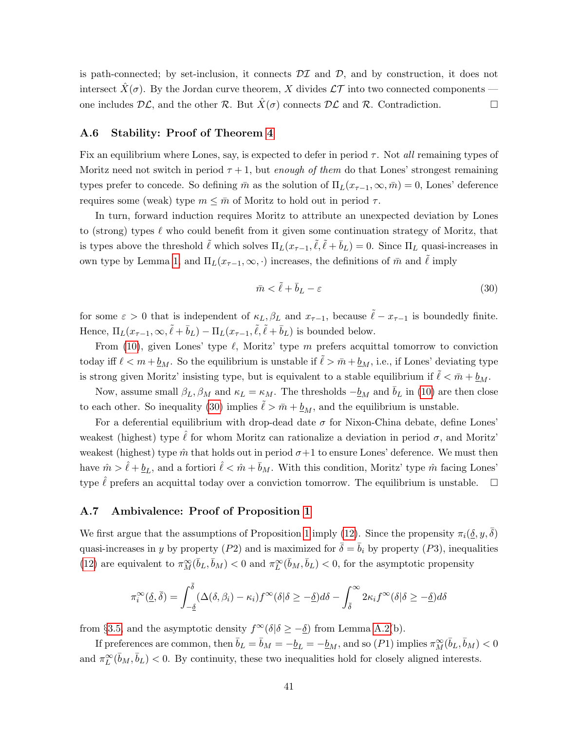is path-connected; by set-inclusion, it connects  $\mathcal{DI}$  and  $\mathcal{D}$ , and by construction, it does not intersect  $\hat{X}(\sigma)$ . By the Jordan curve theorem, X divides  $\mathcal{LT}$  into two connected components one includes  $\mathcal{DL}$ , and the other R. But  $\hat{X}(\sigma)$  connects  $\mathcal{DL}$  and R. Contradiction.

### <span id="page-41-0"></span>A.6 Stability: Proof of Theorem [4](#page-11-0)

Fix an equilibrium where Lones, say, is expected to defer in period  $\tau$ . Not all remaining types of Moritz need not switch in period  $\tau + 1$ , but enough of them do that Lones' strongest remaining types prefer to concede. So defining  $\bar{m}$  as the solution of  $\Pi_L(x_{\tau-1}, \infty, \bar{m}) = 0$ , Lones' deference requires some (weak) type  $m \leq \bar{m}$  of Moritz to hold out in period  $\tau$ .

In turn, forward induction requires Moritz to attribute an unexpected deviation by Lones to (strong) types  $\ell$  who could benefit from it given some continuation strategy of Moritz, that is types above the threshold  $\tilde{\ell}$  which solves  $\Pi_L(x_{\tau-1}, \tilde{\ell}, \tilde{\ell} + \bar{b}_L) = 0$ . Since  $\Pi_L$  quasi-increases in own type by Lemma [1,](#page-6-4) and  $\Pi_L(x_{\tau-1}, \infty, \cdot)$  increases, the definitions of  $\bar{m}$  and  $\ell$  imply

<span id="page-41-2"></span>
$$
\bar{m} < \tilde{\ell} + \bar{b}_L - \varepsilon \tag{30}
$$

for some  $\varepsilon > 0$  that is independent of  $\kappa_L, \beta_L$  and  $x_{\tau-1}$ , because  $\tilde{\ell} - x_{\tau-1}$  is boundedly finite. Hence,  $\Pi_L(x_{\tau-1}, \infty, \tilde{\ell} + \bar{b}_L) - \Pi_L(x_{\tau-1}, \tilde{\ell}, \tilde{\ell} + \bar{b}_L)$  is bounded below.

From [\(10\)](#page-12-3), given Lones' type  $\ell$ , Moritz' type m prefers acquittal tomorrow to conviction today iff  $\ell < m + b_M$ . So the equilibrium is unstable if  $\tilde{\ell} > \bar{m} + b_M$ , i.e., if Lones' deviating type is strong given Moritz' insisting type, but is equivalent to a stable equilibrium if  $\ell < \bar{m} + b_M$ .

Now, assume small  $\beta_L$ ,  $\beta_M$  and  $\kappa_L = \kappa_M$ . The thresholds  $-\underline{b}_M$  and  $b_L$  in [\(10\)](#page-12-3) are then close to each other. So inequality [\(30\)](#page-41-2) implies  $\ell > \bar{m} + b_M$ , and the equilibrium is unstable.

For a deferential equilibrium with drop-dead date  $\sigma$  for Nixon-China debate, define Lones' weakest (highest) type  $\ell$  for whom Moritz can rationalize a deviation in period  $\sigma$ , and Moritz' weakest (highest) type  $\hat{m}$  that holds out in period  $\sigma+1$  to ensure Lones' deference. We must then have  $\hat{m} > \ell + \underline{b}_L$ , and a fortiori  $\ell < \hat{m} + \overline{b}_M$ . With this condition, Moritz' type  $\hat{m}$  facing Lones' type  $\ell$  prefers an acquittal today over a conviction tomorrow. The equilibrium is unstable.  $\Box$ 

#### <span id="page-41-1"></span>A.7 Ambivalence: Proof of Proposition [1](#page-19-0)

We first argue that the assumptions of Proposition [1](#page-19-0) imply [\(12\)](#page-19-2). Since the propensity  $\pi_i(\delta, y, \overline{\delta})$ quasi-increases in y by property (P2) and is maximized for  $\bar{\delta} = \bar{b}_i$  by property (P3), inequalities [\(12\)](#page-19-2) are equivalent to  $\pi_M^{\infty}(\bar{b}_L, \bar{b}_M) < 0$  and  $\pi_L^{\infty}(\bar{b}_M, \bar{b}_L) < 0$ , for the asymptotic propensity

$$
\pi_i^{\infty}(\underline{\delta}, \overline{\delta}) = \int_{-\underline{\delta}}^{\overline{\delta}} (\Delta(\delta, \beta_i) - \kappa_i) f^{\infty}(\delta | \delta \ge -\underline{\delta}) d\delta - \int_{\overline{\delta}}^{\infty} 2\kappa_i f^{\infty}(\delta | \delta \ge -\underline{\delta}) d\delta
$$

from §[3.5,](#page-12-4) and the asymptotic density  $f^{\infty}(\delta|\delta \geq -\underline{\delta})$  from Lemma [A.2\(](#page-31-2)b).

If preferences are common, then  $\bar{b}_L = \bar{b}_M = -\underline{b}_L = -\underline{b}_M$ , and so  $(P1)$  implies  $\pi_M^{\infty}(\bar{b}_L, \bar{b}_M) < 0$ and  $\pi_L^{\infty}(\bar{b}_M, \bar{b}_L) < 0$ . By continuity, these two inequalities hold for closely aligned interests.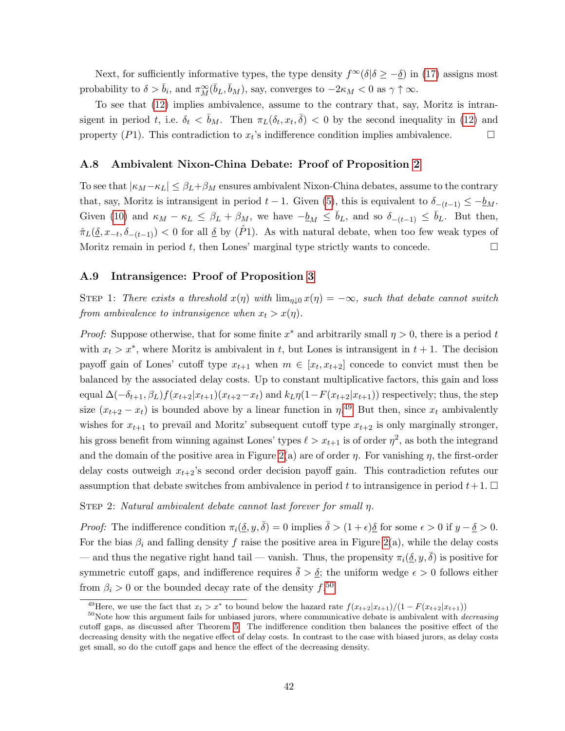Next, for sufficiently informative types, the type density  $f^{\infty}(\delta|\delta \geq -\underline{\delta})$  in [\(17\)](#page-31-1) assigns most probability to  $\delta > \bar{b}_i$ , and  $\pi_M^{\infty}(\bar{b}_L, \bar{b}_M)$ , say, converges to  $-2\kappa_M < 0$  as  $\gamma \uparrow \infty$ .

To see that [\(12\)](#page-19-2) implies ambivalence, assume to the contrary that, say, Moritz is intransigent in period t, i.e.  $\delta_t < \bar{b}_M$ . Then  $\pi_L(\delta_t, x_t, \bar{\delta}) < 0$  by the second inequality in [\(12\)](#page-19-2) and property (P1). This contradiction to  $x_t$ 's indifference condition implies ambivalence.

#### <span id="page-42-0"></span>A.8 Ambivalent Nixon-China Debate: Proof of Proposition [2](#page-20-2)

To see that  $|\kappa_M - \kappa_L| \leq \beta_L + \beta_M$  ensures ambivalent Nixon-China debates, assume to the contrary that, say, Moritz is intransigent in period  $t - 1$ . Given [\(5\)](#page-8-2), this is equivalent to  $\delta_{-(t-1)} \leq -b_M$ . Given [\(10\)](#page-12-3) and  $\kappa_M - \kappa_L \leq \beta_L + \beta_M$ , we have  $-\underline{b}_M \leq \overline{b}_L$ , and so  $\delta_{-(t-1)} \leq \overline{b}_L$ . But then,  $\hat{\pi}_L(\underline{\delta}, x_{-t}, \delta_{-(t-1)}) < 0$  for all  $\underline{\delta}$  by  $(\hat{P}_1)$ . As with natural debate, when too few weak types of Moritz remain in period t, then Lones' marginal type strictly wants to concede.

### <span id="page-42-1"></span>A.9 Intransigence: Proof of Proposition [3](#page-20-0)

STEP 1: There exists a threshold  $x(\eta)$  with  $\lim_{n\downarrow 0} x(\eta) = -\infty$ , such that debate cannot switch from ambivalence to intransigence when  $x_t > x(\eta)$ .

*Proof:* Suppose otherwise, that for some finite  $x^*$  and arbitrarily small  $\eta > 0$ , there is a period to with  $x_t > x^*$ , where Moritz is ambivalent in t, but Lones is intransigent in  $t + 1$ . The decision payoff gain of Lones' cutoff type  $x_{t+1}$  when  $m \in [x_t, x_{t+2}]$  concede to convict must then be balanced by the associated delay costs. Up to constant multiplicative factors, this gain and loss equal  $\Delta(-\delta_{t+1}, \beta_L)f(x_{t+2}|x_{t+1})(x_{t+2}-x_t)$  and  $k_L\eta(1-F(x_{t+2}|x_{t+1}))$  respectively; thus, the step size  $(x_{t+2} - x_t)$  is bounded above by a linear function in  $\eta$ .<sup>[49](#page-42-2)</sup> But then, since  $x_t$  ambivalently wishes for  $x_{t+1}$  to prevail and Moritz' subsequent cutoff type  $x_{t+2}$  is only marginally stronger, his gross benefit from winning against Lones' types  $\ell > x_{t+1}$  is of order  $\eta^2$ , as both the integrand and the domain of the positive area in Figure [2\(](#page-13-1)a) are of order  $\eta$ . For vanishing  $\eta$ , the first-order delay costs outweigh  $x_{t+2}$ 's second order decision payoff gain. This contradiction refutes our assumption that debate switches from ambivalence in period t to intransigence in period  $t+1$ .

#### Step 2: Natural ambivalent debate cannot last forever for small η.

*Proof:* The indifference condition  $\pi_i(\underline{\delta}, y, \overline{\delta}) = 0$  implies  $\overline{\delta} > (1 + \epsilon)\underline{\delta}$  for some  $\epsilon > 0$  if  $y - \underline{\delta} > 0$ . For the bias  $\beta_i$  and falling density f raise the positive area in Figure [2\(](#page-13-1)a), while the delay costs — and thus the negative right hand tail — vanish. Thus, the propensity  $\pi_i(\underline{\delta}, y, \overline{\delta})$  is positive for symmetric cutoff gaps, and indifference requires  $\bar{\delta} > \underline{\delta}$ ; the uniform wedge  $\epsilon > 0$  follows either from  $\beta_i > 0$  or the bounded decay rate of the density  $f^{50}$  $f^{50}$  $f^{50}$ .

<span id="page-42-3"></span><span id="page-42-2"></span><sup>&</sup>lt;sup>49</sup>Here, we use the fact that  $x_t > x^*$  to bound below the hazard rate  $f(x_{t+2}|x_{t+1})/(1 - F(x_{t+2}|x_{t+1}))$ 

 $50$ Note how this argument fails for unbiased jurors, where communicative debate is ambivalent with *decreasing* cutoff gaps, as discussed after Theorem [5.](#page-22-0) The indifference condition then balances the positive effect of the decreasing density with the negative effect of delay costs. In contrast to the case with biased jurors, as delay costs get small, so do the cutoff gaps and hence the effect of the decreasing density.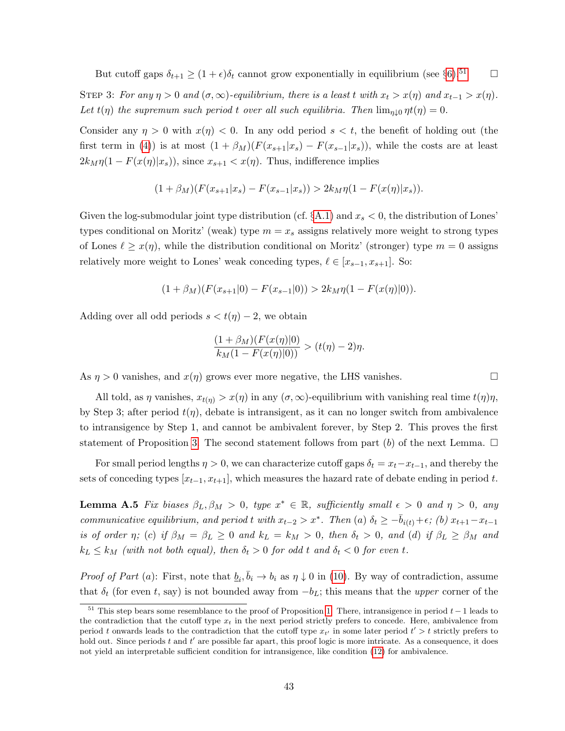But cutoff gaps  $\delta_{t+1} \geq (1+\epsilon)\delta_t$  cannot grow exponentially in equilibrium (see §[6\)](#page-21-4).<sup>[51](#page-43-0)</sup>  $\Box$ 

STEP 3: For any  $\eta > 0$  and  $(\sigma, \infty)$ -equilibrium, there is a least t with  $x_t > x(\eta)$  and  $x_{t-1} > x(\eta)$ . Let  $t(\eta)$  the supremum such period t over all such equilibria. Then  $\lim_{\eta \downarrow 0} \eta t(\eta) = 0$ .

Consider any  $\eta > 0$  with  $x(\eta) < 0$ . In any odd period  $s < t$ , the benefit of holding out (the first term in [\(4\)](#page-8-1)) is at most  $(1 + \beta_M)(F(x_{s+1}|x_s) - F(x_{s-1}|x_s))$ , while the costs are at least  $2k_M\eta(1 - F(x(\eta)|x_s))$ , since  $x_{s+1} < x(\eta)$ . Thus, indifference implies

$$
(1 + \beta_M)(F(x_{s+1}|x_s) - F(x_{s-1}|x_s)) > 2k_M\eta(1 - F(x(\eta)|x_s)).
$$

Given the log-submodular joint type distribution (cf.  $\S$ [A.1\)](#page-30-0) and  $x_s < 0$ , the distribution of Lones' types conditional on Moritz' (weak) type  $m = x_s$  assigns relatively more weight to strong types of Lones  $\ell \geq x(\eta)$ , while the distribution conditional on Moritz' (stronger) type  $m = 0$  assigns relatively more weight to Lones' weak conceding types,  $\ell \in [x_{s-1}, x_{s+1}]$ . So:

$$
(1 + \beta_M)(F(x_{s+1}|0) - F(x_{s-1}|0)) > 2k_M\eta(1 - F(x(\eta)|0)).
$$

Adding over all odd periods  $s < t(\eta) - 2$ , we obtain

$$
\frac{(1+\beta_M)(F(x(\eta)|0))}{k_M(1-F(x(\eta)|0))} > (t(\eta)-2)\eta.
$$

As  $\eta > 0$  vanishes, and  $x(\eta)$  grows ever more negative, the LHS vanishes.

All told, as  $\eta$  vanishes,  $x_{t(\eta)} > x(\eta)$  in any  $(\sigma, \infty)$ -equilibrium with vanishing real time  $t(\eta)\eta$ , by Step 3; after period  $t(\eta)$ , debate is intransigent, as it can no longer switch from ambivalence to intransigence by Step 1, and cannot be ambivalent forever, by Step 2. This proves the first statement of Proposition [3.](#page-20-0) The second statement follows from part (b) of the next Lemma.  $\Box$ 

For small period lengths  $\eta > 0$ , we can characterize cutoff gaps  $\delta_t = x_t - x_{t-1}$ , and thereby the sets of conceding types  $[x_{t-1}, x_{t+1}]$ , which measures the hazard rate of debate ending in period t.

<span id="page-43-1"></span>**Lemma A.5** Fix biases  $\beta_L, \beta_M > 0$ , type  $x^* \in \mathbb{R}$ , sufficiently small  $\epsilon > 0$  and  $\eta > 0$ , any communicative equilibrium, and period t with  $x_{t-2} > x^*$ . Then (a)  $\delta_t \geq -\overline{b}_{i(t)} + \epsilon$ ; (b)  $x_{t+1}-x_{t-1}$ is of order  $\eta$ ; (c) if  $\beta_M = \beta_L \geq 0$  and  $k_L = k_M > 0$ , then  $\delta_t > 0$ , and (d) if  $\beta_L \geq \beta_M$  and  $k_L \leq k_M$  (with not both equal), then  $\delta_t > 0$  for odd t and  $\delta_t < 0$  for even t.

*Proof of Part* (a): First, note that  $\underline{b}_i$ ,  $\overline{b}_i \to b_i$  as  $\eta \downarrow 0$  in [\(10\)](#page-12-3). By way of contradiction, assume that  $\delta_t$  (for even t, say) is not bounded away from  $-b_L$ ; this means that the upper corner of the

<span id="page-43-0"></span><sup>&</sup>lt;sup>51</sup> This step bears some resemblance to the proof of Proposition [1.](#page-19-0) There, intransigence in period  $t-1$  leads to the contradiction that the cutoff type  $x_t$  in the next period strictly prefers to concede. Here, ambivalence from period t onwards leads to the contradiction that the cutoff type  $x_{t'}$  in some later period  $t' > t$  strictly prefers to hold out. Since periods  $t$  and  $t'$  are possible far apart, this proof logic is more intricate. As a consequence, it does not yield an interpretable sufficient condition for intransigence, like condition [\(12\)](#page-19-2) for ambivalence.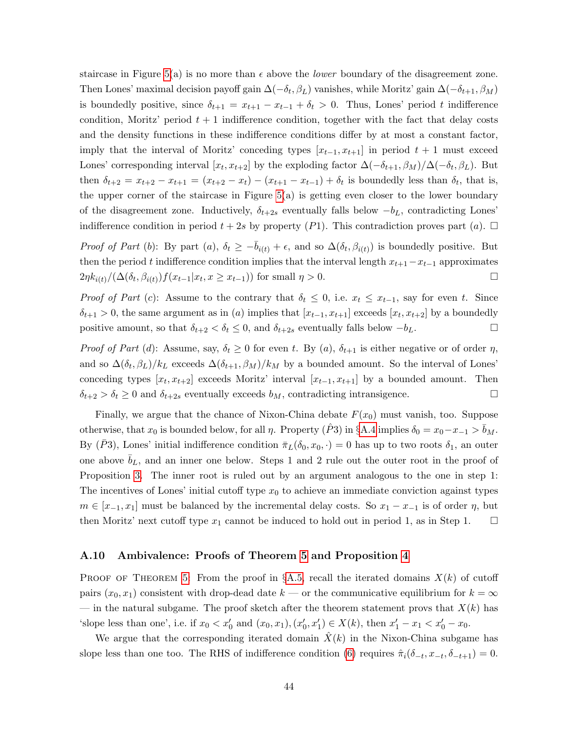staircase in Figure [5\(](#page-18-0)a) is no more than  $\epsilon$  above the *lower* boundary of the disagreement zone. Then Lones' maximal decision payoff gain  $\Delta(-\delta_t, \beta_L)$  vanishes, while Moritz' gain  $\Delta(-\delta_{t+1}, \beta_M)$ is boundedly positive, since  $\delta_{t+1} = x_{t+1} - x_{t-1} + \delta_t > 0$ . Thus, Lones' period t indifference condition, Moritz' period  $t + 1$  indifference condition, together with the fact that delay costs and the density functions in these indifference conditions differ by at most a constant factor, imply that the interval of Moritz' conceding types  $[x_{t-1}, x_{t+1}]$  in period  $t+1$  must exceed Lones' corresponding interval  $[x_t, x_{t+2}]$  by the exploding factor  $\Delta(-\delta_{t+1}, \beta_M)/\Delta(-\delta_t, \beta_L)$ . But then  $\delta_{t+2} = x_{t+2} - x_{t+1} = (x_{t+2} - x_t) - (x_{t+1} - x_{t-1}) + \delta_t$  is boundedly less than  $\delta_t$ , that is, the upper corner of the staircase in Figure [5\(](#page-18-0)a) is getting even closer to the lower boundary of the disagreement zone. Inductively,  $\delta_{t+2s}$  eventually falls below  $-b_L$ , contradicting Lones' indifference condition in period  $t + 2s$  by property (P1). This contradiction proves part (a).  $\Box$ 

Proof of Part (b): By part (a),  $\delta_t \geq -\bar{b}_{i(t)} + \epsilon$ , and so  $\Delta(\delta_t, \beta_{i(t)})$  is boundedly positive. But then the period t indifference condition implies that the interval length  $x_{t+1}-x_{t-1}$  approximates  $2\eta k_{i(t)}/(\Delta(\delta_t, \beta_{i(t)})f(x_{t-1}|x_t, x \geq x_{t-1}))$  for small  $\eta > 0$ .

*Proof of Part* (c): Assume to the contrary that  $\delta_t \leq 0$ , i.e.  $x_t \leq x_{t-1}$ , say for even t. Since  $\delta_{t+1} > 0$ , the same argument as in (a) implies that  $[x_{t-1}, x_{t+1}]$  exceeds  $[x_t, x_{t+2}]$  by a boundedly positive amount, so that  $\delta_{t+2} < \delta_t \leq 0$ , and  $\delta_{t+2s}$  eventually falls below  $-b_L$ .

Proof of Part (d): Assume, say,  $\delta_t \geq 0$  for even t. By (a),  $\delta_{t+1}$  is either negative or of order  $\eta$ , and so  $\Delta(\delta_t, \beta_L)/k_L$  exceeds  $\Delta(\delta_{t+1}, \beta_M)/k_M$  by a bounded amount. So the interval of Lones' conceding types  $[x_t, x_{t+2}]$  exceeds Moritz' interval  $[x_{t-1}, x_{t+1}]$  by a bounded amount. Then  $\delta_{t+2} > \delta_t \geq 0$  and  $\delta_{t+2s}$  eventually exceeds  $b_M$ , contradicting intransigence.

Finally, we argue that the chance of Nixon-China debate  $F(x_0)$  must vanish, too. Suppose otherwise, that  $x_0$  is bounded below, for all  $\eta$ . Property  $(\hat{P}3)$  in §[A.4](#page-34-0) implies  $\delta_0 = x_0 - x_{-1} > \bar{b}_M$ . By (P3), Lones' initial indifference condition  $\bar{\pi}_L(\delta_0, x_0, \cdot) = 0$  has up to two roots  $\delta_1$ , an outer one above  $b<sub>L</sub>$ , and an inner one below. Steps 1 and 2 rule out the outer root in the proof of Proposition [3.](#page-20-0) The inner root is ruled out by an argument analogous to the one in step 1: The incentives of Lones' initial cutoff type  $x_0$  to achieve an immediate conviction against types  $m \in [x_{-1}, x_1]$  must be balanced by the incremental delay costs. So  $x_1 - x_{-1}$  is of order  $\eta$ , but then Moritz' next cutoff type  $x_1$  cannot be induced to hold out in period 1, as in Step 1.  $\Box$ 

### <span id="page-44-0"></span>A.10 Ambivalence: Proofs of Theorem [5](#page-22-0) and Proposition [4](#page-23-0)

PROOF OF THEOREM [5](#page-22-0): From the proof in §[A.5,](#page-38-0) recall the iterated domains  $X(k)$  of cutoff pairs  $(x_0, x_1)$  consistent with drop-dead date k — or the communicative equilibrium for  $k = \infty$ — in the natural subgame. The proof sketch after the theorem statement provs that  $X(k)$  has 'slope less than one', i.e. if  $x_0 < x'_0$  and  $(x_0, x_1), (x'_0, x'_1) \in X(k)$ , then  $x'_1 - x_1 < x'_0 - x_0$ .

We argue that the corresponding iterated domain  $\ddot{X}(k)$  in the Nixon-China subgame has slope less than one too. The RHS of indifference condition [\(6\)](#page-9-1) requires  $\hat{\pi}_i(\delta_{-t}, x_{-t}, \delta_{-t+1}) = 0$ .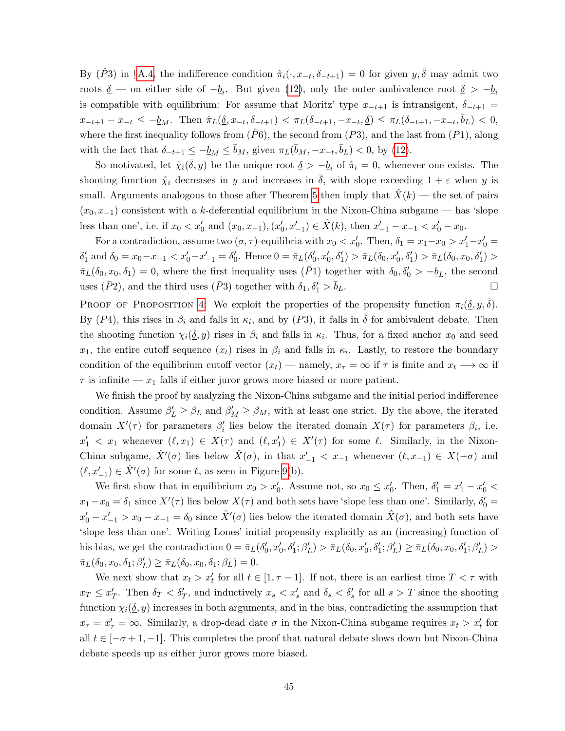By  $(\hat{P}3)$  in §[A.4,](#page-34-0) the indifference condition  $\hat{\pi}_i(\cdot, x_{-t}, \delta_{-t+1}) = 0$  for given  $y, \bar{\delta}$  may admit two roots  $\delta$  — on either side of  $-\underline{b}_i$ . But given [\(12\)](#page-19-2), only the outer ambivalence root  $\delta > -\underline{b}_i$ is compatible with equilibrium: For assume that Moritz' type  $x_{-t+1}$  is intransigent,  $\delta_{-t+1}$  $x_{-t+1} - x_{-t} \leq -\underline{b}_M$ . Then  $\hat{\pi}_L(\underline{\delta}, x_{-t}, \delta_{-t+1}) < \pi_L(\delta_{-t+1}, -x_{-t}, \underline{\delta}) \leq \pi_L(\delta_{-t+1}, -x_{-t}, \overline{b}_L) < 0$ , where the first inequality follows from  $(P6)$ , the second from  $(P3)$ , and the last from  $(P1)$ , along with the fact that  $\delta_{-t+1} \leq -\underline{b}_M \leq \bar{b}_M$ , given  $\pi_L(\bar{b}_M, -x_{-t}, \bar{b}_L) < 0$ , by [\(12\)](#page-19-2).

So motivated, let  $\hat{\chi}_i(\bar{\delta}, y)$  be the unique root  $\underline{\delta} > -\underline{b}_i$  of  $\hat{\pi}_i = 0$ , whenever one exists. The shooting function  $\hat{\chi}_i$  decreases in y and increases in  $\bar{\delta}$ , with slope exceeding  $1 + \varepsilon$  when y is small. Arguments analogous to those after Theorem [5](#page-22-0) then imply that  $\hat{X}(k)$  — the set of pairs  $(x_0, x_{-1})$  consistent with a k-deferential equilibrium in the Nixon-China subgame — has 'slope less than one', i.e. if  $x_0 < x'_0$  and  $(x_0, x_{-1})$ ,  $(x'_0, x'_{-1}) \in \hat{X}(k)$ , then  $x'_{-1} - x_{-1} < x'_0 - x_0$ .

For a contradiction, assume two  $(\sigma, \tau)$ -equilibria with  $x_0 < x'_0$ . Then,  $\delta_1 = x_1 - x_0 > x'_1 - x'_0 =$  $\delta_1'$  and  $\delta_0 = x_0 - x_{-1} < x_0' - x_{-1}' = \delta_0'$ . Hence  $0 = \bar{\pi}_L(\delta_0', x_0', \delta_1') > \bar{\pi}_L(\delta_0, x_0', \delta_1') > \bar{\pi}_L(\delta_0, x_0, \delta_1') >$  $\bar{\pi}_L(\delta_0, x_0, \delta_1) = 0$ , where the first inequality uses  $(\bar{P}1)$  together with  $\delta_0, \delta'_0 > -\underline{b}_L$ , the second uses  $(\bar{P}2)$ , and the third uses  $(\bar{P}3)$  together with  $\delta_1, \delta_1' > \bar{b}_L$ .

PROOF OF PROPOSITION [4](#page-23-0): We exploit the properties of the propensity function  $\pi_i(\underline{\delta}, y, \overline{\delta})$ . By (P4), this rises in  $\beta_i$  and falls in  $\kappa_i$ , and by (P3), it falls in  $\bar{\delta}$  for ambivalent debate. Then the shooting function  $\chi_i(\underline{\delta}, y)$  rises in  $\beta_i$  and falls in  $\kappa_i$ . Thus, for a fixed anchor  $x_0$  and seed  $x_1$ , the entire cutoff sequence  $(x_t)$  rises in  $\beta_i$  and falls in  $\kappa_i$ . Lastly, to restore the boundary condition of the equilibrium cutoff vector  $(x_t)$  — namely,  $x_\tau = \infty$  if  $\tau$  is finite and  $x_t \to \infty$  if  $\tau$  is infinite —  $x_1$  falls if either juror grows more biased or more patient.

We finish the proof by analyzing the Nixon-China subgame and the initial period indifference condition. Assume  $\beta'_{L} \geq \beta_{L}$  and  $\beta'_{M} \geq \beta_{M}$ , with at least one strict. By the above, the iterated domain  $X'(\tau)$  for parameters  $\beta_i'$  lies below the iterated domain  $X(\tau)$  for parameters  $\beta_i$ , i.e.  $x'_1 < x_1$  whenever  $(\ell, x_1) \in X(\tau)$  and  $(\ell, x'_1) \in X'(\tau)$  for some  $\ell$ . Similarly, in the Nixon-China subgame,  $\hat{X}'(\sigma)$  lies below  $\hat{X}(\sigma)$ , in that  $x'_{-1} < x_{-1}$  whenever  $(\ell, x_{-1}) \in X(-\sigma)$  and  $(\ell, x'_{-1}) \in \hat{X}'(\sigma)$  for some  $\ell$ , as seen in Figure [9\(](#page-39-1)b).

We first show that in equilibrium  $x_0 > x'_0$ . Assume not, so  $x_0 \le x'_0$ . Then,  $\delta'_1 = x'_1 - x'_0$  $x_1-x_0=\delta_1$  since  $X'(\tau)$  lies below  $X(\tau)$  and both sets have 'slope less than one'. Similarly,  $\delta'_0=$  $x'_0 - x'_{-1} > x_0 - x_{-1} = \delta_0$  since  $\hat{X}'(\sigma)$  lies below the iterated domain  $\hat{X}(\sigma)$ , and both sets have 'slope less than one'. Writing Lones' initial propensity explicitly as an (increasing) function of his bias, we get the contradiction  $0 = \overline{\pi}_L(\delta'_0, x'_0, \delta'_1; \beta'_L) > \overline{\pi}_L(\delta_0, x'_0, \delta'_1; \beta'_L) \ge \overline{\pi}_L(\delta_0, x_0, \delta'_1; \beta'_L)$  $\overline{\pi}_L(\delta_0, x_0, \delta_1; \beta'_L) \geq \overline{\pi}_L(\delta_0, x_0, \delta_1; \beta_L) = 0.$ 

We next show that  $x_t > x'_t$  for all  $t \in [1, \tau - 1]$ . If not, there is an earliest time  $T < \tau$  with  $x_T \leq x'_T$ . Then  $\delta_T < \delta'_T$ , and inductively  $x_s < x'_s$  and  $\delta_s < \delta'_s$  for all  $s > T$  since the shooting function  $\chi_i(\underline{\delta}, y)$  increases in both arguments, and in the bias, contradicting the assumption that  $x_{\tau} = x'_{\tau} = \infty$ . Similarly, a drop-dead date  $\sigma$  in the Nixon-China subgame requires  $x_t > x'_t$  for all  $t \in [-\sigma+1,-1]$ . This completes the proof that natural debate slows down but Nixon-China debate speeds up as either juror grows more biased.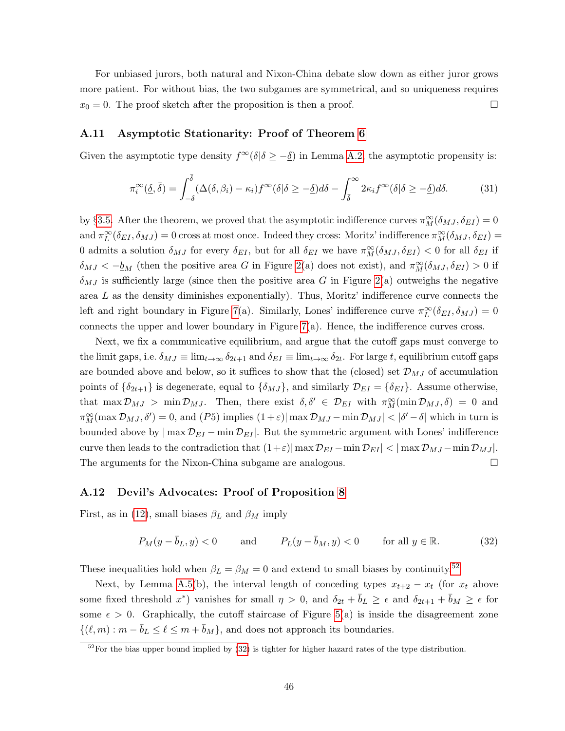For unbiased jurors, both natural and Nixon-China debate slow down as either juror grows more patient. For without bias, the two subgames are symmetrical, and so uniqueness requires  $x_0 = 0$ . The proof sketch after the proposition is then a proof.

### A.11 Asymptotic Stationarity: Proof of Theorem [6](#page-24-6)

Given the asymptotic type density  $f^{\infty}(\delta | \delta \geq -\underline{\delta})$  in Lemma [A.2,](#page-31-2) the asymptotic propensity is:

$$
\pi_i^{\infty}(\underline{\delta}, \overline{\delta}) = \int_{-\underline{\delta}}^{\overline{\delta}} (\Delta(\delta, \beta_i) - \kappa_i) f^{\infty}(\delta | \delta \ge -\underline{\delta}) d\delta - \int_{\overline{\delta}}^{\infty} 2\kappa_i f^{\infty}(\delta | \delta \ge -\underline{\delta}) d\delta. \tag{31}
$$

by §[3.5.](#page-12-4) After the theorem, we proved that the asymptotic indifference curves  $\pi_M^{\infty}(\delta_{MJ}, \delta_{EI}) = 0$ and  $\pi_L^{\infty}(\delta_{EI}, \delta_{MJ}) = 0$  cross at most once. Indeed they cross: Moritz' indifference  $\pi_M^{\infty}(\delta_{MJ}, \delta_{EI}) =$ 0 admits a solution  $\delta_{MJ}$  for every  $\delta_{EI}$ , but for all  $\delta_{EI}$  we have  $\pi_M^{\infty}(\delta_{MJ}, \delta_{EI})$  < 0 for all  $\delta_{EI}$  if  $\delta_{MJ} < -\underline{b}_M$  (then the positive area G in Figure [2\(](#page-13-1)a) does not exist), and  $\pi_M^{\infty}(\delta_{MJ}, \delta_{EI}) > 0$  if  $\delta_{MJ}$  is sufficiently large (since then the positive area G in Figure [2\(](#page-13-1)a) outweighs the negative area  $L$  as the density diminishes exponentially). Thus, Moritz' indifference curve connects the left and right boundary in Figure [7\(](#page-25-0)a). Similarly, Lones' indifference curve  $\pi_L^{\infty}(\delta_{EI}, \delta_{MJ}) = 0$ connects the upper and lower boundary in Figure [7\(](#page-25-0)a). Hence, the indifference curves cross.

Next, we fix a communicative equilibrium, and argue that the cutoff gaps must converge to the limit gaps, i.e.  $\delta_{MJ} \equiv \lim_{t\to\infty} \delta_{2t+1}$  and  $\delta_{EI} \equiv \lim_{t\to\infty} \delta_{2t}$ . For large t, equilibrium cutoff gaps are bounded above and below, so it suffices to show that the (closed) set  $\mathcal{D}_{MJ}$  of accumulation points of  $\{\delta_{2t+1}\}\$ is degenerate, equal to  $\{\delta_{MJ}\}\$ , and similarly  $\mathcal{D}_{EI} = \{\delta_{EI}\}\$ . Assume otherwise, that  $\max \mathcal{D}_{MJ} > \min \mathcal{D}_{MJ}$ . Then, there exist  $\delta, \delta' \in \mathcal{D}_{EI}$  with  $\pi_M^{\infty}(\min \mathcal{D}_{MJ}, \delta) = 0$  and  $\pi_M^{\infty}(\max \mathcal{D}_{MJ}, \delta') = 0$ , and  $(P5)$  implies  $(1+\varepsilon) |\max \mathcal{D}_{MJ} - \min \mathcal{D}_{MJ}| < |\delta' - \delta|$  which in turn is bounded above by  $|\max \mathcal{D}_{EI} - \min \mathcal{D}_{EI}|$ . But the symmetric argument with Lones' indifference curve then leads to the contradiction that  $(1+\varepsilon)|\max \mathcal{D}_{EI} - \min \mathcal{D}_{EI}| < |\max \mathcal{D}_{MJ} - \min \mathcal{D}_{MJ}|$ . The arguments for the Nixon-China subgame are analogous.

### <span id="page-46-0"></span>A.12 Devil's Advocates: Proof of Proposition [8](#page-28-0)

First, as in [\(12\)](#page-19-2), small biases  $\beta_L$  and  $\beta_M$  imply

<span id="page-46-2"></span>
$$
P_M(y - \bar{b}_L, y) < 0 \qquad \text{and} \qquad P_L(y - \bar{b}_M, y) < 0 \qquad \text{for all } y \in \mathbb{R}.\tag{32}
$$

These inequalities hold when  $\beta_L = \beta_M = 0$  and extend to small biases by continuity.<sup>[52](#page-46-1)</sup>

Next, by Lemma [A.5\(](#page-43-1)b), the interval length of conceding types  $x_{t+2} - x_t$  (for  $x_t$  above some fixed threshold  $x^*$ ) vanishes for small  $\eta > 0$ , and  $\delta_{2t} + \bar{b}_L \geq \epsilon$  and  $\delta_{2t+1} + \bar{b}_M \geq \epsilon$  for some  $\epsilon > 0$ . Graphically, the cutoff staircase of Figure [5\(](#page-18-0)a) is inside the disagreement zone  $\{(\ell, m) : m - \bar{b}_L \leq \ell \leq m + \bar{b}_M\}$ , and does not approach its boundaries.

<span id="page-46-1"></span> $\sqrt[52]{\text{For the bias upper bound implied by (32)}}$  $\sqrt[52]{\text{For the bias upper bound implied by (32)}}$  $\sqrt[52]{\text{For the bias upper bound implied by (32)}}$  is tighter for higher hazard rates of the type distribution.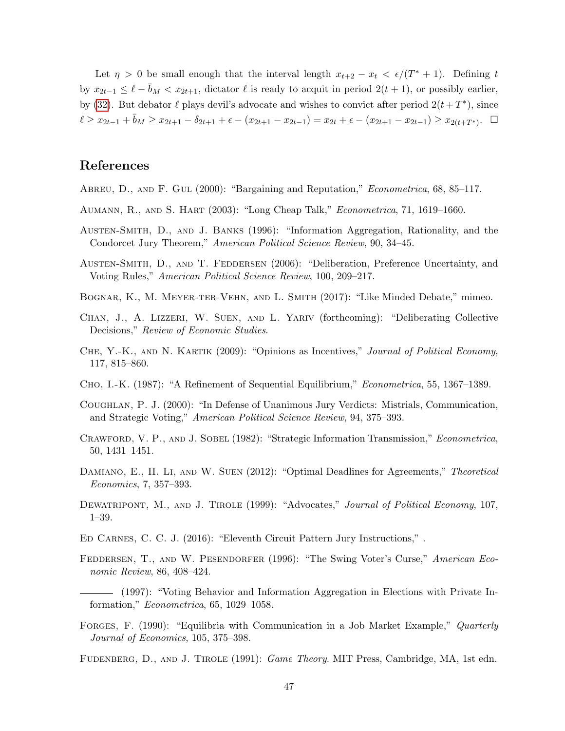Let  $\eta > 0$  be small enough that the interval length  $x_{t+2} - x_t < \epsilon/(T^* + 1)$ . Defining t by  $x_{2t-1} \leq \ell - \bar{b}_M < x_{2t+1}$ , dictator  $\ell$  is ready to acquit in period  $2(t + 1)$ , or possibly earlier, by [\(32\)](#page-46-2). But debator  $\ell$  plays devil's advocate and wishes to convict after period  $2(t + T^*)$ , since  $\ell \geq x_{2t-1} + \bar{b}_M \geq x_{2t+1} - \delta_{2t+1} + \epsilon - (x_{2t+1} - x_{2t-1}) = x_{2t} + \epsilon - (x_{2t+1} - x_{2t-1}) \geq x_{2(t+T^*)}.$ 

# References

- <span id="page-47-10"></span>ABREU, D., AND F. GUL (2000): "Bargaining and Reputation," *Econometrica*, 68, 85–117.
- <span id="page-47-2"></span>Aumann, R., and S. Hart (2003): "Long Cheap Talk," Econometrica, 71, 1619–1660.
- <span id="page-47-12"></span>Austen-Smith, D., and J. Banks (1996): "Information Aggregation, Rationality, and the Condorcet Jury Theorem," American Political Science Review, 90, 34–45.
- <span id="page-47-7"></span>Austen-Smith, D., and T. Feddersen (2006): "Deliberation, Preference Uncertainty, and Voting Rules," American Political Science Review, 100, 209–217.
- <span id="page-47-4"></span>Bognar, K., M. Meyer-ter-Vehn, and L. Smith (2017): "Like Minded Debate," mimeo.
- <span id="page-47-3"></span>Chan, J., A. Lizzeri, W. Suen, and L. Yariv (forthcoming): "Deliberating Collective Decisions," Review of Economic Studies.
- <span id="page-47-16"></span>CHE, Y.-K., AND N. KARTIK (2009): "Opinions as Incentives," Journal of Political Economy, 117, 815–860.
- <span id="page-47-9"></span>Cho, I.-K. (1987): "A Refinement of Sequential Equilibrium," Econometrica, 55, 1367–1389.
- <span id="page-47-6"></span>Coughlan, P. J. (2000): "In Defense of Unanimous Jury Verdicts: Mistrials, Communication, and Strategic Voting," American Political Science Review, 94, 375–393.
- <span id="page-47-0"></span>Crawford, V. P., and J. Sobel (1982): "Strategic Information Transmission," Econometrica, 50, 1431–1451.
- <span id="page-47-5"></span>DAMIANO, E., H. LI, AND W. SUEN (2012): "Optimal Deadlines for Agreements," Theoretical Economics, 7, 357–393.
- <span id="page-47-15"></span>DEWATRIPONT, M., AND J. TIROLE (1999): "Advocates," Journal of Political Economy, 107, 1–39.
- <span id="page-47-8"></span>Ed Carnes, C. C. J. (2016): "Eleventh Circuit Pattern Jury Instructions," .
- <span id="page-47-13"></span>FEDDERSEN, T., AND W. PESENDORFER (1996): "The Swing Voter's Curse," American Economic Review, 86, 408–424.
- <span id="page-47-14"></span>(1997): "Voting Behavior and Information Aggregation in Elections with Private Information," Econometrica, 65, 1029–1058.
- <span id="page-47-1"></span>FORGES, F. (1990): "Equilibria with Communication in a Job Market Example," *Quarterly* Journal of Economics, 105, 375–398.
- <span id="page-47-11"></span>FUDENBERG, D., AND J. TIROLE (1991): *Game Theory.* MIT Press, Cambridge, MA, 1st edn.